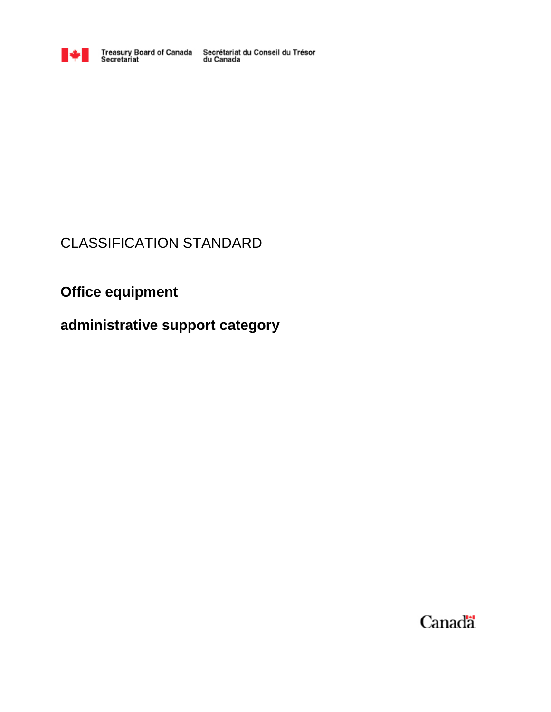

Treasury Board of Canada Secrétariat du Conseil du Trésor<br>Secretariat du Canada

# CLASSIFICATION STANDARD

# **Office equipment**

**administrative support category**

Canadä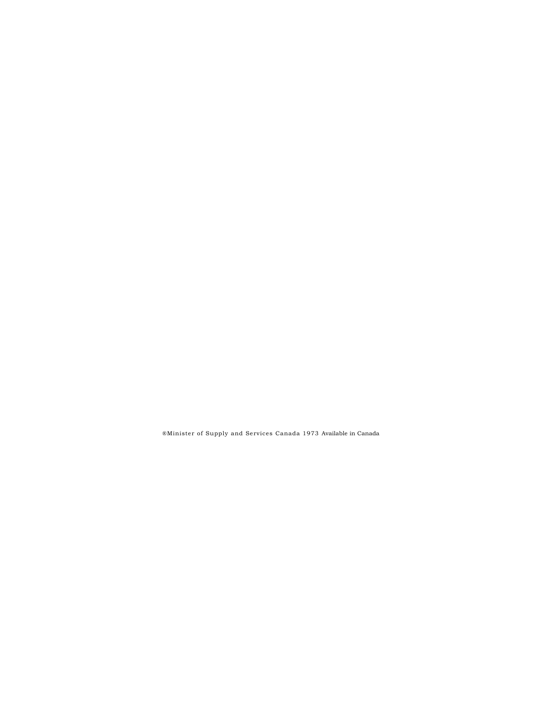®Minister of Supply and Services Canada 1973 Available in Canada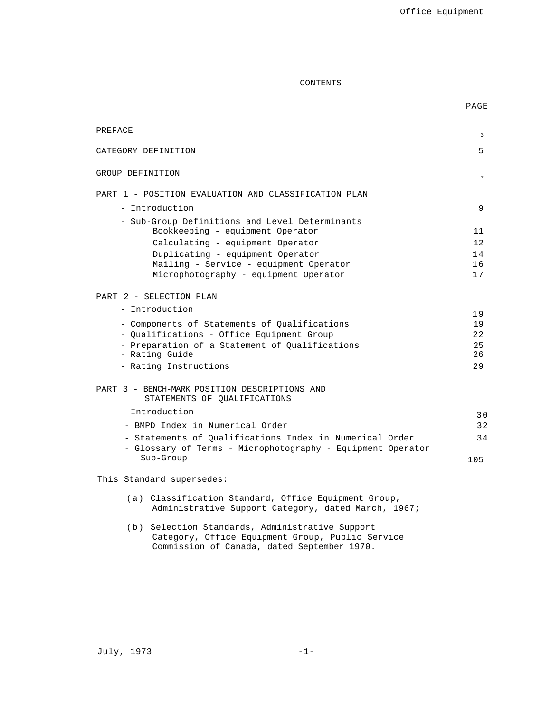PAGE

# CONTENTS

| PREFACE |                                                                                                             | 3        |
|---------|-------------------------------------------------------------------------------------------------------------|----------|
|         | CATEGORY DEFINITION                                                                                         | 5        |
|         | GROUP DEFINITION                                                                                            |          |
|         |                                                                                                             |          |
|         | PART 1 - POSITION EVALUATION AND CLASSIFICATION PLAN                                                        |          |
|         | - Introduction                                                                                              | 9        |
|         | - Sub-Group Definitions and Level Determinants<br>Bookkeeping - equipment Operator                          | 11       |
|         | Calculating - equipment Operator                                                                            | 12       |
|         | Duplicating - equipment Operator                                                                            | 14       |
|         | Mailing - Service - equipment Operator                                                                      | 16       |
|         | Microphotography - equipment Operator                                                                       | 17       |
|         | PART 2 - SELECTION PLAN                                                                                     |          |
|         | - Introduction                                                                                              |          |
|         | - Components of Statements of Qualifications                                                                | 19<br>19 |
|         | - Qualifications - Office Equipment Group                                                                   | 22       |
|         | - Preparation of a Statement of Qualifications                                                              | 25       |
|         | - Rating Guide                                                                                              | 26       |
|         | - Rating Instructions                                                                                       | 29       |
|         | PART 3 - BENCH-MARK POSITION DESCRIPTIONS AND<br>STATEMENTS OF QUALIFICATIONS                               |          |
|         | - Introduction                                                                                              | 30       |
|         | - BMPD Index in Numerical Order                                                                             | 32       |
|         | - Statements of Qualifications Index in Numerical Order                                                     | 34       |
|         | - Glossary of Terms - Microphotography - Equipment Operator                                                 |          |
|         | Sub-Group                                                                                                   | 105      |
|         | This Standard supersedes:                                                                                   |          |
|         | (a) Classification Standard, Office Equipment Group,<br>Administrative Support Category, dated March, 1967; |          |

(b) Selection Standards, Administrative Support Category, Office Equipment Group, Public Service Commission of Canada, dated September 1970.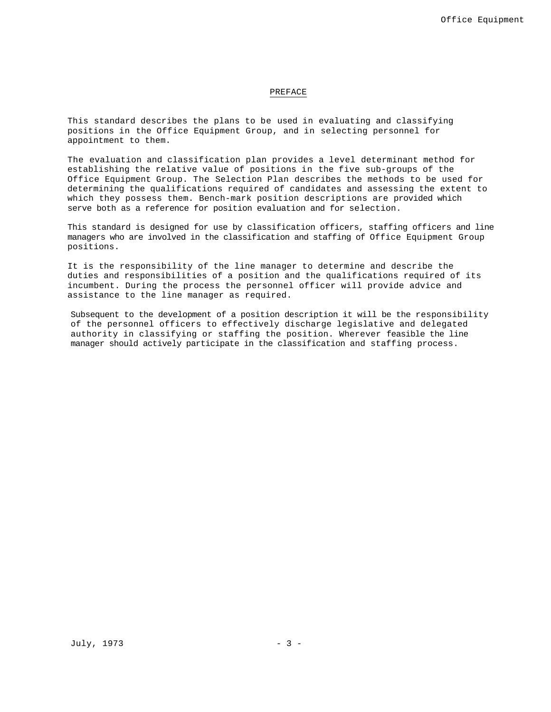#### PREFACE

This standard describes the plans to be used in evaluating and classifying positions in the Office Equipment Group, and in selecting personnel for appointment to them.

The evaluation and classification plan provides a level determinant method for establishing the relative value of positions in the five sub-groups of the Office Equipment Group. The Selection Plan describes the methods to be used for determining the qualifications required of candidates and assessing the extent to which they possess them. Bench-mark position descriptions are provided which serve both as a reference for position evaluation and for selection.

This standard is designed for use by classification officers, staffing officers and line managers who are involved in the classification and staffing of Office Equipment Group positions.

It is the responsibility of the line manager to determine and describe the duties and responsibilities of a position and the qualifications required of its incumbent. During the process the personnel officer will provide advice and assistance to the line manager as required.

Subsequent to the development of a position description it will be the responsibility of the personnel officers to effectively discharge legislative and delegated authority in classifying or staffing the position. Wherever feasible the line manager should actively participate in the classification and staffing process.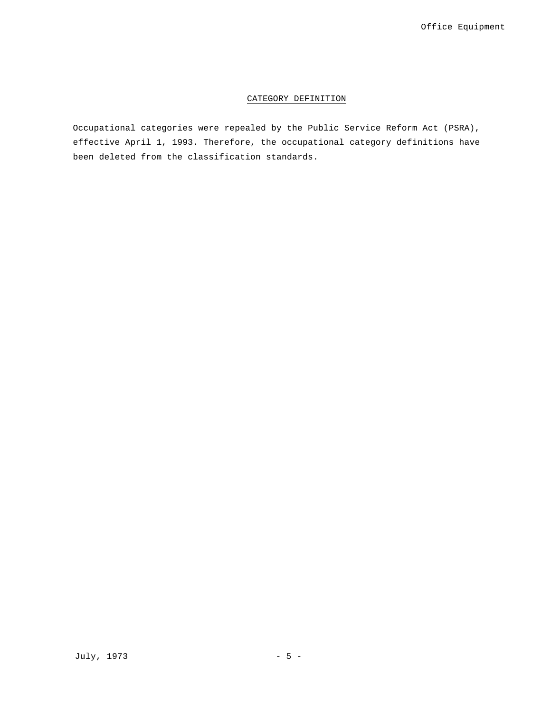# CATEGORY DEFINITION

Occupational categories were repealed by the Public Service Reform Act (PSRA), effective April 1, 1993. Therefore, the occupational category definitions have been deleted from the classification standards.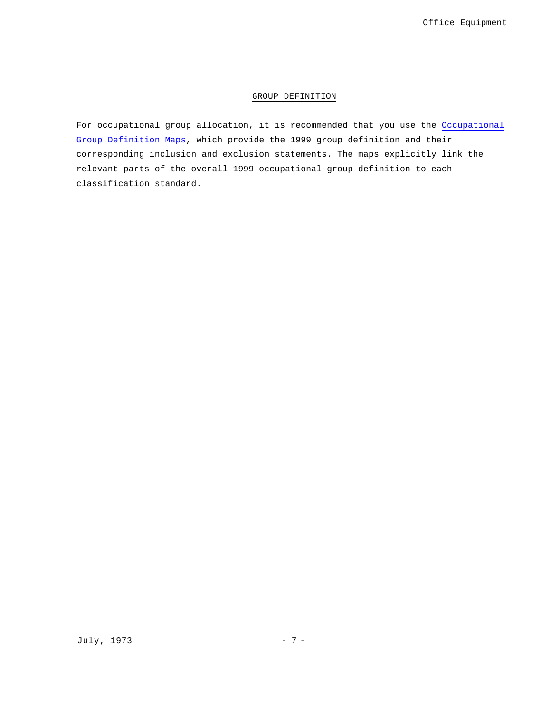# GROUP DEFINITION

For occupational group allocation, it is recommended that you use the Occupational Group Definition Maps, which provide the 1999 group definition and their corresponding inclusion and exclusion statements. The maps explicitly link the relevant parts of the overall 1999 occupational group definition to each classification standard.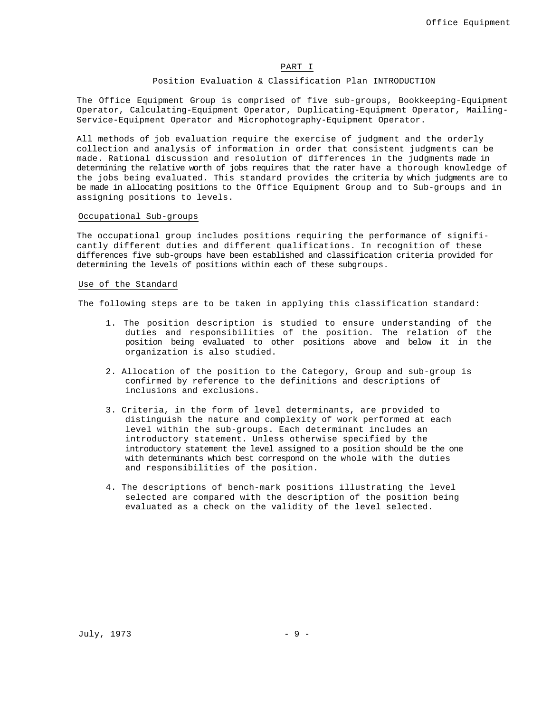# PART I

## Position Evaluation & Classification Plan INTRODUCTION

The Office Equipment Group is comprised of five sub-groups, Bookkeeping-Equipment Operator, Calculating-Equipment Operator, Duplicating-Equipment Operator, Mailing-Service-Equipment Operator and Microphotography-Equipment Operator.

All methods of job evaluation require the exercise of judgment and the orderly collection and analysis of information in order that consistent judgments can be made. Rational discussion and resolution of differences in the judgments made in determining the relative worth of jobs requires that the rater have a thorough knowledge of the jobs being evaluated. This standard provides the criteria by which judgments are to be made in allocating positions to the Office Equipment Group and to Sub-groups and in assigning positions to levels.

# Occupational Sub-groups

The occupational group includes positions requiring the performance of significantly different duties and different qualifications. In recognition of these differences five sub-groups have been established and classification criteria provided for determining the levels of positions within each of these subgroups.

#### Use of the Standard

The following steps are to be taken in applying this classification standard:

- 1. The position description is studied to ensure understanding of the duties and responsibilities of the position. The relation of the position being evaluated to other positions above and below it in the organization is also studied.
- 2. Allocation of the position to the Category, Group and sub-group is confirmed by reference to the definitions and descriptions of inclusions and exclusions.
- 3. Criteria, in the form of level determinants, are provided to distinguish the nature and complexity of work performed at each level within the sub-groups. Each determinant includes an introductory statement. Unless otherwise specified by the introductory statement the level assigned to a position should be the one with determinants which best correspond on the whole with the duties and responsibilities of the position.
- 4. The descriptions of bench-mark positions illustrating the level selected are compared with the description of the position being evaluated as a check on the validity of the level selected.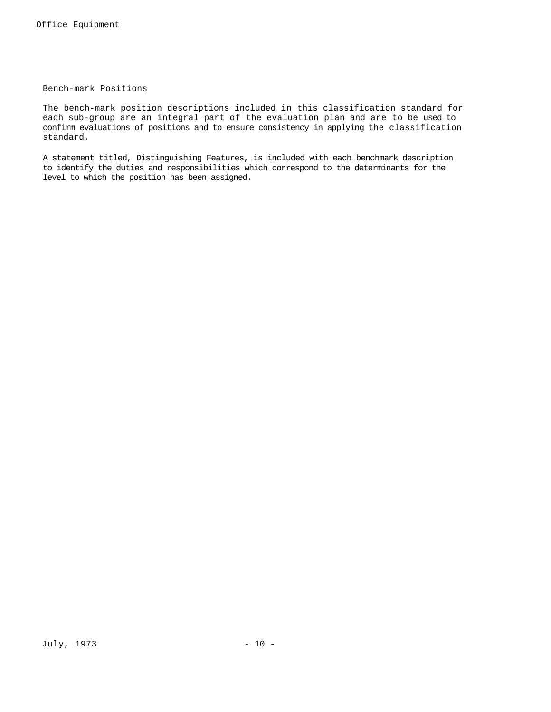# Bench-mark Positions

The bench-mark position descriptions included in this classification standard for each sub-group are an integral part of the evaluation plan and are to be used to confirm evaluations of positions and to ensure consistency in applying the classification standard.

A statement titled, Distinguishing Features, is included with each benchmark description to identify the duties and responsibilities which correspond to the determinants for the level to which the position has been assigned.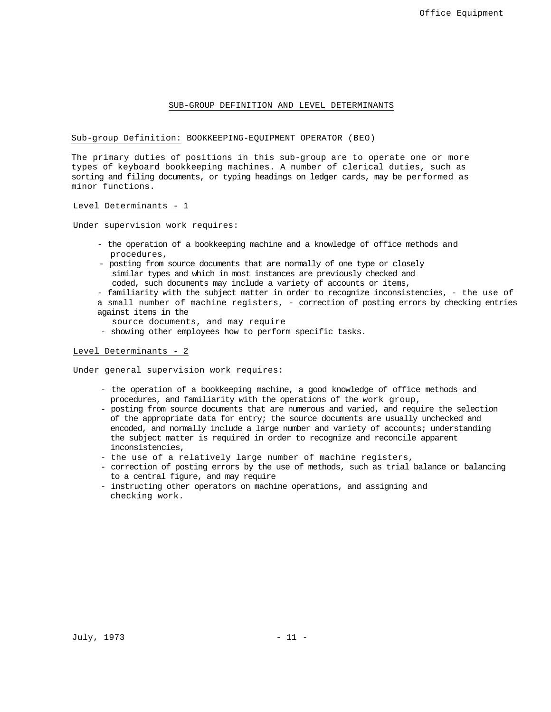#### SUB-GROUP DEFINITION AND LEVEL DETERMINANTS

Sub-group Definition: BOOKKEEPING-EQUIPMENT OPERATOR (BEO)

The primary duties of positions in this sub-group are to operate one or more types of keyboard bookkeeping machines. A number of clerical duties, such as sorting and filing documents, or typing headings on ledger cards, may be performed as minor functions.

Level Determinants - 1

Under supervision work requires:

- the operation of a bookkeeping machine and a knowledge of office methods and procedures,
- posting from source documents that are normally of one type or closely similar types and which in most instances are previously checked and coded, such documents may include a variety of accounts or items,
- 

- familiarity with the subject matter in order to recognize inconsistencies, - the use of a small number of machine registers, - correction of posting errors by checking entries against items in the

- source documents, and may require
- showing other employees how to perform specific tasks.

# Level Determinants - 2

Under general supervision work requires:

- the operation of a bookkeeping machine, a good knowledge of office methods and procedures, and familiarity with the operations of the work group,
- posting from source documents that are numerous and varied, and require the selection of the appropriate data for entry; the source documents are usually unchecked and encoded, and normally include a large number and variety of accounts; understanding the subject matter is required in order to recognize and reconcile apparent inconsistencies,
- the use of a relatively large number of machine registers,
- correction of posting errors by the use of methods, such as trial balance or balancing to a central figure, and may require
- instructing other operators on machine operations, and assigning and checking work.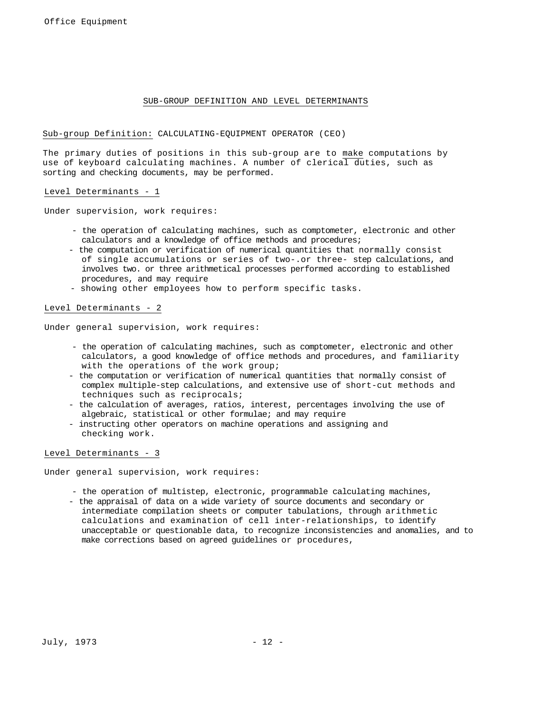## SUB-GROUP DEFINITION AND LEVEL DETERMINANTS

Sub-group Definition: CALCULATING-EQUIPMENT OPERATOR (CEO)

The primary duties of positions in this sub-group are to make computations by use of keyboard calculating machines. A number of clerical duties, such as sorting and checking documents, may be performed.

# Level Determinants - 1

Under supervision, work requires:

- the operation of calculating machines, such as comptometer, electronic and other calculators and a knowledge of office methods and procedures;
- the computation or verification of numerical quantities that normally consist of single accumulations or series of two-.or three- step calculations, and involves two. or three arithmetical processes performed according to established procedures, and may require
- showing other employees how to perform specific tasks.

Level Determinants - 2

Under general supervision, work requires:

- the operation of calculating machines, such as comptometer, electronic and other calculators, a good knowledge of office methods and procedures, and familiarity with the operations of the work group;
- the computation or verification of numerical quantities that normally consist of complex multiple-step calculations, and extensive use of short-cut methods and techniques such as reciprocals;
- the calculation of averages, ratios, interest, percentages involving the use of algebraic, statistical or other formulae; and may require
- instructing other operators on machine operations and assigning and checking work.

#### Level Determinants - 3

Under general supervision, work requires:

- the operation of multistep, electronic, programmable calculating machines,
- the appraisal of data on a wide variety of source documents and secondary or intermediate compilation sheets or computer tabulations, through arithmetic calculations and examination of cell inter-relationships, to identify unacceptable or questionable data, to recognize inconsistencies and anomalies, and to make corrections based on agreed guidelines or procedures,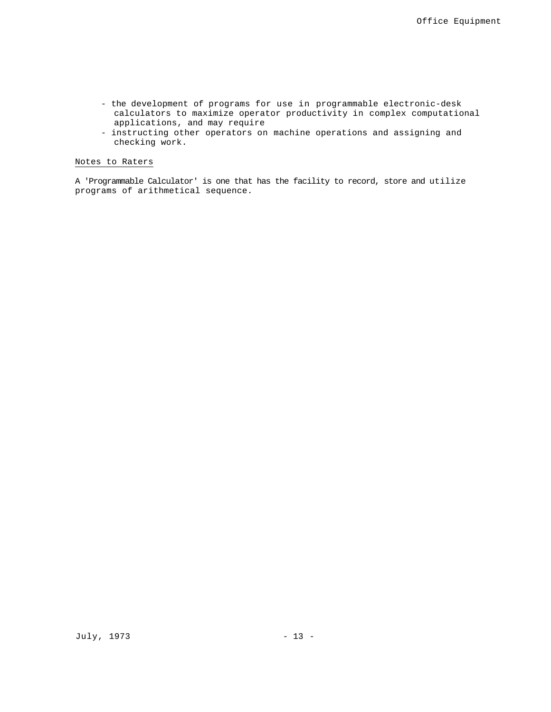- the development of programs for use in programmable electronic-desk calculators to maximize operator productivity in complex computational applications, and may require
- instructing other operators on machine operations and assigning and checking work.

# Notes to Raters

A 'Programmable Calculator' is one that has the facility to record, store and utilize programs of arithmetical sequence.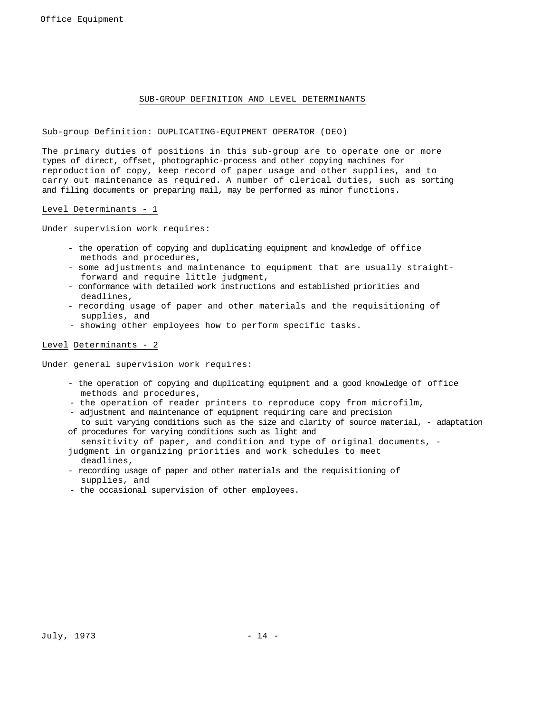# SUB-GROUP DEFINITION AND LEVEL DETERMINANTS

# Sub-group Definition: DUPLICATING-EQUIPMENT OPERATOR (DEO)

The primary duties of positions in this sub-group are to operate one or more types of direct, offset, photographic-process and other copying machines for reproduction of copy, keep record of paper usage and other supplies, and to carry out maintenance as required. A number of clerical duties, such as sorting and filing documents or preparing mail, may be performed as minor functions.

#### Level Determinants - 1

Under supervision work requires:

- the operation of copying and duplicating equipment and knowledge of office methods and procedures,
- some adjustments and maintenance to equipment that are usually straightforward and require little judgment,
- conformance with detailed work instructions and established priorities and deadlines,
- recording usage of paper and other materials and the requisitioning of supplies, and
- showing other employees how to perform specific tasks.

# Level Determinants - 2

Under general supervision work requires:

- the operation of copying and duplicating equipment and a good knowledge of office methods and procedures,
- the operation of reader printers to reproduce copy from microfilm,
- adjustment and maintenance of equipment requiring care and precision to suit varying conditions such as the size and clarity of source material, - adaptation
- of procedures for varying conditions such as light and sensitivity of paper, and condition and type of original documents, -

judgment in organizing priorities and work schedules to meet deadlines,

- recording usage of paper and other materials and the requisitioning of supplies, and
- the occasional supervision of other employees.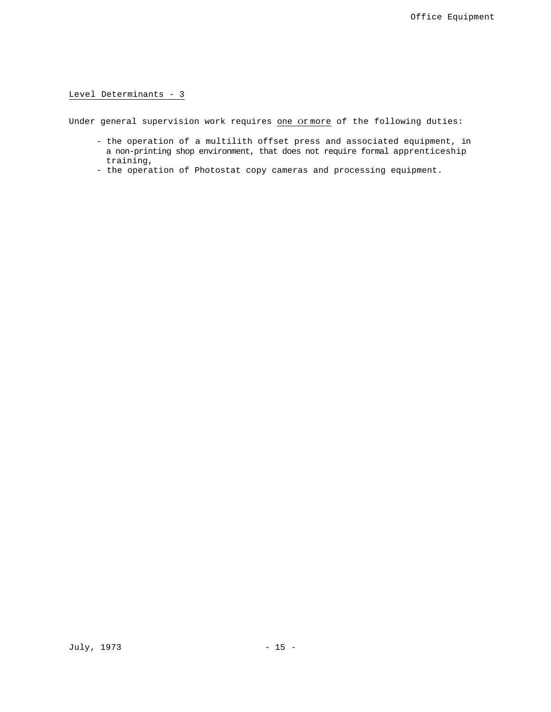# Level Determinants - 3

Under general supervision work requires one Of more of the following duties:

- the operation of a multilith offset press and associated equipment, in a non-printing shop environment, that does not require formal apprenticeship training,
- the operation of Photostat copy cameras and processing equipment.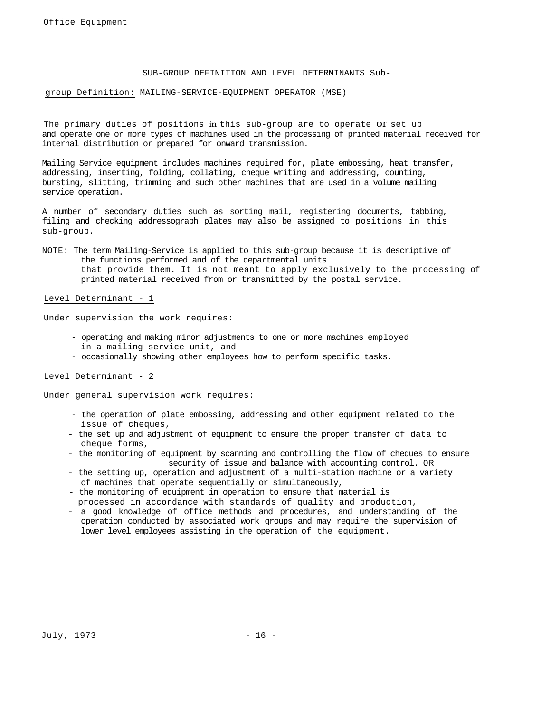# SUB-GROUP DEFINITION AND LEVEL DETERMINANTS Sub-

# group Definition: MAILING-SERVICE-EQUIPMENT OPERATOR (MSE)

The primary duties of positions in this sub-group are to operate OT set up and operate one or more types of machines used in the processing of printed material received for internal distribution or prepared for onward transmission.

Mailing Service equipment includes machines required for, plate embossing, heat transfer, addressing, inserting, folding, collating, cheque writing and addressing, counting, bursting, slitting, trimming and such other machines that are used in a volume mailing service operation.

A number of secondary duties such as sorting mail, registering documents, tabbing, filing and checking addressograph plates may also be assigned to positions in this sub-group.

NOTE: The term Mailing-Service is applied to this sub-group because it is descriptive of the functions performed and of the departmental units that provide them. It is not meant to apply exclusively to the processing of printed material received from or transmitted by the postal service.

# Level Determinant - 1

Under supervision the work requires:

- operating and making minor adjustments to one or more machines employed in a mailing service unit, and
- occasionally showing other employees how to perform specific tasks.

# Level Determinant - 2

Under general supervision work requires:

- the operation of plate embossing, addressing and other equipment related to the issue of cheques,
- the set up and adjustment of equipment to ensure the proper transfer of data to cheque forms,
- the monitoring of equipment by scanning and controlling the flow of cheques to ensure security of issue and balance with accounting control. OR
- the setting up, operation and adjustment of a multi-station machine or a variety of machines that operate sequentially or simultaneously,
- the monitoring of equipment in operation to ensure that material is processed in accordance with standards of quality and production,
- a good knowledge of office methods and procedures, and understanding of the operation conducted by associated work groups and may require the supervision of lower level employees assisting in the operation of the equipment.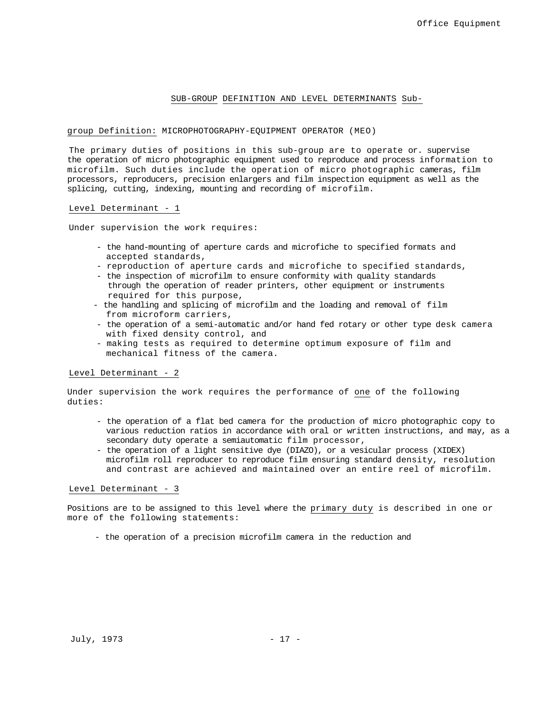#### SUB-GROUP DEFINITION AND LEVEL DETERMINANTS Sub-

#### group Definition: MICROPHOTOGRAPHY-EQUIPMENT OPERATOR (MEO)

The primary duties of positions in this sub-group are to operate or. supervise the operation of micro photographic equipment used to reproduce and process information to microfilm. Such duties include the operation of micro photographic cameras, film processors, reproducers, precision enlargers and film inspection equipment as well as the splicing, cutting, indexing, mounting and recording of microfilm.

#### Level Determinant - 1

Under supervision the work requires:

- the hand-mounting of aperture cards and microfiche to specified formats and accepted standards,
- reproduction of aperture cards and microfiche to specified standards,
- the inspection of microfilm to ensure conformity with quality standards through the operation of reader printers, other equipment or instruments required for this purpose,
- the handling and splicing of microfilm and the loading and removal of film from microform carriers,
- the operation of a semi-automatic and/or hand fed rotary or other type desk camera with fixed density control, and
- making tests as required to determine optimum exposure of film and mechanical fitness of the camera.

#### Level Determinant - 2

Under supervision the work requires the performance of one of the following duties:

- the operation of a flat bed camera for the production of micro photographic copy to various reduction ratios in accordance with oral or written instructions, and may, as a secondary duty operate a semiautomatic film processor,
- the operation of a light sensitive dye (DIAZO), or a vesicular process (XIDEX) microfilm roll reproducer to reproduce film ensuring standard density, resolution and contrast are achieved and maintained over an entire reel of microfilm.

#### Level Determinant - 3

Positions are to be assigned to this level where the primary duty is described in one or more of the following statements:

- the operation of a precision microfilm camera in the reduction and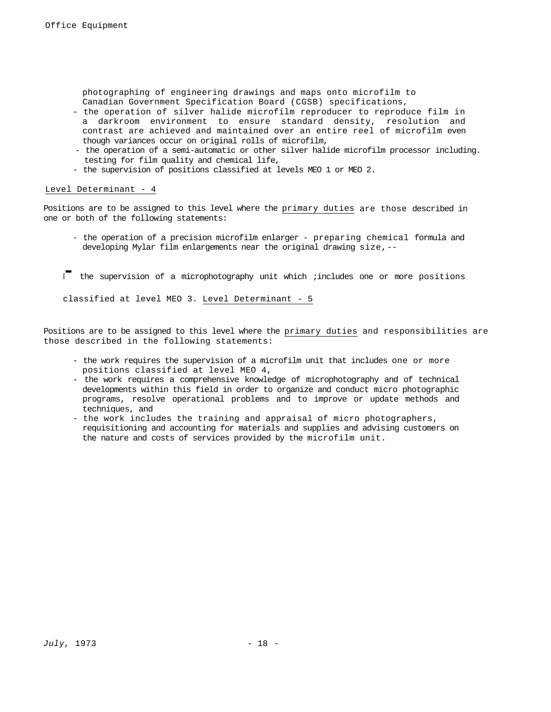photographing of engineering drawings and maps onto microfilm to Canadian Government Specification Board (CGSB) specifications,

- the operation of silver halide microfilm reproducer to reproduce film in a darkroom environment to ensure standard density, resolution and contrast are achieved and maintained over an entire reel of microfilm even though variances occur on original rolls of microfilm,
- the operation of a semi-automatic or other silver halide microfilm processor including. testing for film quality and chemical life,
- the supervision of positions classified at levels MEO 1 or MEO 2.

# Level Determinant - 4

Positions are to be assigned to this level where the primary duties are those described in one or both of the following statements:

- the operation of a precision microfilm enlarger preparing chemical formula and developing Mylar film enlargements near the original drawing size, --
- I<sup>-</sup> the supervision of a microphotography unit which ; includes one or more positions

classified at level MEO 3. Level Determinant - 5

Positions are to be assigned to this level where the primary duties and responsibilities are those described in the following statements:

- the work requires the supervision of a microfilm unit that includes one or more positions classified at level MEO 4,
- the work requires a comprehensive knowledge of microphotography and of technical developments within this field in order to organize and conduct micro photographic programs, resolve operational problems and to improve or update methods and techniques, and
- the work includes the training and appraisal of micro photographers, requisitioning and accounting for materials and supplies and advising customers on the nature and costs of services provided by the microfilm unit.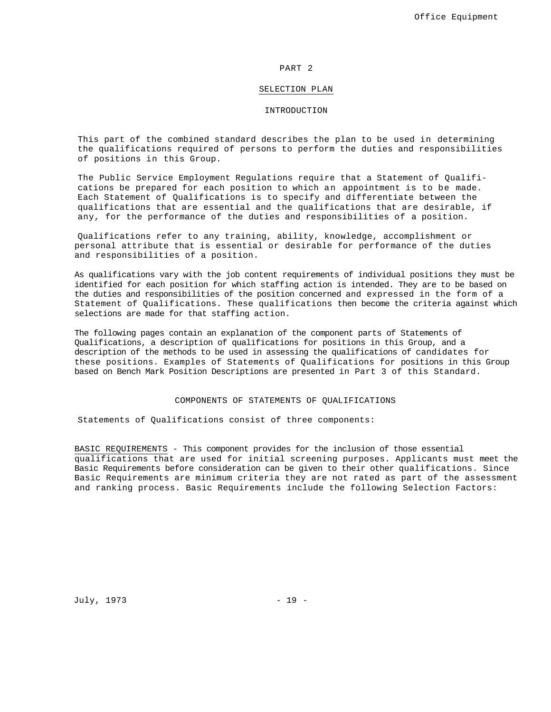#### PART 2

#### SELECTION PLAN

#### INTRODUCTION

This part of the combined standard describes the plan to be used in determining the qualifications required of persons to perform the duties and responsibilities of positions in this Group.

The Public Service Employment Regulations require that a Statement of Qualifications be prepared for each position to which an appointment is to be made. Each Statement of Qualifications is to specify and differentiate between the qualifications that are essential and the qualifications that are desirable, if any, for the performance of the duties and responsibilities of a position.

Qualifications refer to any training, ability, knowledge, accomplishment or personal attribute that is essential or desirable for performance of the duties and responsibilities of a position.

As qualifications vary with the job content requirements of individual positions they must be identified for each position for which staffing action is intended. They are to be based on the duties and responsibilities of the position concerned and expressed in the form of a Statement of Qualifications. These qualifications then become the criteria against which selections are made for that staffing action.

The following pages contain an explanation of the component parts of Statements of Qualifications, a description of qualifications for positions in this Group, and a description of the methods to be used in assessing the qualifications of candidates for these positions. Examples of Statements of Qualifications for positions in this Group based on Bench Mark Position Descriptions are presented in Part 3 of this Standard.

#### COMPONENTS OF STATEMENTS OF QUALIFICATIONS

Statements of Qualifications consist of three components:

BASIC REQUIREMENTS - This component provides for the inclusion of those essential qualifications that are used for initial screening purposes. Applicants must meet the Basic Requirements before consideration can be given to their other qualifications. Since Basic Requirements are minimum criteria they are not rated as part of the assessment and ranking process. Basic Requirements include the following Selection Factors:

July, 1973 - 19 -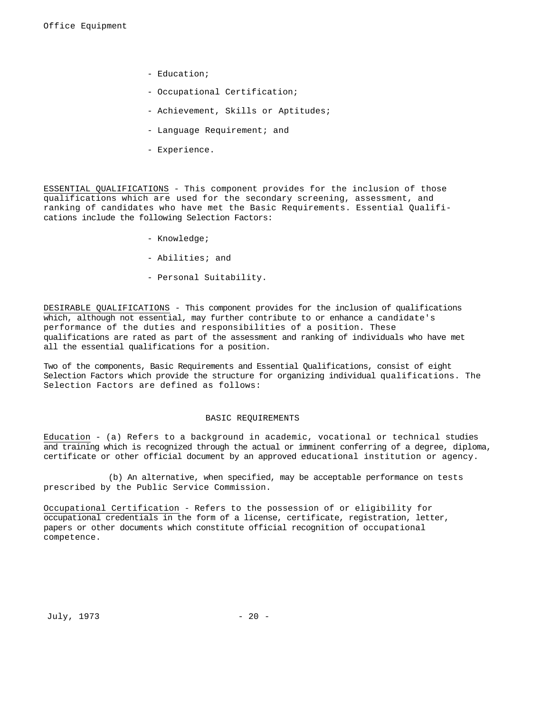- Education;
- Occupational Certification;
- Achievement, Skills or Aptitudes;
- Language Requirement; and
- Experience.

ESSENTIAL QUALIFICATIONS - This component provides for the inclusion of those qualifications which are used for the secondary screening, assessment, and ranking of candidates who have met the Basic Requirements. Essential Qualifications include the following Selection Factors:

- Knowledge;
- Abilities; and
- Personal Suitability.

DESIRABLE QUALIFICATIONS - This component provides for the inclusion of qualifications which, although not essential, may further contribute to or enhance a candidate's performance of the duties and responsibilities of a position. These qualifications are rated as part of the assessment and ranking of individuals who have met all the essential qualifications for a position.

Two of the components, Basic Requirements and Essential Qualifications, consist of eight Selection Factors which provide the structure for organizing individual qualifications. The Selection Factors are defined as follows:

#### BASIC REQUIREMENTS

Education - (a) Refers to a background in academic, vocational or technical studies and training which is recognized through the actual or imminent conferring of a degree, diploma, certificate or other official document by an approved educational institution or agency.

(b) An alternative, when specified, may be acceptable performance on tests prescribed by the Public Service Commission.

Occupational Certification - Refers to the possession of or eligibility for occupational credentials in the form of a license, certificate, registration, letter, papers or other documents which constitute official recognition of occupational competence.

July, 1973 - 20 -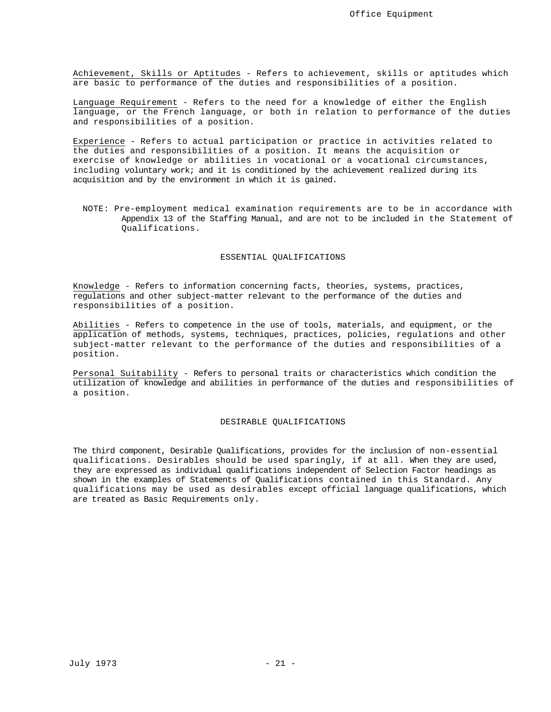Achievement, Skills or Aptitudes - Refers to achievement, skills or aptitudes which are basic to performance of the duties and responsibilities of a position.

Language Requirement - Refers to the need for a knowledge of either the English language, or the French language, or both in relation to performance of the duties and responsibilities of a position.

Experience - Refers to actual participation or practice in activities related to the duties and responsibilities of a position. It means the acquisition or exercise of knowledge or abilities in vocational or a vocational circumstances, including voluntary work; and it is conditioned by the achievement realized during its acquisition and by the environment in which it is gained.

NOTE: Pre-employment medical examination requirements are to be in accordance with Appendix 13 of the Staffing Manual, and are not to be included in the Statement of Qualifications.

# ESSENTIAL QUALIFICATIONS

Knowledge - Refers to information concerning facts, theories, systems, practices, regulations and other subject-matter relevant to the performance of the duties and responsibilities of a position.

Abilities - Refers to competence in the use of tools, materials, and equipment, or the application of methods, systems, techniques, practices, policies, regulations and other subject-matter relevant to the performance of the duties and responsibilities of a position.

Personal Suitability - Refers to personal traits or characteristics which condition the utilization of knowledge and abilities in performance of the duties and responsibilities of a position.

#### DESIRABLE QUALIFICATIONS

The third component, Desirable Qualifications, provides for the inclusion of non-essential qualifications. Desirables should be used sparingly, if at all. When they are used, they are expressed as individual qualifications independent of Selection Factor headings as shown in the examples of Statements of Qualifications contained in this Standard. Any qualifications may be used as desirables except official language qualifications, which are treated as Basic Requirements only.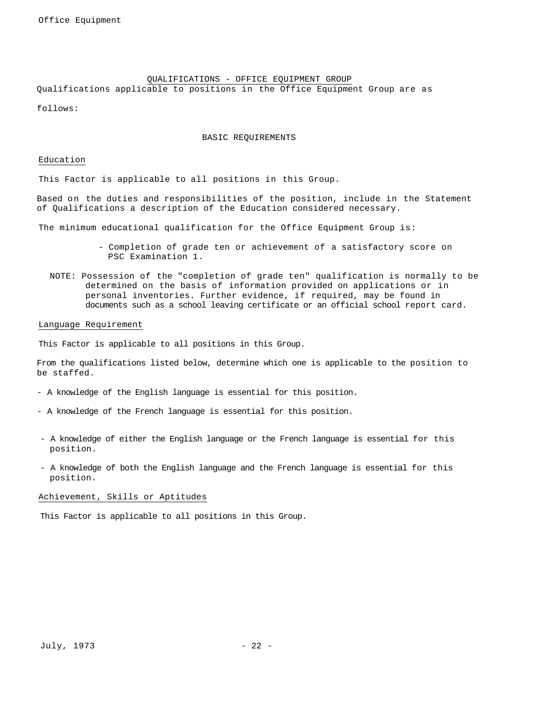# QUALIFICATIONS - OFFICE EQUIPMENT GROUP

Qualifications applicable to positions in the Office Equipment Group are as

follows:

# BASIC REQUIREMENTS

Education

This Factor is applicable to all positions in this Group.

Based on the duties and responsibilities of the position, include in the Statement of Qualifications a description of the Education considered necessary.

The minimum educational qualification for the Office Equipment Group is:

- Completion of grade ten or achievement of a satisfactory score on PSC Examination 1.
- NOTE: Possession of the "completion of grade ten" qualification is normally to be determined on the basis of information provided on applications or in personal inventories. Further evidence, if required, may be found in documents such as a school leaving certificate or an official school report card.

#### Language Requirement

This Factor is applicable to all positions in this Group.

From the qualifications listed below, determine which one is applicable to the position to be staffed.

- A knowledge of the English language is essential for this position.
- A knowledge of the French language is essential for this position.
- A knowledge of either the English language or the French language is essential for this position.
- A knowledge of both the English language and the French language is essential for this position.

# Achievement, Skills or Aptitudes

This Factor is applicable to all positions in this Group.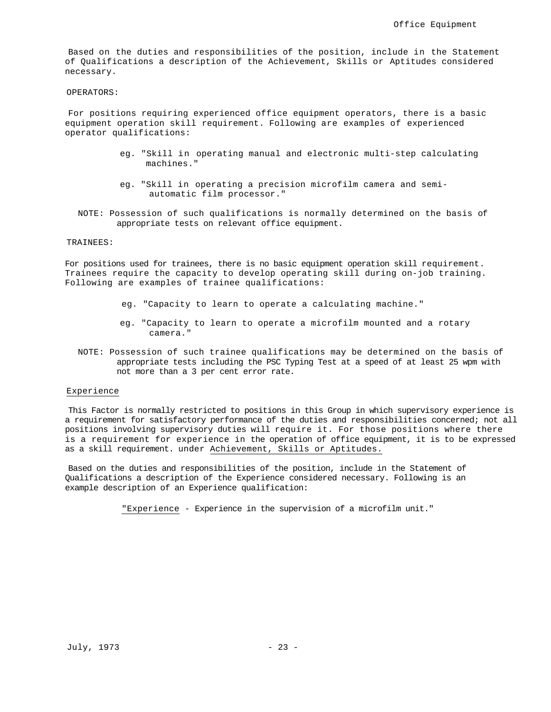Based on the duties and responsibilities of the position, include in the Statement of Qualifications a description of the Achievement, Skills or Aptitudes considered necessary.

#### OPERATORS:

For positions requiring experienced office equipment operators, there is a basic equipment operation skill requirement. Following are examples of experienced operator qualifications:

- eg. "Skill in operating manual and electronic multi-step calculating machines."
- eg. "Skill in operating a precision microfilm camera and semiautomatic film processor."
- NOTE: Possession of such qualifications is normally determined on the basis of appropriate tests on relevant office equipment.

# TRAINEES:

For positions used for trainees, there is no basic equipment operation skill requirement. Trainees require the capacity to develop operating skill during on-job training. Following are examples of trainee qualifications:

- eg. "Capacity to learn to operate a calculating machine."
- eg. "Capacity to learn to operate a microfilm mounted and a rotary camera."
- NOTE: Possession of such trainee qualifications may be determined on the basis of appropriate tests including the PSC Typing Test at a speed of at least 25 wpm with not more than a 3 per cent error rate.

#### Experience

This Factor is normally restricted to positions in this Group in which supervisory experience is a requirement for satisfactory performance of the duties and responsibilities concerned; not all positions involving supervisory duties will require it. For those positions where there is a requirement for experience in the operation of office equipment, it is to be expressed as a skill requirement. under Achievement, Skills or Aptitudes.

Based on the duties and responsibilities of the position, include in the Statement of Qualifications a description of the Experience considered necessary. Following is an example description of an Experience qualification:

"Experience - Experience in the supervision of a microfilm unit."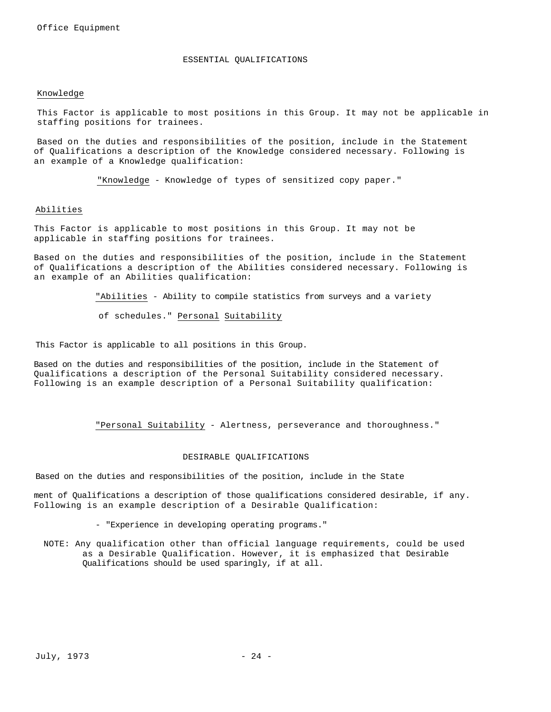#### ESSENTIAL QUALIFICATIONS

#### Knowledge

This Factor is applicable to most positions in this Group. It may not be applicable in staffing positions for trainees.

Based on the duties and responsibilities of the position, include in the Statement of Qualifications a description of the Knowledge considered necessary. Following is an example of a Knowledge qualification:

"Knowledge - Knowledge of types of sensitized copy paper."

#### Abilities

This Factor is applicable to most positions in this Group. It may not be applicable in staffing positions for trainees.

Based on the duties and responsibilities of the position, include in the Statement of Qualifications a description of the Abilities considered necessary. Following is an example of an Abilities qualification:

"Abilities - Ability to compile statistics from surveys and a variety

of schedules." Personal Suitability

This Factor is applicable to all positions in this Group.

Based on the duties and responsibilities of the position, include in the Statement of Qualifications a description of the Personal Suitability considered necessary. Following is an example description of a Personal Suitability qualification:

"Personal Suitability - Alertness, perseverance and thoroughness."

#### DESIRABLE QUALIFICATIONS

Based on the duties and responsibilities of the position, include in the State

ment of Qualifications a description of those qualifications considered desirable, if any. Following is an example description of a Desirable Qualification:

- "Experience in developing operating programs."

NOTE: Any qualification other than official language requirements, could be used as a Desirable Qualification. However, it is emphasized that Desirable Qualifications should be used sparingly, if at all.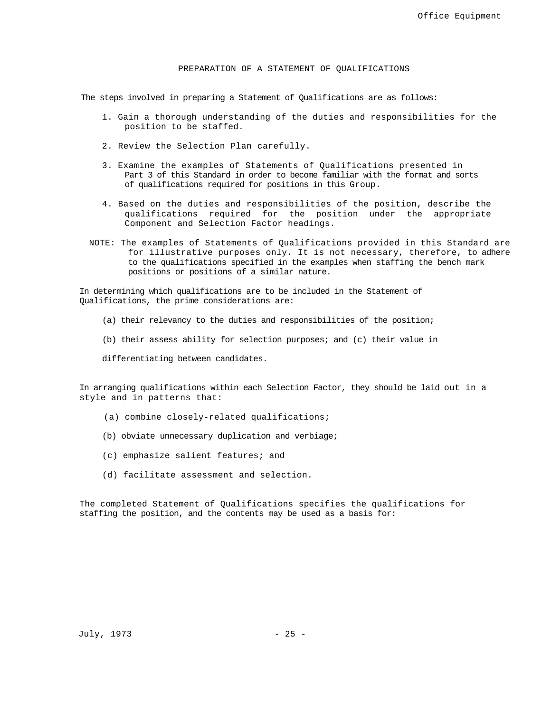# PREPARATION OF A STATEMENT OF QUALIFICATIONS

The steps involved in preparing a Statement of Qualifications are as follows:

- 1. Gain a thorough understanding of the duties and responsibilities for the position to be staffed.
- 2. Review the Selection Plan carefully.
- 3. Examine the examples of Statements of Qualifications presented in Part 3 of this Standard in order to become familiar with the format and sorts of qualifications required for positions in this Group.
- 4. Based on the duties and responsibilities of the position, describe the qualifications required for the position under the appropriate Component and Selection Factor headings.
- NOTE: The examples of Statements of Qualifications provided in this Standard are for illustrative purposes only. It is not necessary, therefore, to adhere to the qualifications specified in the examples when staffing the bench mark positions or positions of a similar nature.

In determining which qualifications are to be included in the Statement of Qualifications, the prime considerations are:

- (a) their relevancy to the duties and responsibilities of the position;
- (b) their assess ability for selection purposes; and (c) their value in

differentiating between candidates.

In arranging qualifications within each Selection Factor, they should be laid out in a style and in patterns that:

- (a) combine closely-related qualifications;
- (b) obviate unnecessary duplication and verbiage;
- (c) emphasize salient features; and
- (d) facilitate assessment and selection.

The completed Statement of Qualifications specifies the qualifications for staffing the position, and the contents may be used as a basis for: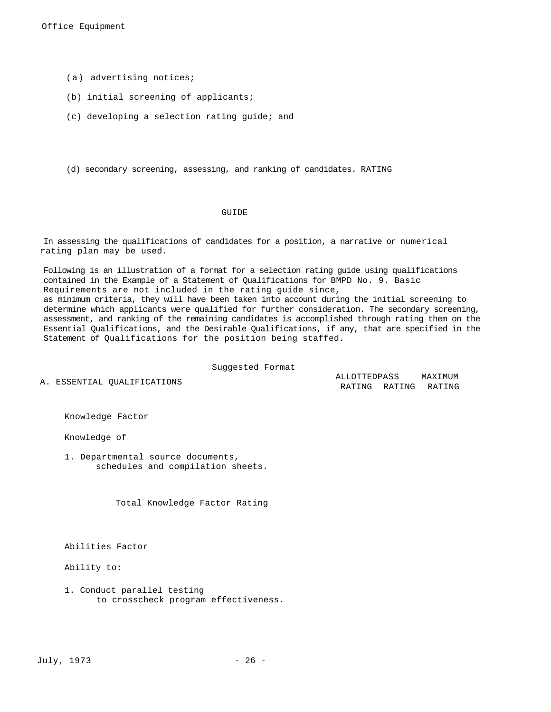- (a) advertising notices;
- (b) initial screening of applicants;
- (c) developing a selection rating guide; and
- (d) secondary screening, assessing, and ranking of candidates. RATING

# GUIDE

In assessing the qualifications of candidates for a position, a narrative or numerical rating plan may be used.

Following is an illustration of a format for a selection rating guide using qualifications contained in the Example of a Statement of Qualifications for BMPD No. 9. Basic Requirements are not included in the rating guide since, as minimum criteria, they will have been taken into account during the initial screening to determine which applicants were qualified for further consideration. The secondary screening, assessment, and ranking of the remaining candidates is accomplished through rating them on the Essential Qualifications, and the Desirable Qualifications, if any, that are specified in the Statement of Qualifications for the position being staffed.

Suggested Format

A. ESSENTIAL OUALIFICATIONS

RATING RATING RATING ALLOTTEDPASS MAXIMUM

Knowledge Factor

Knowledge of

1. Departmental source documents, schedules and compilation sheets.

Total Knowledge Factor Rating

Abilities Factor

Ability to:

1. Conduct parallel testing to crosscheck program effectiveness.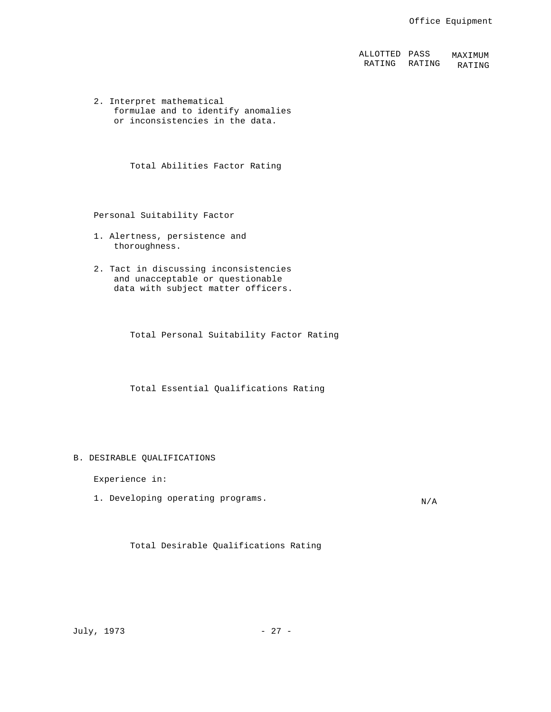ALLOTTED PASS RATING RATING RATING MAXIMUM

2. Interpret mathematical formulae and to identify anomalies or inconsistencies in the data.

Total Abilities Factor Rating

Personal Suitability Factor

- 1. Alertness, persistence and thoroughness.
- 2. Tact in discussing inconsistencies and unacceptable or questionable data with subject matter officers.

Total Personal Suitability Factor Rating

Total Essential Qualifications Rating

#### B. DESIRABLE QUALIFICATIONS

Experience in:

1. Developing operating programs.<br>
N/A

Total Desirable Qualifications Rating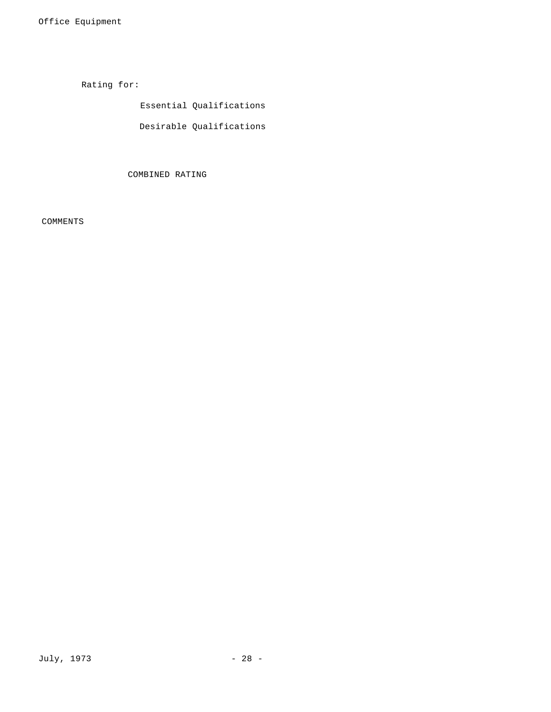Rating for:

Essential Qualifications

Desirable Qualifications

COMBINED RATING

COMMENTS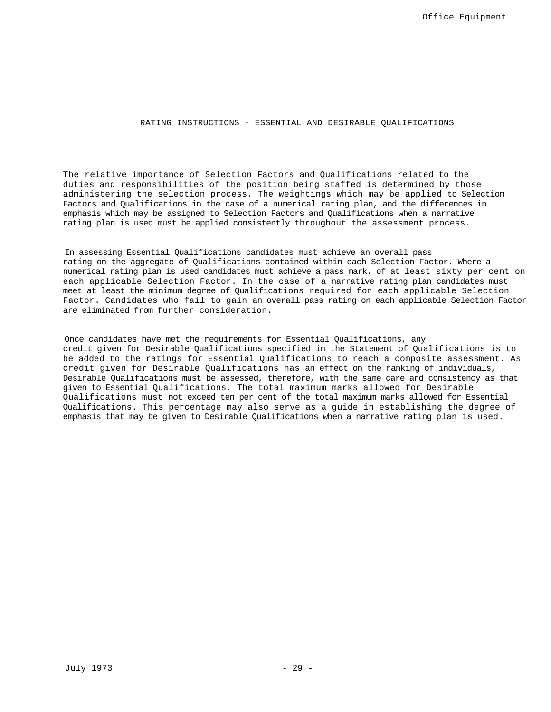# RATING INSTRUCTIONS - ESSENTIAL AND DESIRABLE QUALIFICATIONS

The relative importance of Selection Factors and Qualifications related to the duties and responsibilities of the position being staffed is determined by those administering the selection process. The weightings which may be applied to Selection Factors and Qualifications in the case of a numerical rating plan, and the differences in emphasis which may be assigned to Selection Factors and Qualifications when a narrative rating plan is used must be applied consistently throughout the assessment process.

In assessing Essential Qualifications candidates must achieve an overall pass rating on the aggregate of Qualifications contained within each Selection Factor. Where a numerical rating plan is used candidates must achieve a pass mark. of at least sixty per cent on each applicable Selection Factor. In the case of a narrative rating plan candidates must meet at least the minimum degree of Qualifications required for each applicable Selection Factor. Candidates who fail to gain an overall pass rating on each applicable Selection Factor are eliminated from further consideration.

Once candidates have met the requirements for Essential Qualifications, any credit given for Desirable Qualifications specified in the Statement of Qualifications is to be added to the ratings for Essential Qualifications to reach a composite assessment. As credit given for Desirable Qualifications has an effect on the ranking of individuals, Desirable Qualifications must be assessed, therefore, with the same care and consistency as that given to Essential Qualifications. The total maximum marks allowed for Desirable Qualifications must not exceed ten per cent of the total maximum marks allowed for Essential Qualifications. This percentage may also serve as a guide in establishing the degree of emphasis that may be given to Desirable Qualifications when a narrative rating plan is used.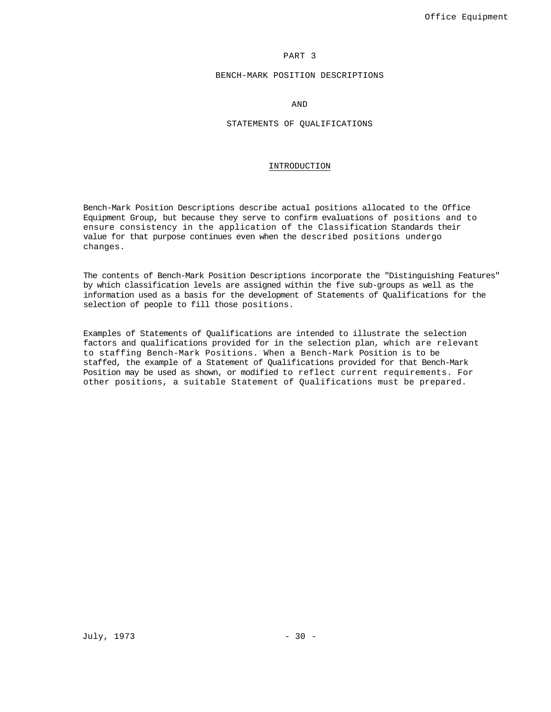# PART 3

# BENCH-MARK POSITION DESCRIPTIONS

AND

# STATEMENTS OF QUALIFICATIONS

## INTRODUCTION

Bench-Mark Position Descriptions describe actual positions allocated to the Office Equipment Group, but because they serve to confirm evaluations of positions and to ensure consistency in the application of the Classification Standards their value for that purpose continues even when the described positions undergo changes.

The contents of Bench-Mark Position Descriptions incorporate the "Distinguishing Features" by which classification levels are assigned within the five sub-groups as well as the information used as a basis for the development of Statements of Qualifications for the selection of people to fill those positions.

Examples of Statements of Qualifications are intended to illustrate the selection factors and qualifications provided for in the selection plan, which are relevant to staffing Bench-Mark Positions. When a Bench-Mark Position is to be staffed, the example of a Statement of Qualifications provided for that Bench-Mark Position may be used as shown, or modified to reflect current requirements. For other positions, a suitable Statement of Qualifications must be prepared.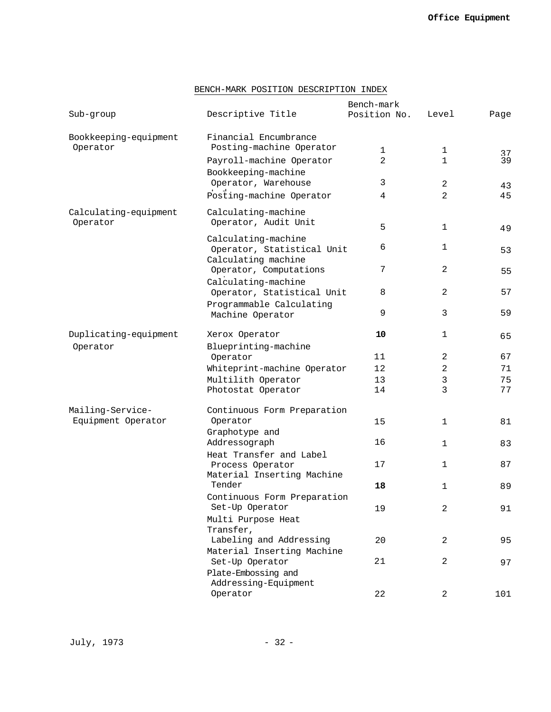# BENCH-MARK POSITION DESCRIPTION INDEX

|                                        |                                                   | Bench-mark   |                |          |
|----------------------------------------|---------------------------------------------------|--------------|----------------|----------|
| Sub-group                              | Descriptive Title                                 | Position No. | Level          | Page     |
| Bookkeeping-equipment<br>Operator      | Financial Encumbrance<br>Posting-machine Operator | 1            | 1              |          |
|                                        | Payroll-machine Operator                          | 2            | $\mathbf{1}$   | 37<br>39 |
|                                        | Bookkeeping-machine                               |              |                |          |
|                                        | Operator, Warehouse                               | 3            | 2              | 43       |
|                                        | Posting-machine Operator                          | 4            | $\overline{2}$ | 45       |
| Calculating-equipment                  | Calculating-machine                               |              |                |          |
| Operator                               | Operator, Audit Unit                              | 5            | 1              | 49       |
|                                        | Calculating-machine<br>Operator, Statistical Unit | 6            | 1              | 53       |
|                                        | Calculating machine<br>Operator, Computations     | 7            | 2              | 55       |
|                                        | Calculating-machine                               |              |                |          |
|                                        | Operator, Statistical Unit                        | 8            | 2              | 57       |
|                                        | Programmable Calculating<br>Machine Operator      | 9            | 3              | 59       |
| Duplicating-equipment                  | Xerox Operator                                    | 10           | 1              | 65       |
| Operator                               | Blueprinting-machine                              |              |                |          |
|                                        | Operator                                          | 11           | 2              | 67       |
|                                        | Whiteprint-machine Operator                       | 12           | $\overline{2}$ | 71       |
|                                        | Multilith Operator                                | 13           | 3              | 75       |
|                                        | Photostat Operator                                | 14           | 3              | 77       |
| Mailing-Service-<br>Equipment Operator | Continuous Form Preparation<br>Operator           | 15           | 1              | 81       |
|                                        | Graphotype and                                    |              |                |          |
|                                        | Addressograph                                     | 16           | 1              | 83       |
|                                        | Heat Transfer and Label<br>Process Operator       | 17           | 1              | 87       |
|                                        | Material Inserting Machine<br>Tender              | 18           | 1              | 89       |
|                                        | Continuous Form Preparation<br>Set-Up Operator    | 19           | $\overline{a}$ | 91       |
|                                        | Multi Purpose Heat<br>Transfer,                   |              |                |          |
|                                        | Labeling and Addressing                           | 20           | 2              | 95       |
|                                        | Material Inserting Machine                        |              |                |          |
|                                        | Set-Up Operator                                   | 21           | 2              | 97       |
|                                        | Plate-Embossing and                               |              |                |          |
|                                        | Addressing-Equipment<br>Operator                  |              |                |          |
|                                        |                                                   | 22           | 2              | 101      |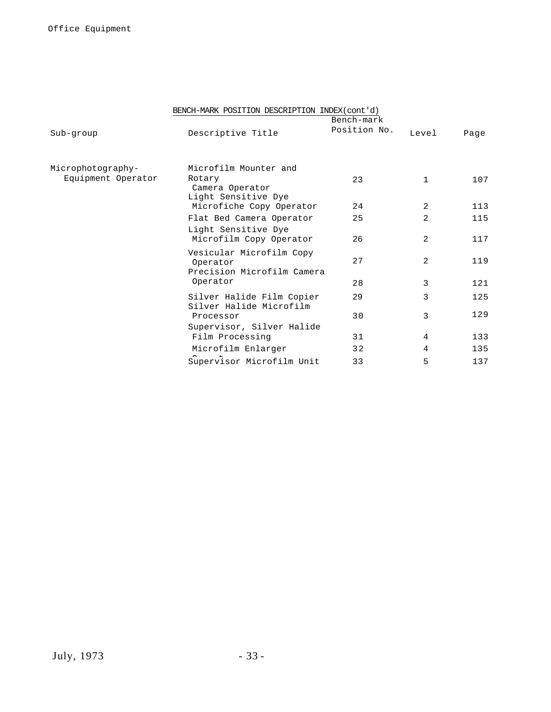|                    | BENCH-MARK POSITION DESCRIPTION INDEX(cont'd)                      |              |                |      |
|--------------------|--------------------------------------------------------------------|--------------|----------------|------|
|                    |                                                                    | Bench-mark   |                |      |
| Sub-group          | Descriptive Title                                                  | Position No. | Level          | Page |
| Microphotography-  | Microfilm Mounter and                                              |              |                |      |
| Equipment Operator | Rotary<br>Camera Operator<br>Light Sensitive Dye                   | 23           | $\mathbf{1}$   | 107  |
|                    | Microfiche Copy Operator                                           | 24           | 2              | 113  |
|                    | Flat Bed Camera Operator                                           | 25           | 2              | 115  |
|                    | Light Sensitive Dye<br>Microfilm Copy Operator                     | 26           | $\overline{2}$ | 117  |
|                    | Vesicular Microfilm Copy<br>Operator<br>Precision Microfilm Camera | 27           | $\overline{2}$ | 119  |
|                    | Operator                                                           | 28           | 3              | 121  |
|                    | Silver Halide Film Copier<br>Silver Halide Microfilm               | 29           | 3              | 125  |
|                    | Processor                                                          | 30           | 3              | 129  |
|                    | Supervisor, Silver Halide<br>Film Processing                       | 31           | 4              | 133  |
|                    | Microfilm Enlarger                                                 | 32           | 4              | 135  |
|                    | Supervisor Microfilm Unit                                          | 33           | 5              | 137  |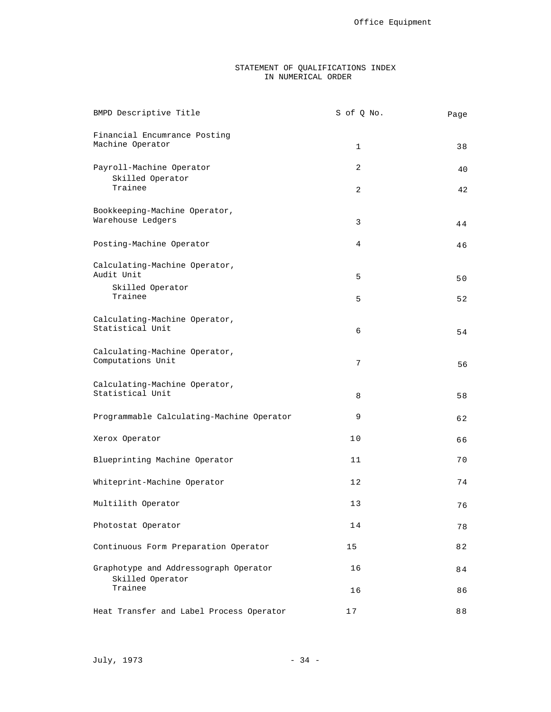## STATEMENT OF QUALIFICATIONS INDEX IN NUMERICAL ORDER

| BMPD Descriptive Title                             | S of Q No.  | Page |
|----------------------------------------------------|-------------|------|
| Financial Encumrance Posting<br>Machine Operator   | $\mathbf 1$ | 38   |
| Payroll-Machine Operator<br>Skilled Operator       | 2           | 40   |
| Trainee                                            | 2           | 42   |
| Bookkeeping-Machine Operator,<br>Warehouse Ledgers | 3           | 44   |
| Posting-Machine Operator                           | 4           | 46   |
| Calculating-Machine Operator,<br>Audit Unit        | 5           | 50   |
| Skilled Operator<br>Trainee                        | 5           | 52   |
| Calculating-Machine Operator,<br>Statistical Unit  | 6           | 54   |
| Calculating-Machine Operator,<br>Computations Unit | 7           | 56   |
| Calculating-Machine Operator,<br>Statistical Unit  | 8           | 58   |
| Programmable Calculating-Machine Operator          | 9           | 62   |
| Xerox Operator                                     | 10          | 66   |
| Blueprinting Machine Operator                      | 11          | 70   |
| Whiteprint-Machine Operator                        | 12          | 74   |
| Multilith Operator                                 | 13          | 76   |
| Photostat Operator                                 | 14          | 78   |
| Continuous Form Preparation Operator               | 15          | 82   |
| Graphotype and Addressograph Operator              | 16          | 84   |
| Skilled Operator<br>Trainee                        | 16          | 86   |
| Heat Transfer and Label Process Operator           | 17          | 88   |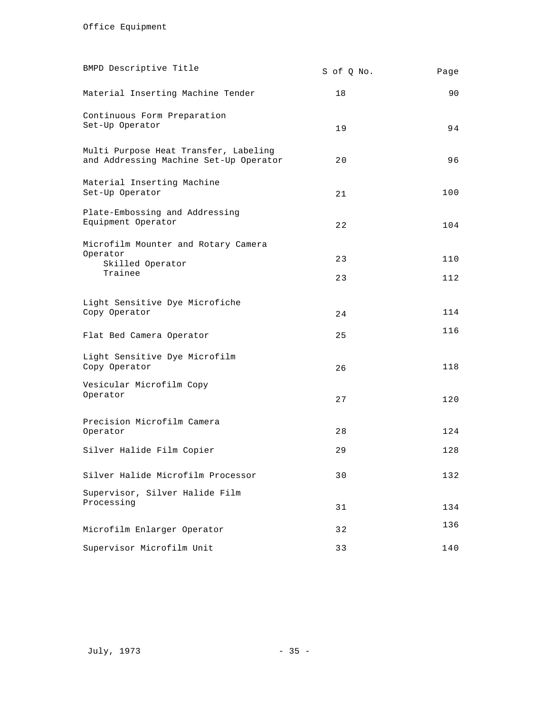| BMPD Descriptive Title                                                          | S of Q No. | Page       |
|---------------------------------------------------------------------------------|------------|------------|
| Material Inserting Machine Tender                                               | 18         | 90         |
| Continuous Form Preparation<br>Set-Up Operator                                  | 19         | 94         |
| Multi Purpose Heat Transfer, Labeling<br>and Addressing Machine Set-Up Operator | 20         | 96         |
| Material Inserting Machine<br>Set-Up Operator                                   | 21         | 100        |
| Plate-Embossing and Addressing<br>Equipment Operator                            | 22         | 104        |
| Microfilm Mounter and Rotary Camera<br>Operator<br>Skilled Operator<br>Trainee  | 23<br>23   | 110<br>112 |
| Light Sensitive Dye Microfiche<br>Copy Operator                                 | 24         | 114        |
| Flat Bed Camera Operator                                                        | 25         | 116        |
| Light Sensitive Dye Microfilm<br>Copy Operator                                  | 26         | 118        |
| Vesicular Microfilm Copy<br>Operator                                            | 27         | 120        |
| Precision Microfilm Camera<br>Operator                                          | 28         | 124        |
| Silver Halide Film Copier                                                       | 29         | 128        |
| Silver Halide Microfilm Processor                                               | 30         | 132        |
| Supervisor, Silver Halide Film<br>Processing                                    | 31         | 134        |
| Microfilm Enlarger Operator                                                     | 32         | 136        |
| Supervisor Microfilm Unit                                                       | 33         | 140        |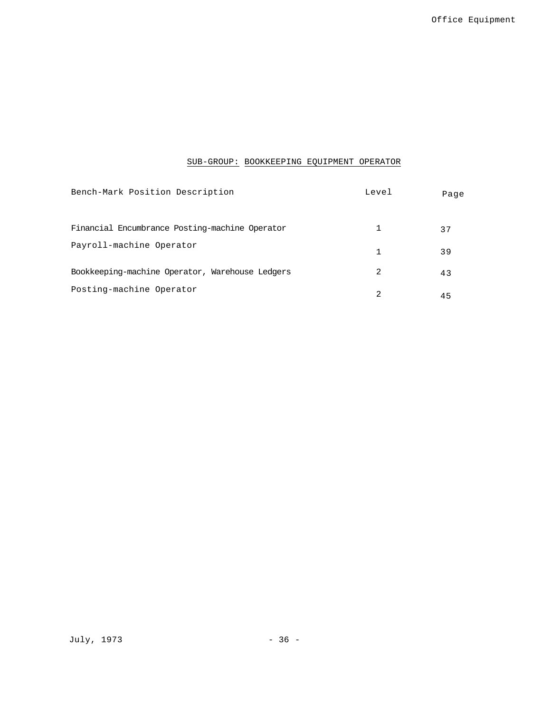# SUB-GROUP: BOOKKEEPING EQUIPMENT OPERATOR

| Bench-Mark Position Description                 | Level | Page |
|-------------------------------------------------|-------|------|
| Financial Encumbrance Posting-machine Operator  |       | 37   |
| Payroll-machine Operator                        |       | 39   |
| Bookkeeping-machine Operator, Warehouse Ledgers | 2     | 43   |
| Posting-machine Operator                        | 2     | 45   |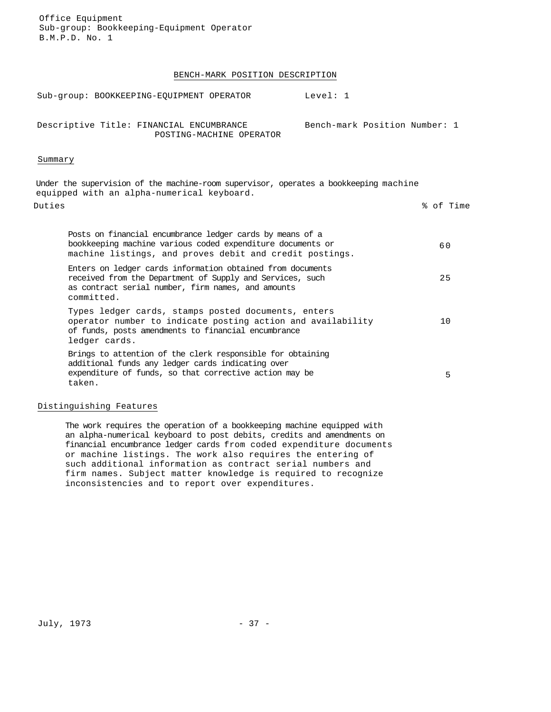# BENCH-MARK POSITION DESCRIPTION

| Sub-group: BOOKKEEPING-EOUIPMENT OPERATOR                                                                                                                                                   | Level: $1$                    |           |
|---------------------------------------------------------------------------------------------------------------------------------------------------------------------------------------------|-------------------------------|-----------|
| Descriptive Title: FINANCIAL ENCUMBRANCE<br>POSTING-MACHINE OPERATOR                                                                                                                        | Bench-mark Position Number: 1 |           |
| Summary                                                                                                                                                                                     |                               |           |
| Under the supervision of the machine-room supervisor, operates a bookkeeping machine<br>equipped with an alpha-numerical keyboard.                                                          |                               |           |
| Duties                                                                                                                                                                                      |                               | % of Time |
| Posts on financial encumbrance ledger cards by means of a<br>bookkeeping machine various coded expenditure documents or<br>machine listings, and proves debit and credit postings.          |                               | 60        |
| Enters on ledger cards information obtained from documents<br>received from the Department of Supply and Services, such<br>as contract serial number, firm names, and amounts<br>committed. |                               | 25        |
| Types ledger cards, stamps posted documents, enters<br>operator number to indicate posting action and availability<br>of funds, posts amendments to financial encumbrance<br>ledger cards.  |                               | 10        |
| Brings to attention of the clerk responsible for obtaining<br>additional funds any ledger cards indicating over<br>expenditure of funds, so that corrective action may be<br>taken.         |                               | 5         |

# Distinguishing Features

The work requires the operation of a bookkeeping machine equipped with an alpha-numerical keyboard to post debits, credits and amendments on financial encumbrance ledger cards from coded expenditure documents or machine listings. The work also requires the entering of such additional information as contract serial numbers and firm names. Subject matter knowledge is required to recognize inconsistencies and to report over expenditures.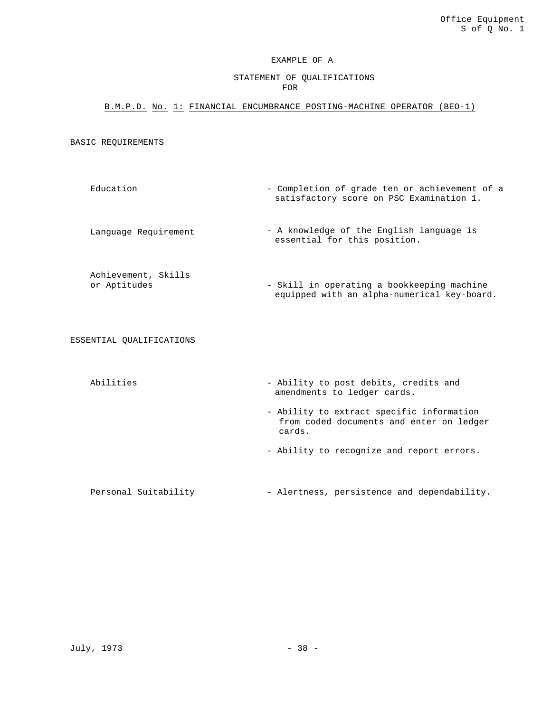# EXAMPLE OF A

# STATEMENT OF QUALIFICATIONS FOR

# B.M.P.D. No. 1: FINANCIAL ENCUMBRANCE POSTING-MACHINE OPERATOR (BEO-1)

BASIC REQUIREMENTS

- Education Completion of grade ten or achievement of a satisfactory score on PSC Examination 1.
- Language Requirement A knowledge of the English language is essential for this position.
- Achievement, Skills or Aptitudes - Skill in operating a bookkeeping machine equipped with an alpha-numerical key-board.

ESSENTIAL QUALIFICATIONS

- Abilities  $-$  Ability to post debits, credits and amendments to ledger cards.
	- Ability to extract specific information from coded documents and enter on ledger cards.
	- Ability to recognize and report errors.

Personal Suitability - Alertness, persistence and dependability.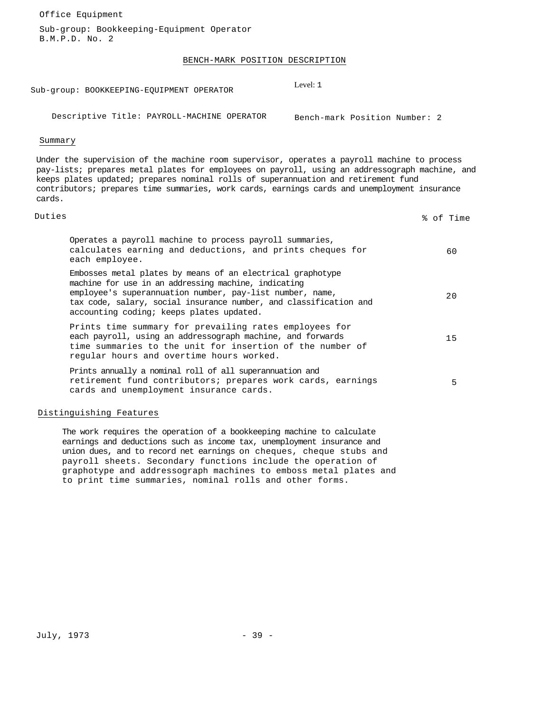Office Equipment

Sub-group: Bookkeeping-Equipment Operator B.M.P.D. No. 2

# BENCH-MARK POSITION DESCRIPTION

Sub-group: BOOKKEEPING-EQUIPMENT OPERATOR

Level: 1

Descriptive Title: PAYROLL-MACHINE OPERATOR Bench-mark Position Number: 2

#### Summary

Under the supervision of the machine room supervisor, operates a payroll machine to process pay-lists; prepares metal plates for employees on payroll, using an addressograph machine, and keeps plates updated; prepares nominal rolls of superannuation and retirement fund contributors; prepares time summaries, work cards, earnings cards and unemployment insurance cards.

# Duties % of Time

| Operates a payroll machine to process payroll summaries,<br>calculates earning and deductions, and prints cheques for<br>each employee.                                                                                                                                                         | 60  |
|-------------------------------------------------------------------------------------------------------------------------------------------------------------------------------------------------------------------------------------------------------------------------------------------------|-----|
| Embosses metal plates by means of an electrical graphotype<br>machine for use in an addressing machine, indicating<br>employee's superannuation number, pay-list number, name,<br>tax code, salary, social insurance number, and classification and<br>accounting coding; keeps plates updated. | 2.0 |
| Prints time summary for prevailing rates employees for<br>each payroll, using an addressograph machine, and forwards<br>time summaries to the unit for insertion of the number of<br>regular hours and overtime hours worked.                                                                   | 15  |
| Prints annually a nominal roll of all superannuation and<br>retirement fund contributors; prepares work cards, earnings<br>cards and unemployment insurance cards.                                                                                                                              | 5   |

#### Distinguishing Features

The work requires the operation of a bookkeeping machine to calculate earnings and deductions such as income tax, unemployment insurance and union dues, and to record net earnings on cheques, cheque stubs and payroll sheets. Secondary functions include the operation of graphotype and addressograph machines to emboss metal plates and to print time summaries, nominal rolls and other forms.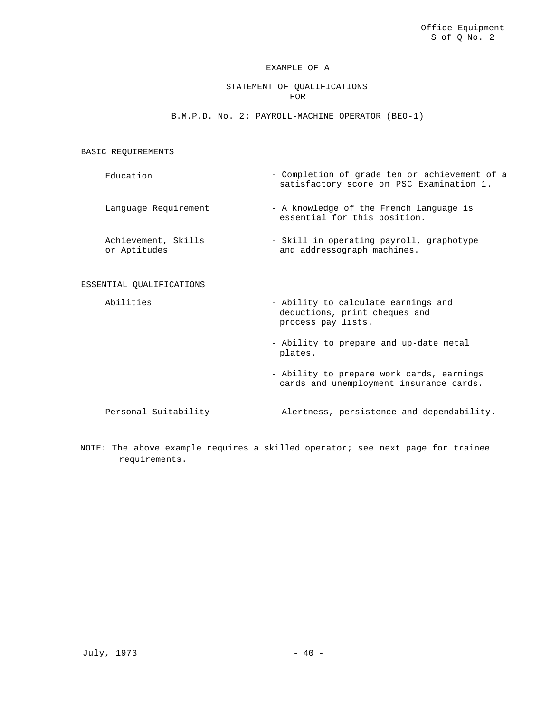## STATEMENT OF QUALIFICATIONS FOR

#### B.M.P.D. No. 2: PAYROLL-MACHINE OPERATOR (BEO-1)

BASIC REQUIREMENTS

Education - Completion of grade ten or achievement of a satisfactory score on PSC Examination 1.

Language Requirement - A knowledge of the French language is

Achievement, Skills or Aptitudes

#### ESSENTIAL QUALIFICATIONS

Abilities **- Ability to calculate earnings and** deductions, print cheques and process pay lists.

essential for this position.

and addressograph machines.

- Skill in operating payroll, graphotype

- Ability to prepare and up-date metal plates.
- Ability to prepare work cards, earnings cards and unemployment insurance cards.

Personal Suitability - Alertness, persistence and dependability.

NOTE: The above example requires a skilled operator; see next page for trainee requirements.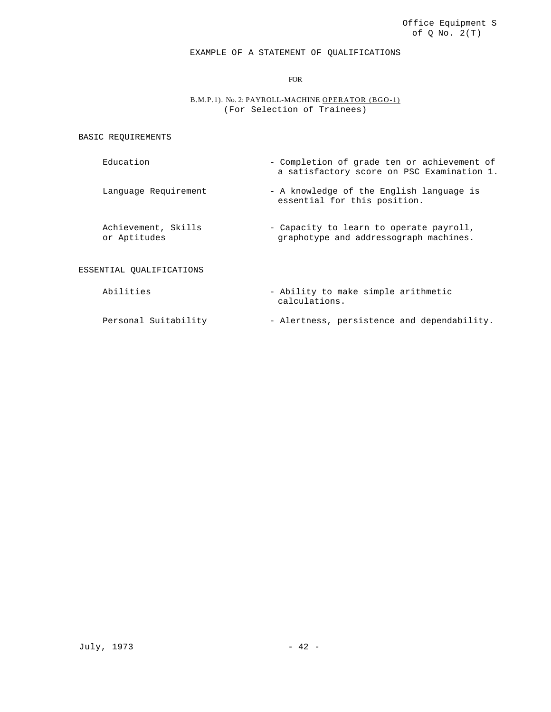# EXAMPLE OF A STATEMENT OF QUALIFICATIONS

FOR

# B.M.P.1). No. 2: PAYROLL-MACHINE OPERATOR (BGO-1) (For Selection of Trainees)

BASIC REQUIREMENTS

- Education Completion of grade ten or achievement of a satisfactory score on PSC Examination 1.
- Language Requirement A knowledge of the English language is essential for this position.
- Achievement, Skills or Aptitudes - Capacity to learn to operate payroll, graphotype and addressograph machines.

# ESSENTIAL QUALIFICATIONS

- Abilities Ability to make simple arithmetic calculations.
- Personal Suitability Alertness, persistence and dependability.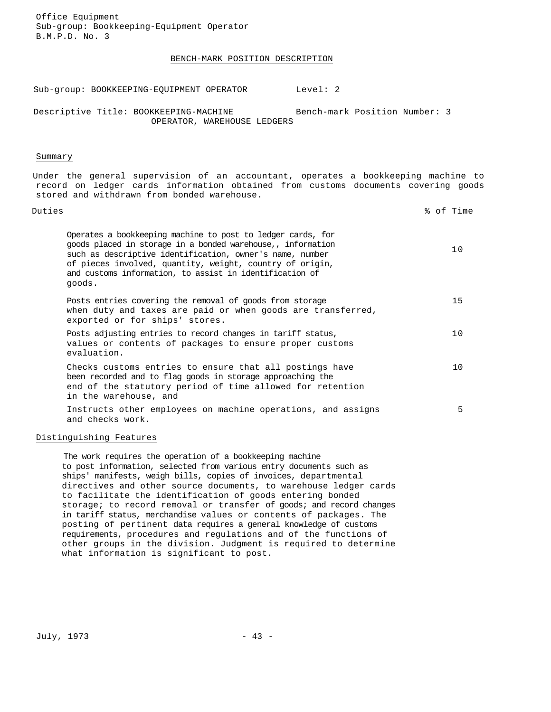Office Equipment Sub-group: Bookkeeping-Equipment Operator B.M.P.D. No. 3

#### BENCH-MARK POSITION DESCRIPTION

Sub-group: BOOKKEEPING-EQUIPMENT OPERATOR Level: 2

Descriptive Title: BOOKKEEPING-MACHINE OPERATOR, WAREHOUSE LEDGERS Bench-mark Position Number: 3

#### Summary

Under the general supervision of an accountant, operates a bookkeeping machine to record on ledger cards information obtained from customs documents covering goods stored and withdrawn from bonded warehouse.

| Duties                                                                                                                                                                                                                                                                                                                  | % of Time |
|-------------------------------------------------------------------------------------------------------------------------------------------------------------------------------------------------------------------------------------------------------------------------------------------------------------------------|-----------|
| Operates a bookkeeping machine to post to ledger cards, for<br>goods placed in storage in a bonded warehouse,, information<br>such as descriptive identification, owner's name, number<br>of pieces involved, quantity, weight, country of origin,<br>and customs information, to assist in identification of<br>goods. | 10        |
| Posts entries covering the removal of goods from storage<br>when duty and taxes are paid or when goods are transferred,<br>exported or for ships' stores.                                                                                                                                                               | 15        |
| Posts adjusting entries to record changes in tariff status,<br>values or contents of packages to ensure proper customs<br>evaluation.                                                                                                                                                                                   | 10        |
| Checks customs entries to ensure that all postings have<br>been recorded and to flag goods in storage approaching the<br>end of the statutory period of time allowed for retention<br>in the warehouse, and                                                                                                             | 10        |
| Instructs other employees on machine operations, and assigns<br>and checks work.                                                                                                                                                                                                                                        | 5.        |

#### Distinguishing Features

The work requires the operation of a bookkeeping machine to post information, selected from various entry documents such as ships' manifests, weigh bills, copies of invoices, departmental directives and other source documents, to warehouse ledger cards to facilitate the identification of goods entering bonded storage; to record removal or transfer of goods; and record changes in tariff status, merchandise values or contents of packages. The posting of pertinent data requires a general knowledge of customs requirements, procedures and regulations and of the functions of other groups in the division. Judgment is required to determine what information is significant to post.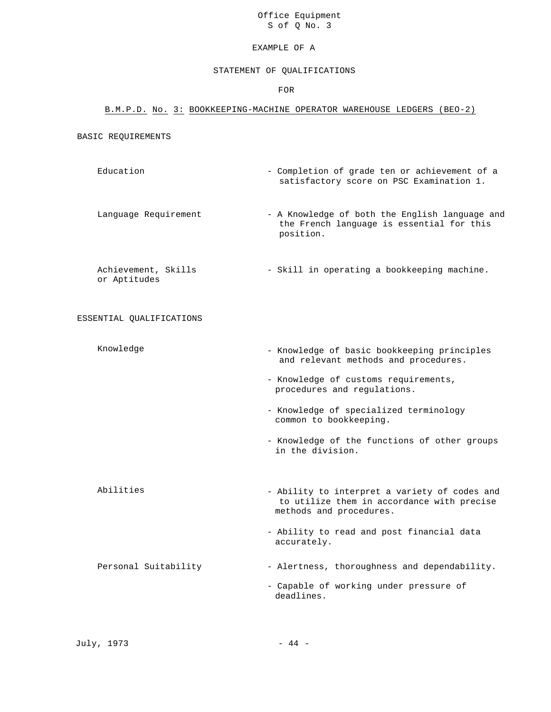Office Equipment S of Q No. 3

#### EXAMPLE OF A

#### STATEMENT OF QUALIFICATIONS

FOR

# B.M.P.D. No. 3: BOOKKEEPING-MACHINE OPERATOR WAREHOUSE LEDGERS (BEO-2)

#### BASIC REQUIREMENTS

Education - Completion of grade ten or achievement of a satisfactory score on PSC Examination 1.

Language Requirement - A Knowledge of both the English language and the French language is essential for this position.

Achievement, Skills - Skill in operating a bookkeeping machine. or Aptitudes

ESSENTIAL QUALIFICATIONS

- Knowledge Knowledge of basic bookkeeping principles and relevant methods and procedures.
	- Knowledge of customs requirements, procedures and regulations.
	- Knowledge of specialized terminology common to bookkeeping.
	- Knowledge of the functions of other groups in the division.
- Abilities Ability to interpret a variety of codes and to utilize them in accordance with precise methods and procedures.
	- Ability to read and post financial data accurately.
- Personal Suitability Alertness, thoroughness and dependability.
	- Capable of working under pressure of deadlines.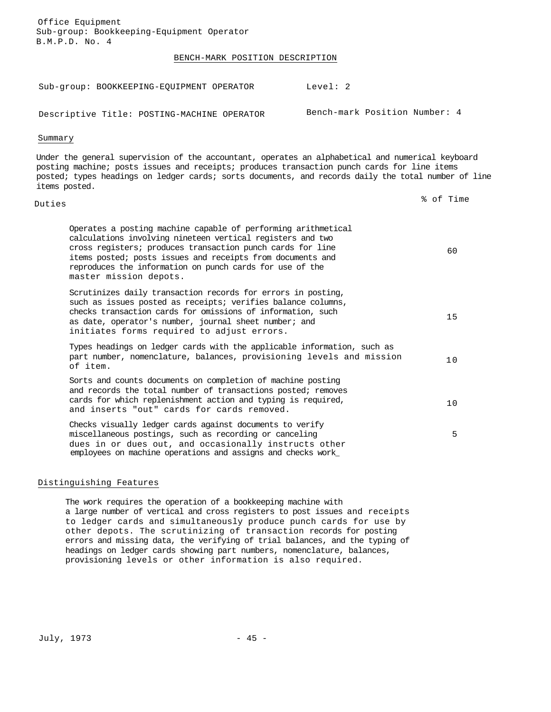Office Equipment Sub-group: Bookkeeping-Equipment Operator B.M.P.D. No. 4

### BENCH-MARK POSITION DESCRIPTION

| Level: 2                                                                                                                                                                                                                                                                                                            |                               |
|---------------------------------------------------------------------------------------------------------------------------------------------------------------------------------------------------------------------------------------------------------------------------------------------------------------------|-------------------------------|
|                                                                                                                                                                                                                                                                                                                     |                               |
|                                                                                                                                                                                                                                                                                                                     |                               |
| Under the general supervision of the accountant, operates an alphabetical and numerical keyboard<br>posting machine; posts issues and receipts; produces transaction punch cards for line items<br>posted; types headings on ledger cards; sorts documents, and records daily the total number of line              |                               |
|                                                                                                                                                                                                                                                                                                                     | % of Time                     |
| Operates a posting machine capable of performing arithmetical<br>calculations involving nineteen vertical registers and two<br>cross registers; produces transaction punch cards for line<br>items posted; posts issues and receipts from documents and<br>reproduces the information on punch cards for use of the | 60                            |
| Scrutinizes daily transaction records for errors in posting,<br>such as issues posted as receipts; verifies balance columns,<br>checks transaction cards for omissions of information, such<br>as date, operator's number, journal sheet number; and                                                                | 15                            |
| Types headings on ledger cards with the applicable information, such as<br>part number, nomenclature, balances, provisioning levels and mission                                                                                                                                                                     | 10                            |
| Sorts and counts documents on completion of machine posting<br>and records the total number of transactions posted; removes<br>cards for which replenishment action and typing is required,                                                                                                                         | 10                            |
| Checks visually ledger cards against documents to verify<br>miscellaneous postings, such as recording or canceling<br>dues in or dues out, and occasionally instructs other<br>employees on machine operations and assigns and checks work_                                                                         | 5                             |
|                                                                                                                                                                                                                                                                                                                     | Bench-mark Position Number: 4 |

# Distinguishing Features

The work requires the operation of a bookkeeping machine with a large number of vertical and cross registers to post issues and receipts to ledger cards and simultaneously produce punch cards for use by other depots. The scrutinizing of transaction records for posting errors and missing data, the verifying of trial balances, and the typing of headings on ledger cards showing part numbers, nomenclature, balances, provisioning levels or other information is also required.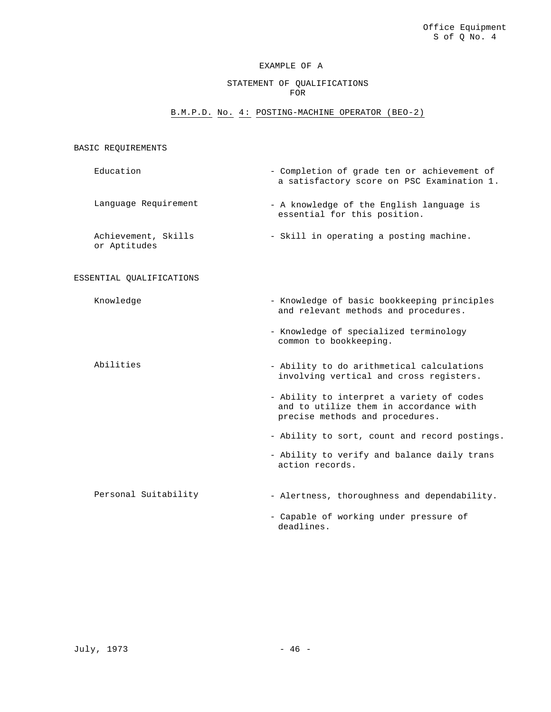### STATEMENT OF QUALIFICATIONS FOR

### B.M.P.D. No. 4: POSTING-MACHINE OPERATOR (BEO-2)

# Education - Completion of grade ten or achievement of a satisfactory score on PSC Examination 1. Language Requirement - A knowledge of the English language is essential for this position. Achievement, Skills or Aptitudes - Skill in operating a posting machine. ESSENTIAL QUALIFICATIONS Knowledge  $-$  Knowledge of basic bookkeeping principles and relevant methods and procedures. - Knowledge of specialized terminology common to bookkeeping. Abilities - Ability to do arithmetical calculations involving vertical and cross registers. - Ability to interpret a variety of codes and to utilize them in accordance with precise methods and procedures. - Ability to sort, count and record postings. - Ability to verify and balance daily trans action records. Personal Suitability - Alertness, thoroughness and dependability. - Capable of working under pressure of deadlines.

BASIC REQUIREMENTS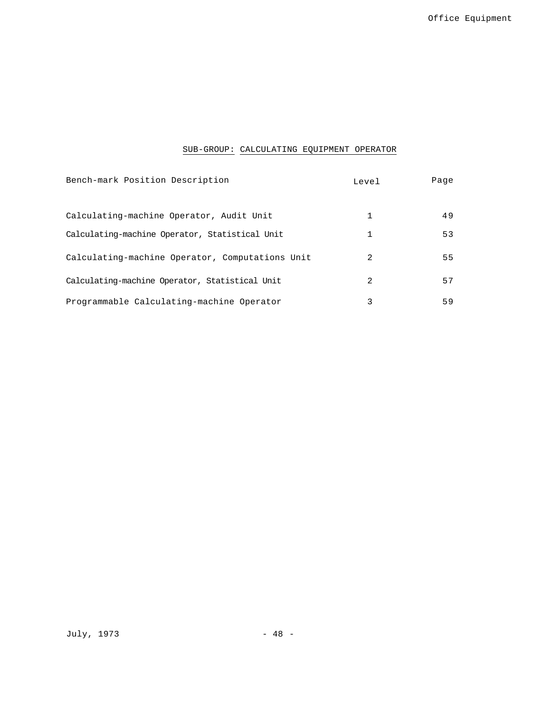# SUB-GROUP: CALCULATING EQUIPMENT OPERATOR

| Bench-mark Position Description                 | Level          | Page |
|-------------------------------------------------|----------------|------|
| Calculating-machine Operator, Audit Unit        |                | 49   |
| Calculating-machine Operator, Statistical Unit  | 1              | 53   |
| Calculating-machine Operator, Computations Unit | $\mathfrak{D}$ | 55   |
| Calculating-machine Operator, Statistical Unit  | $\mathcal{L}$  | 57   |
| Programmable Calculating-machine Operator       | 3              | 59   |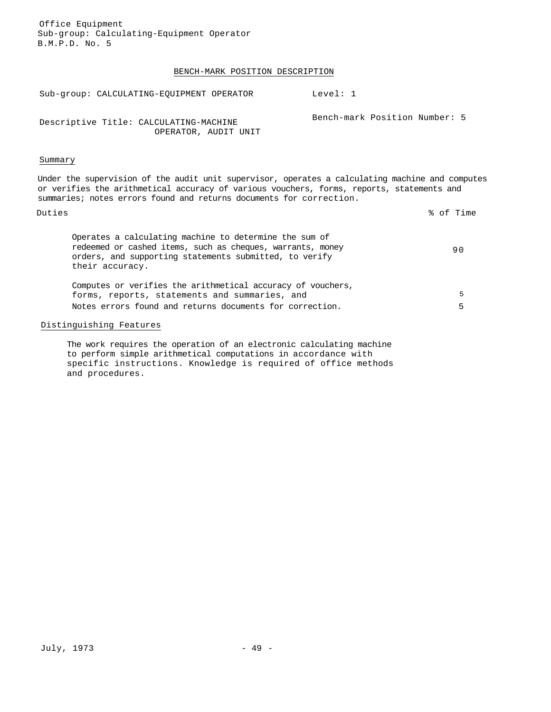Office Equipment Sub-group: Calculating-Equipment Operator B.M.P.D. No. 5

### BENCH-MARK POSITION DESCRIPTION

| Sub-group: CALCULATING-EOUIPMENT OPERATOR                                                                                                                                                                                                                           | Level: 1                      |
|---------------------------------------------------------------------------------------------------------------------------------------------------------------------------------------------------------------------------------------------------------------------|-------------------------------|
| Descriptive Title: CALCULATING-MACHINE<br>OPERATOR, AUDIT UNIT                                                                                                                                                                                                      | Bench-mark Position Number: 5 |
| Summary                                                                                                                                                                                                                                                             |                               |
| Under the supervision of the audit unit supervisor, operates a calculating machine and computes<br>or verifies the arithmetical accuracy of various vouchers, forms, reports, statements and<br>summaries; notes errors found and returns documents for correction. |                               |
| Duties                                                                                                                                                                                                                                                              | % of Time                     |
| Operates a calculating machine to determine the sum of<br>redeemed or cashed items, such as cheques, warrants, money<br>orders, and supporting statements submitted, to verify<br>their accuracy.                                                                   | 90                            |
| Computes or verifies the arithmetical accuracy of vouchers,<br>forms, reports, statements and summaries, and<br>Notes errors found and returns documents for correction.                                                                                            | 5<br>5                        |
|                                                                                                                                                                                                                                                                     |                               |

# Distinguishing Features

The work requires the operation of an electronic calculating machine to perform simple arithmetical computations in accordance with specific instructions. Knowledge is required of office methods and procedures.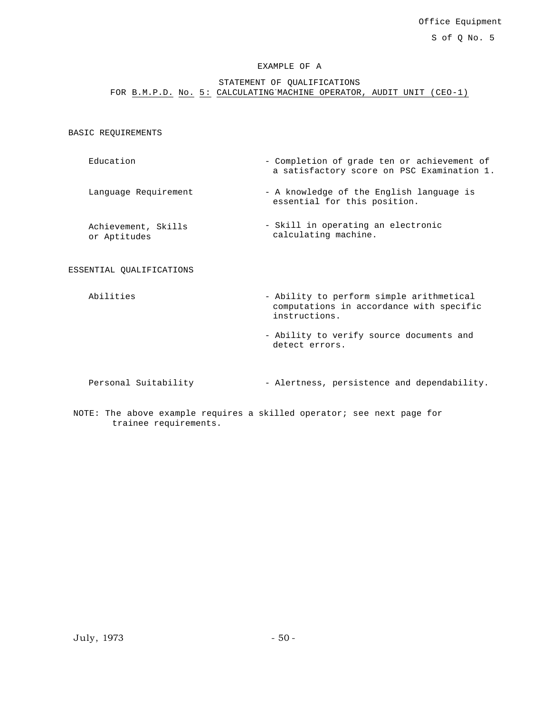STATEMENT OF QUALIFICATIONS FOR B.M.P.D. No. 5: CALCULATING MACHINE OPERATOR, AUDIT UNIT (CEO-1)

BASIC REQUIREMENTS

- Education Completion of grade ten or achievement of a satisfactory score on PSC Examination 1.
- Language Requirement A knowledge of the English language is essential for this position.
- Achievement, Skills or Aptitudes - Skill in operating an electronic calculating machine.

#### ESSENTIAL QUALIFICATIONS

- Abilities  $-$  Ability to perform simple arithmetical computations in accordance with specific instructions.
	- Ability to verify source documents and detect errors.

- Personal Suitability Alertness, persistence and dependability.
- NOTE: The above example requires a skilled operator; see next page for trainee requirements.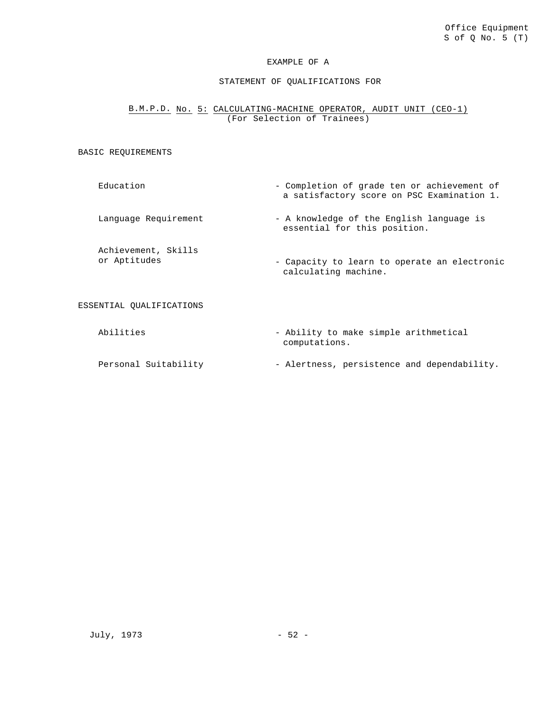#### STATEMENT OF QUALIFICATIONS FOR

# B.M.P.D. No. 5: CALCULATING-MACHINE OPERATOR, AUDIT UNIT (CEO-1) (For Selection of Trainees)

#### BASIC REQUIREMENTS

Education - Completion of grade ten or achievement of

Language Requirement - A knowledge of the English language is

Achievement, Skills or Aptitudes - Capacity to learn to operate an electronic calculating machine.

ESSENTIAL QUALIFICATIONS

Abilities  $-$  Ability to make simple arithmetical computations.

essential for this position.

a satisfactory score on PSC Examination 1.

Personal Suitability - Alertness, persistence and dependability.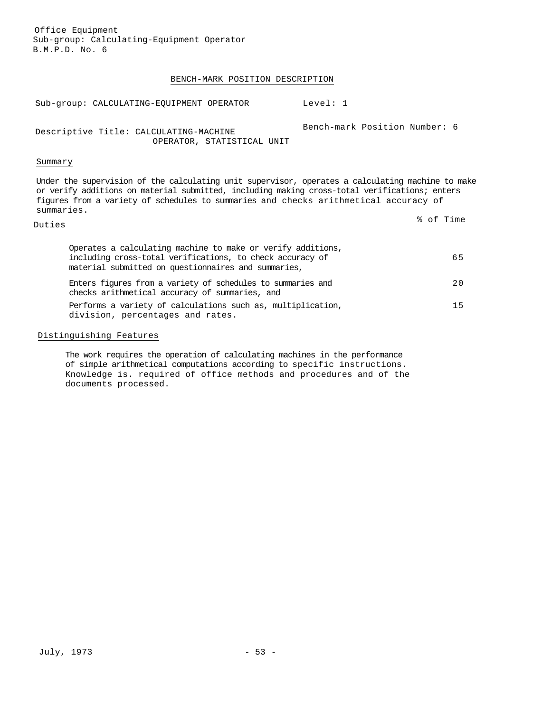Office Equipment Sub-group: Calculating-Equipment Operator B.M.P.D. No. 6

#### BENCH-MARK POSITION DESCRIPTION

| Sub-group: CALCULATING-EQUIPMENT OPERATOR                            | Level: 1                      |
|----------------------------------------------------------------------|-------------------------------|
| Descriptive Title: CALCULATING-MACHINE<br>OPERATOR, STATISTICAL UNIT | Bench-mark Position Number: 6 |
| Summary                                                              |                               |

Under the supervision of the calculating unit supervisor, operates a calculating machine to make or verify additions on material submitted, including making cross-total verifications; enters figures from a variety of schedules to summaries and checks arithmetical accuracy of summaries.

Duties % of Time

| Operates a calculating machine to make or verify additions,<br>including cross-total verifications, to check accuracy of<br>material submitted on questionnaires and summaries, | 65 |
|---------------------------------------------------------------------------------------------------------------------------------------------------------------------------------|----|
| Enters figures from a variety of schedules to summaries and<br>checks arithmetical accuracy of summaries, and                                                                   | 20 |
| Performs a variety of calculations such as, multiplication,<br>division, percentages and rates.                                                                                 | 15 |

### Distinguishing Features

The work requires the operation of calculating machines in the performance of simple arithmetical computations according to specific instructions. Knowledge is. required of office methods and procedures and of the documents processed.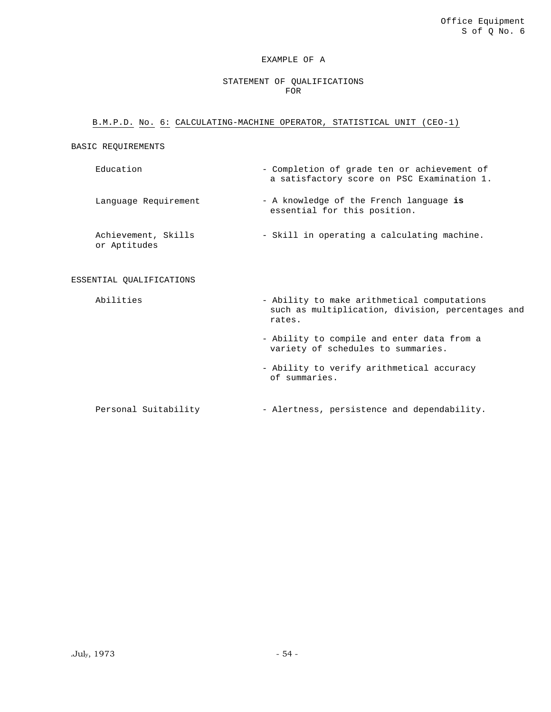#### STATEMENT OF QUALIFICATIONS FOR

#### B.M.P.D. No. 6: CALCULATING-MACHINE OPERATOR, STATISTICAL UNIT (CEO-1)

#### BASIC REQUIREMENTS

- Education Completion of grade ten or achievement of a satisfactory score on PSC Examination 1. Language Requirement - A knowledge of the French language is essential for this position. Achievement, Skills or Aptitudes - Skill in operating a calculating machine. ESSENTIAL QUALIFICATIONS Abilities  $-$  Ability to make arithmetical computations such as multiplication, division, percentages and
	- Ability to compile and enter data from a variety of schedules to summaries.
	- Ability to verify arithmetical accuracy of summaries.
	- Personal Suitability Alertness, persistence and dependability.

rates.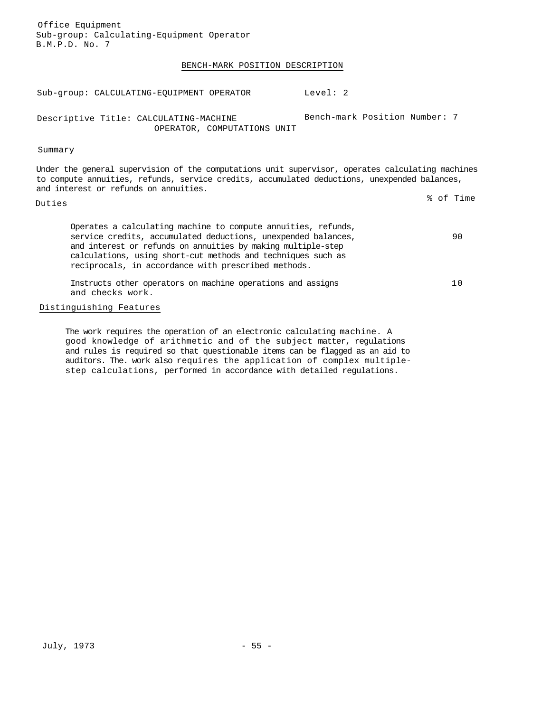Sub-group: Calculating-Equipment Operator B.M.P.D. No. 7 BENCH-MARK POSITION DESCRIPTION Sub-group: CALCULATING-EQUIPMENT OPERATOR Level: 2 Descriptive Title: CALCULATING-MACHINE OPERATOR, COMPUTATIONS UNIT Bench-mark Position Number: 7 Summary Under the general supervision of the computations unit supervisor, operates calculating machines to compute annuities, refunds, service credits, accumulated deductions, unexpended balances, and interest or refunds on annuities. Duties % of Time Operates a calculating machine to compute annuities, refunds, service credits, accumulated deductions, unexpended balances, and interest or refunds on annuities by making multiple-step calculations, using short-cut methods and techniques such as reciprocals, in accordance with prescribed methods. 90 Instructs other operators on machine operations and assigns and checks work. 10

#### Distinguishing Features

Office Equipment

The work requires the operation of an electronic calculating machine. A good knowledge of arithmetic and of the subject matter, regulations and rules is required so that questionable items can be flagged as an aid to auditors. The. work also requires the application of complex multiplestep calculations, performed in accordance with detailed regulations.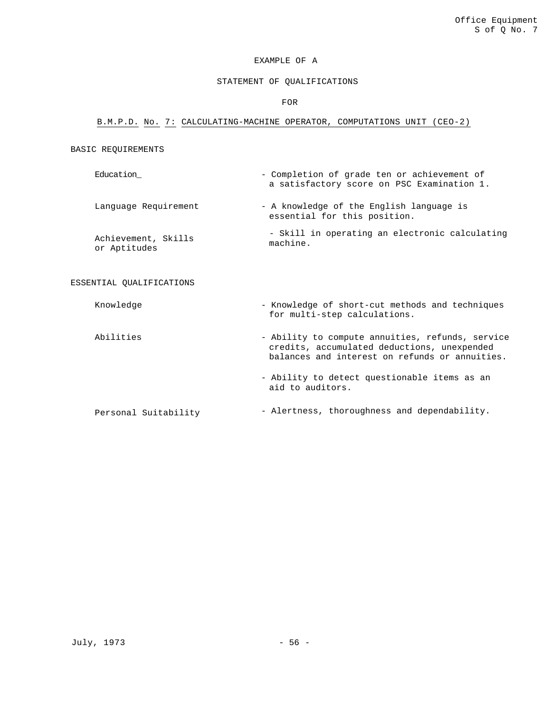### STATEMENT OF QUALIFICATIONS

FOR

#### B.M.P.D. No. 7: CALCULATING-MACHINE OPERATOR, COMPUTATIONS UNIT (CEO-2)

#### BASIC REQUIREMENTS

Education\_ The Completion of grade ten or achievement of a satisfactory score on PSC Examination 1. Language Requirement - A knowledge of the English language is essential for this position.

Achievement, Skills or Aptitudes - Skill in operating an electronic calculating machine.

#### ESSENTIAL QUALIFICATIONS

Knowledge - Knowledge - Knowledge of short-cut methods and techniques for multi-step calculations.

Abilities - Ability to compute annuities, refunds, service credits, accumulated deductions, unexpended balances and interest on refunds or annuities. - Ability to detect questionable items as an aid to auditors.

Personal Suitability  $-$  Alertness, thoroughness and dependability.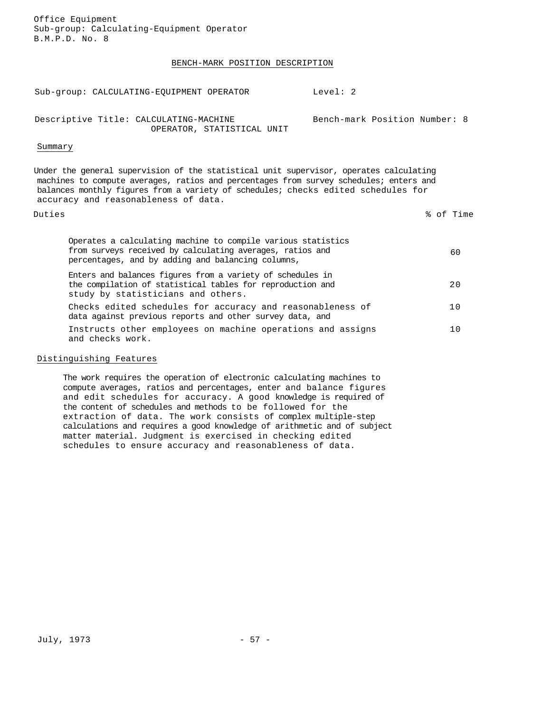Office Equipment Sub-group: Calculating-Equipment Operator B.M.P.D. No. 8

#### BENCH-MARK POSITION DESCRIPTION

Sub-group: CALCULATING-EQUIPMENT OPERATOR Level: 2

Descriptive Title: CALCULATING-MACHINE OPERATOR, STATISTICAL UNIT

#### Summary

Under the general supervision of the statistical unit supervisor, operates calculating machines to compute averages, ratios and percentages from survey schedules; enters and balances monthly figures from a variety of schedules; checks edited schedules for accuracy and reasonableness of data.

Duties % of Time

Bench-mark Position Number: 8

| Operates a calculating machine to compile various statistics<br>from surveys received by calculating averages, ratios and<br>percentages, and by adding and balancing columns, | 60  |
|--------------------------------------------------------------------------------------------------------------------------------------------------------------------------------|-----|
| Enters and balances figures from a variety of schedules in<br>the compilation of statistical tables for reproduction and<br>study by statisticians and others.                 | 2 Q |
| Checks edited schedules for accuracy and reasonableness of<br>data against previous reports and other survey data, and                                                         |     |
| Instructs other employees on machine operations and assigns<br>and checks work.                                                                                                | 1 N |

#### Distinguishing Features

The work requires the operation of electronic calculating machines to compute averages, ratios and percentages, enter and balance figures and edit schedules for accuracy. A good knowledge is required of the content of schedules and methods to be followed for the extraction of data. The work consists of complex multiple-step calculations and requires a good knowledge of arithmetic and of subject matter material. Judgment is exercised in checking edited schedules to ensure accuracy and reasonableness of data.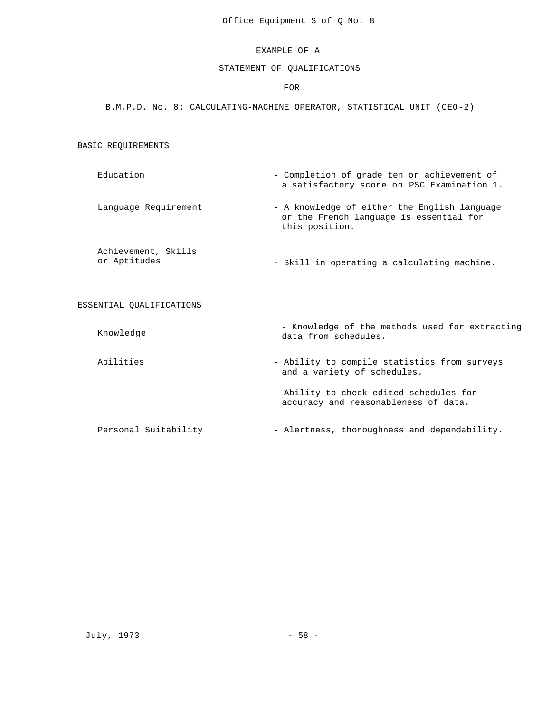#### STATEMENT OF QUALIFICATIONS

#### FOR

#### B.M.P.D. No. 8: CALCULATING-MACHINE OPERATOR, STATISTICAL UNIT (CEO-2)

#### BASIC REQUIREMENTS

- Education  $\blacksquare$  Completion of grade ten or achievement of a satisfactory score on PSC Examination 1.
- Language Requirement A knowledge of either the English language or the French language is essential for this position.

Achievement, Skills<br>or Aptitudes - Skill in operating a calculating machine.

#### ESSENTIAL QUALIFICATIONS

Knowledge - Knowledge of the methods used for extracting<br>  $\frac{1}{2}$  at from schedules data from schedules.

- Abilities Ability to compile statistics from surveys and a variety of schedules.
	- Ability to check edited schedules for accuracy and reasonableness of data.

Personal Suitability - Alertness, thoroughness and dependability.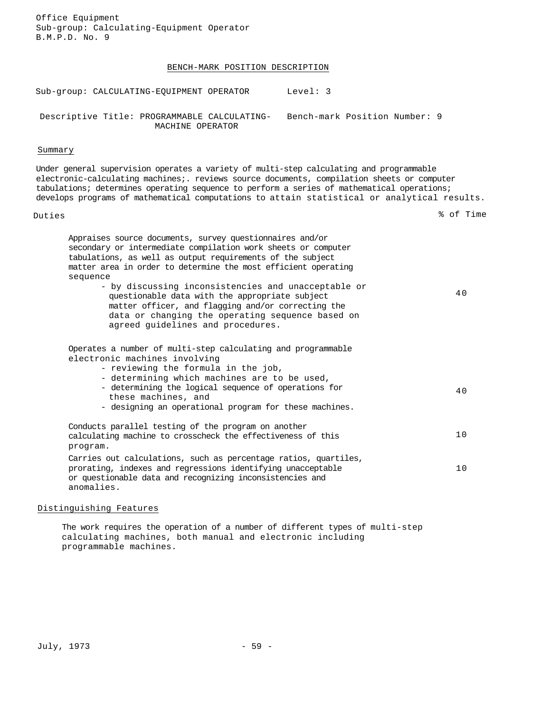Office Equipment Sub-group: Calculating-Equipment Operator B.M.P.D. No. 9

#### BENCH-MARK POSITION DESCRIPTION

Sub-group: CALCULATING-EQUIPMENT OPERATOR Level: 3

Descriptive Title: PROGRAMMABLE CALCULATING-Bench-mark Position Number: 9 MACHINE OPERATOR

### Summary

Under general supervision operates a variety of multi-step calculating and programmable electronic-calculating machines;. reviews source documents, compilation sheets or computer tabulations; determines operating sequence to perform a series of mathematical operations; develops programs of mathematical computations to attain statistical or analytical results.

Duties % of Time

| Appraises source documents, survey questionnaires and/or<br>secondary or intermediate compilation work sheets or computer<br>tabulations, as well as output requirements of the subject<br>matter area in order to determine the most efficient operating<br>sequence |     |
|-----------------------------------------------------------------------------------------------------------------------------------------------------------------------------------------------------------------------------------------------------------------------|-----|
| - by discussing inconsistencies and unacceptable or<br>questionable data with the appropriate subject<br>matter officer, and flagging and/or correcting the<br>data or changing the operating sequence based on<br>agreed quidelines and procedures.                  | 40  |
| Operates a number of multi-step calculating and programmable<br>electronic machines involving<br>- reviewing the formula in the job,<br>- determining which machines are to be used,                                                                                  |     |
| - determining the logical sequence of operations for<br>these machines, and<br>- designing an operational program for these machines.                                                                                                                                 | 4 Q |
| Conducts parallel testing of the program on another<br>calculating machine to crosscheck the effectiveness of this<br>program.                                                                                                                                        | 10  |
| Carries out calculations, such as percentage ratios, quartiles,<br>prorating, indexes and regressions identifying unacceptable<br>or questionable data and recognizing inconsistencies and<br>anomalies.                                                              | 10  |

### Distinguishing Features

The work requires the operation of a number of different types of multi-step calculating machines, both manual and electronic including programmable machines.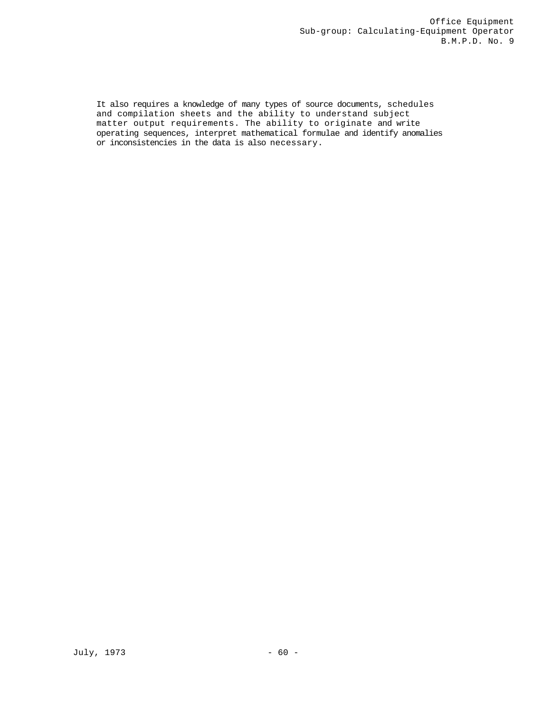It also requires a knowledge of many types of source documents, schedules and compilation sheets and the ability to understand subject matter output requirements. The ability to originate and write operating sequences, interpret mathematical formulae and identify anomalies or inconsistencies in the data is also necessary.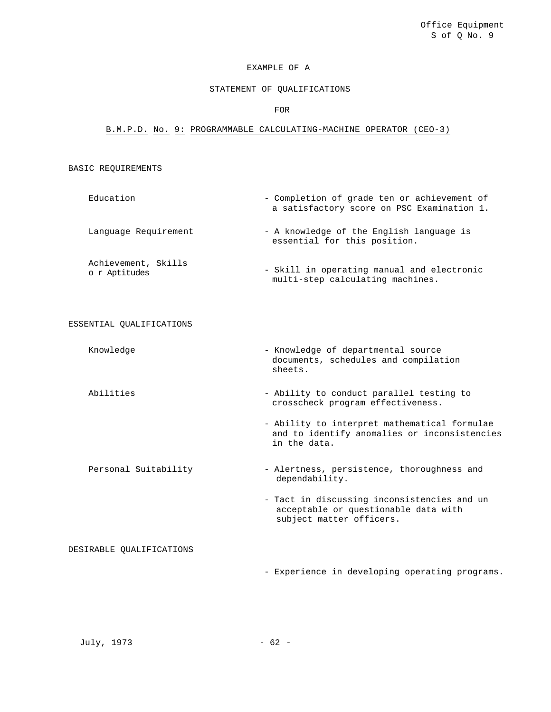## STATEMENT OF QUALIFICATIONS

#### FOR

# B.M.P.D. No. 9: PROGRAMMABLE CALCULATING-MACHINE OPERATOR (CEO-3)

#### BASIC REQUIREMENTS

| Education                            | - Completion of grade ten or achievement of<br>a satisfactory score on PSC Examination 1. |
|--------------------------------------|-------------------------------------------------------------------------------------------|
| Language Requirement                 | - A knowledge of the English language is<br>essential for this position.                  |
| Achievement, Skills<br>o r Aptitudes | - Skill in operating manual and electronic<br>multi-step calculating machines.            |

#### ESSENTIAL QUALIFICATIONS

Knowledge - Knowledge of departmental source documents, schedules and compilation sheets.

- Abilities  $\qquad \qquad -$  Ability to conduct parallel testing to crosscheck program effectiveness.
	- Ability to interpret mathematical formulae and to identify anomalies or inconsistencies in the data.

Personal Suitability - Alertness, persistence, thoroughness and dependability.

> - Tact in discussing inconsistencies and un acceptable or questionable data with subject matter officers.

DESIRABLE QUALIFICATIONS

- Experience in developing operating programs.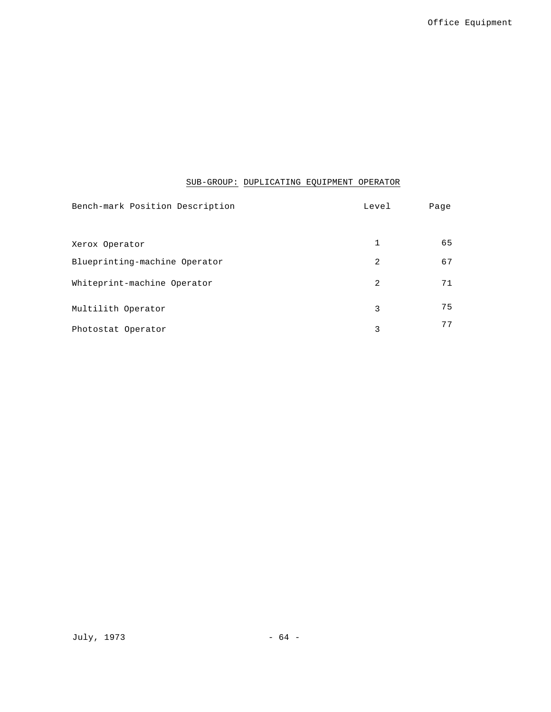# SUB-GROUP: DUPLICATING EQUIPMENT OPERATOR

| Bench-mark Position Description | Level | Page |
|---------------------------------|-------|------|
|                                 |       |      |
| Xerox Operator                  | 1     | 65   |
| Blueprinting-machine Operator   | 2     | 67   |
| Whiteprint-machine Operator     | 2     | 71   |
| Multilith Operator              | 3     | 75   |
| Photostat Operator              | 3     | 77   |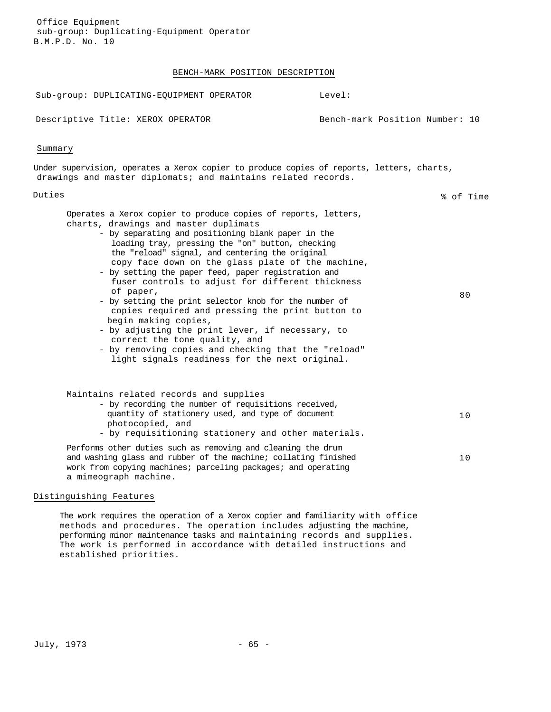### BENCH-MARK POSITION DESCRIPTION

| Sub-group: DUPLICATING-EQUIPMENT OPERATOR                                                                                                                                                                                                                                                                                                                                                                                                                                                                                                                                                                                                                                                                                                                                             | Level:                         |
|---------------------------------------------------------------------------------------------------------------------------------------------------------------------------------------------------------------------------------------------------------------------------------------------------------------------------------------------------------------------------------------------------------------------------------------------------------------------------------------------------------------------------------------------------------------------------------------------------------------------------------------------------------------------------------------------------------------------------------------------------------------------------------------|--------------------------------|
| Descriptive Title: XEROX OPERATOR                                                                                                                                                                                                                                                                                                                                                                                                                                                                                                                                                                                                                                                                                                                                                     | Bench-mark Position Number: 10 |
| Summary                                                                                                                                                                                                                                                                                                                                                                                                                                                                                                                                                                                                                                                                                                                                                                               |                                |
| Under supervision, operates a Xerox copier to produce copies of reports, letters, charts,<br>drawings and master diplomats; and maintains related records.                                                                                                                                                                                                                                                                                                                                                                                                                                                                                                                                                                                                                            |                                |
| Duties                                                                                                                                                                                                                                                                                                                                                                                                                                                                                                                                                                                                                                                                                                                                                                                | % of Time                      |
| Operates a Xerox copier to produce copies of reports, letters,<br>charts, drawings and master duplimats<br>- by separating and positioning blank paper in the<br>loading tray, pressing the "on" button, checking<br>the "reload" signal, and centering the original<br>copy face down on the glass plate of the machine,<br>- by setting the paper feed, paper registration and<br>fuser controls to adjust for different thickness<br>of paper,<br>- by setting the print selector knob for the number of<br>copies required and pressing the print button to<br>begin making copies,<br>- by adjusting the print lever, if necessary, to<br>correct the tone quality, and<br>- by removing copies and checking that the "reload"<br>light signals readiness for the next original. | 80                             |
| Maintains related records and supplies<br>- by recording the number of requisitions received,<br>quantity of stationery used, and type of document<br>photocopied, and<br>- by requisitioning stationery and other materials.                                                                                                                                                                                                                                                                                                                                                                                                                                                                                                                                                         | 10                             |
| Performs other duties such as removing and cleaning the drum<br>and washing glass and rubber of the machine; collating finished<br>work from copying machines; parceling packages; and operating<br>a mimeograph machine.                                                                                                                                                                                                                                                                                                                                                                                                                                                                                                                                                             | 10                             |

### Distinguishing Features

The work requires the operation of a Xerox copier and familiarity with office methods and procedures. The operation includes adjusting the machine, performing minor maintenance tasks and maintaining records and supplies. The work is performed in accordance with detailed instructions and established priorities.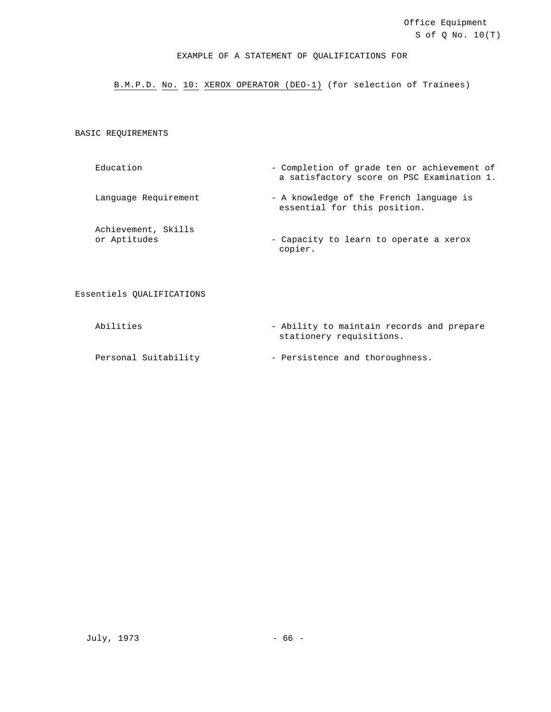### EXAMPLE OF A STATEMENT OF QUALIFICATIONS FOR

B.M.P.D. No. 10: XEROX OPERATOR (DEO-1) (for selection of Trainees)

BASIC REQUIREMENTS

Education - Completion of grade ten or achievement of a satisfactory score on PSC Examination 1.

Language Requirement - A knowledge of the French language is essential for this position.

Achievement, Skills

or Aptitudes  $\overline{\phantom{a}}$  - Capacity to learn to operate a xerox copier.

Essentiels QUALIFICATIONS

Abilities - Ability to maintain records and prepare stationery requisitions.

Personal Suitability - Persistence and thoroughness.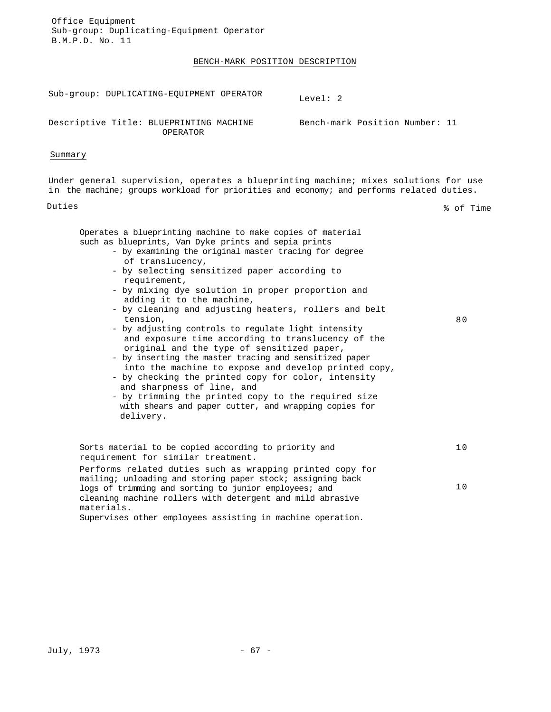Office Equipment Sub-group: Duplicating-Equipment Operator B.M.P.D. No. 11

#### BENCH-MARK POSITION DESCRIPTION

Sub-group: DUPLICATING-EQUIPMENT OPERATOR<br>Level: 2

Descriptive Title: BLUEPRINTING MACHINE OPERATOR

Bench-mark Position Number: 11

#### Summary

Under general supervision, operates a blueprinting machine; mixes solutions for use in the machine; groups workload for priorities and economy; and performs related duties.

Duties % of Time

80

Operates a blueprinting machine to make copies of material such as blueprints, Van Dyke prints and sepia prints

- by examining the original master tracing for degree of translucency,
- by selecting sensitized paper according to requirement,
- by mixing dye solution in proper proportion and adding it to the machine,
- by cleaning and adjusting heaters, rollers and belt tension,
- by adjusting controls to regulate light intensity and exposure time according to translucency of the original and the type of sensitized paper,
- by inserting the master tracing and sensitized paper into the machine to expose and develop printed copy,
- by checking the printed copy for color, intensity and sharpness of line, and
- by trimming the printed copy to the required size with shears and paper cutter, and wrapping copies for delivery.

Sorts material to be copied according to priority and requirement for similar treatment. 10 Performs related duties such as wrapping printed copy for mailing; unloading and storing paper stock; assigning back logs of trimming and sorting to junior employees; and 10

cleaning machine rollers with detergent and mild abrasive materials.

Supervises other employees assisting in machine operation.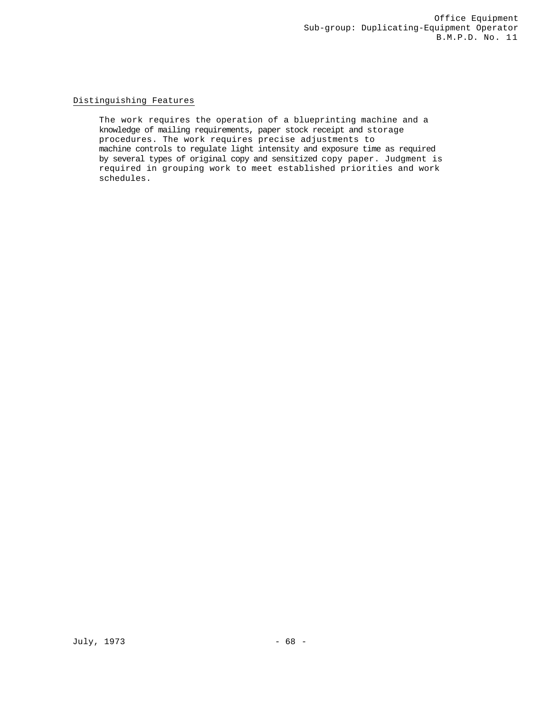# Distinguishing Features

The work requires the operation of a blueprinting machine and a knowledge of mailing requirements, paper stock receipt and storage procedures. The work requires precise adjustments to machine controls to regulate light intensity and exposure time as required by several types of original copy and sensitized copy paper. Judgment is required in grouping work to meet established priorities and work schedules.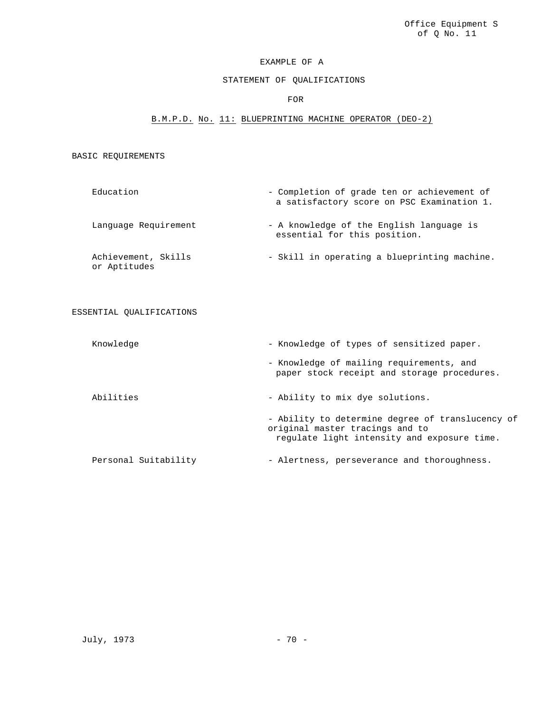# STATEMENT OF QUALIFICATIONS

### FOR

# B.M.P.D. No. 11: BLUEPRINTING MACHINE OPERATOR (DEO-2)

# BASIC REQUIREMENTS

| Education                           | - Completion of grade ten or achievement of<br>a satisfactory score on PSC Examination 1. |
|-------------------------------------|-------------------------------------------------------------------------------------------|
| Language Requirement                | - A knowledge of the English language is<br>essential for this position.                  |
| Achievement, Skills<br>or Aptitudes | - Skill in operating a blueprinting machine.                                              |

ESSENTIAL QUALIFICATIONS

| Knowledge            | - Knowledge of types of sensitized paper.                                                                                          |
|----------------------|------------------------------------------------------------------------------------------------------------------------------------|
|                      | - Knowledge of mailing requirements, and<br>paper stock receipt and storage procedures.                                            |
| Abilities            | - Ability to mix dye solutions.                                                                                                    |
|                      | - Ability to determine degree of translucency of<br>original master tracings and to<br>regulate light intensity and exposure time. |
| Personal Suitability | - Alertness, perseverance and thoroughness.                                                                                        |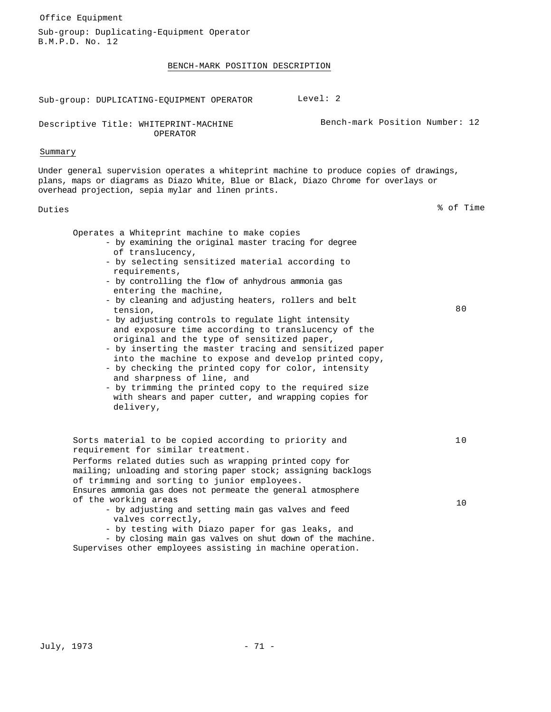| Office Equipment                                                                                                                                                                                                                                                                                                                                                                                                                                                                                                                                                                                                                                                                                                                                                                                                                                 |           |
|--------------------------------------------------------------------------------------------------------------------------------------------------------------------------------------------------------------------------------------------------------------------------------------------------------------------------------------------------------------------------------------------------------------------------------------------------------------------------------------------------------------------------------------------------------------------------------------------------------------------------------------------------------------------------------------------------------------------------------------------------------------------------------------------------------------------------------------------------|-----------|
| Sub-group: Duplicating-Equipment Operator<br>B.M.P.D. No. 12                                                                                                                                                                                                                                                                                                                                                                                                                                                                                                                                                                                                                                                                                                                                                                                     |           |
| BENCH-MARK POSITION DESCRIPTION                                                                                                                                                                                                                                                                                                                                                                                                                                                                                                                                                                                                                                                                                                                                                                                                                  |           |
|                                                                                                                                                                                                                                                                                                                                                                                                                                                                                                                                                                                                                                                                                                                                                                                                                                                  |           |
| Level: $2$<br>Sub-group: DUPLICATING-EQUIPMENT OPERATOR                                                                                                                                                                                                                                                                                                                                                                                                                                                                                                                                                                                                                                                                                                                                                                                          |           |
| Bench-mark Position Number: 12<br>Descriptive Title: WHITEPRINT-MACHINE<br><b>OPERATOR</b>                                                                                                                                                                                                                                                                                                                                                                                                                                                                                                                                                                                                                                                                                                                                                       |           |
| Summary                                                                                                                                                                                                                                                                                                                                                                                                                                                                                                                                                                                                                                                                                                                                                                                                                                          |           |
| Under general supervision operates a whiteprint machine to produce copies of drawings,<br>plans, maps or diagrams as Diazo White, Blue or Black, Diazo Chrome for overlays or<br>overhead projection, sepia mylar and linen prints.                                                                                                                                                                                                                                                                                                                                                                                                                                                                                                                                                                                                              |           |
| Duties                                                                                                                                                                                                                                                                                                                                                                                                                                                                                                                                                                                                                                                                                                                                                                                                                                           | % of Time |
| Operates a Whiteprint machine to make copies<br>- by examining the original master tracing for degree<br>of translucency,<br>- by selecting sensitized material according to<br>requirements,<br>- by controlling the flow of anhydrous ammonia gas<br>entering the machine,<br>- by cleaning and adjusting heaters, rollers and belt<br>tension,<br>- by adjusting controls to regulate light intensity<br>and exposure time according to translucency of the<br>original and the type of sensitized paper,<br>- by inserting the master tracing and sensitized paper<br>into the machine to expose and develop printed copy,<br>- by checking the printed copy for color, intensity<br>and sharpness of line, and<br>- by trimming the printed copy to the required size<br>with shears and paper cutter, and wrapping copies for<br>delivery, | 80        |
| Sorts material to be copied according to priority and<br>requirement for similar treatment.<br>Performs related duties such as wrapping printed copy for<br>mailing; unloading and storing paper stock; assigning backlogs<br>of trimming and sorting to junior employees.<br>Ensures ammonia gas does not permeate the general atmosphere<br>of the working areas<br>- by adjusting and setting main gas valves and feed                                                                                                                                                                                                                                                                                                                                                                                                                        | 10<br>10  |
| valves correctly,<br>- by testing with Diazo paper for gas leaks, and<br>- by closing main gas valves on shut down of the machine.<br>Supervises other employees assisting in machine operation.                                                                                                                                                                                                                                                                                                                                                                                                                                                                                                                                                                                                                                                 |           |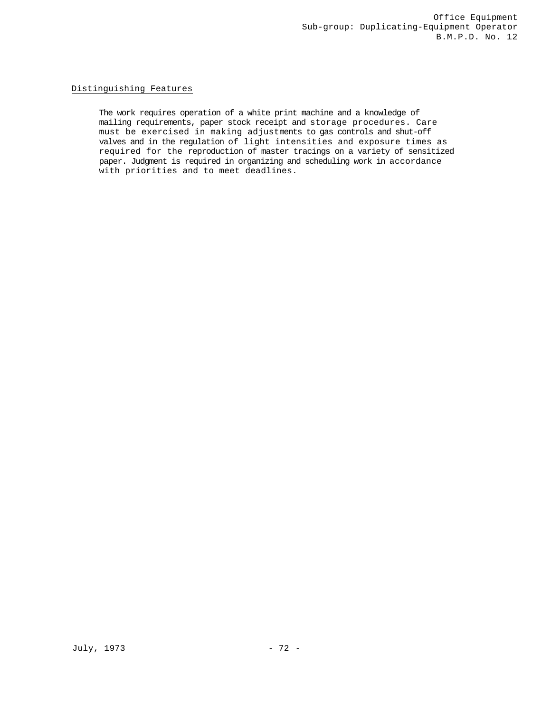# Distinguishing Features

The work requires operation of a white print machine and a knowledge of mailing requirements, paper stock receipt and storage procedures. Care must be exercised in making adjustments to gas controls and shut-off valves and in the regulation of light intensities and exposure times as required for the reproduction of master tracings on a variety of sensitized paper. Judgment is required in organizing and scheduling work in accordance with priorities and to meet deadlines.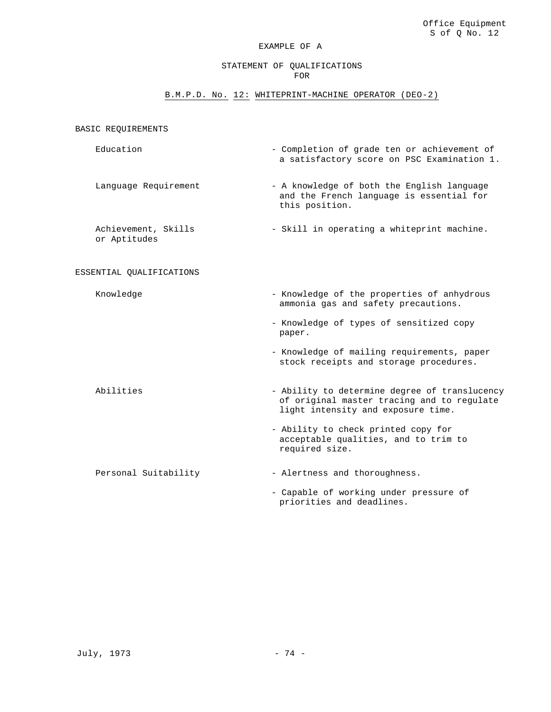#### STATEMENT OF QUALIFICATIONS FOR

# B.M.P.D. No. 12: WHITEPRINT-MACHINE OPERATOR (DEO-2)

#### BASIC REQUIREMENTS

- Education  $\blacksquare$ a satisfactory score on PSC Examination 1.
- Language Requirement A knowledge of both the English language and the French language is essential for this position.

Achievement, Skills or Aptitudes - Skill in operating a whiteprint machine.

#### ESSENTIAL QUALIFICATIONS

Knowledge  $-$  Knowledge of the properties of anhydrous

- ammonia gas and safety precautions.
- Knowledge of types of sensitized copy paper.
- Knowledge of mailing requirements, paper stock receipts and storage procedures.
- Abilities Ability to determine degree of translucency of original master tracing and to regulate light intensity and exposure time.
	- Ability to check printed copy for acceptable qualities, and to trim to required size.

Personal Suitability - Alertness and thoroughness.

- Capable of working under pressure of priorities and deadlines.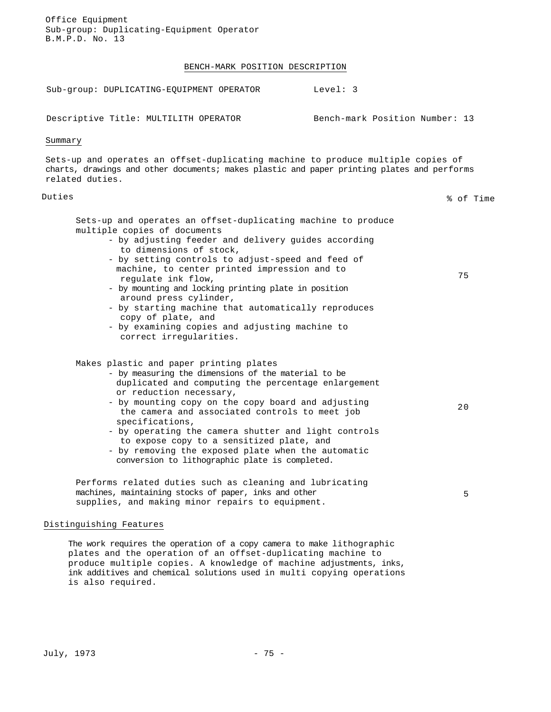Office Equipment Sub-group: Duplicating-Equipment Operator B.M.P.D. No. 13 BENCH-MARK POSITION DESCRIPTION Sub-group: DUPLICATING-EQUIPMENT OPERATOR Level: 3 Descriptive Title: MULTILITH OPERATOR Bench-mark Position Number: 13 Summary Sets-up and operates an offset-duplicating machine to produce multiple copies of charts, drawings and other documents; makes plastic and paper printing plates and performs related duties. Duties % of Time Sets-up and operates an offset-duplicating machine to produce multiple copies of documents - by adjusting feeder and delivery guides according to dimensions of stock, - by setting controls to adjust-speed and feed of machine, to center printed impression and to regulate ink flow, - by mounting and locking printing plate in position around press cylinder, - by starting machine that automatically reproduces copy of plate, and - by examining copies and adjusting machine to correct irregularities. 75 Makes plastic and paper printing plates - by measuring the dimensions of the material to be duplicated and computing the percentage enlargement or reduction necessary, - by mounting copy on the copy board and adjusting the camera and associated controls to meet job specifications, - by operating the camera shutter and light controls to expose copy to a sensitized plate, and - by removing the exposed plate when the automatic conversion to lithographic plate is completed. 20 Performs related duties such as cleaning and lubricating machines, maintaining stocks of paper, inks and other supplies, and making minor repairs to equipment. 5

#### Distinguishing Features

The work requires the operation of a copy camera to make lithographic plates and the operation of an offset-duplicating machine to produce multiple copies. A knowledge of machine adjustments, inks, ink additives and chemical solutions used in multi copying operations is also required.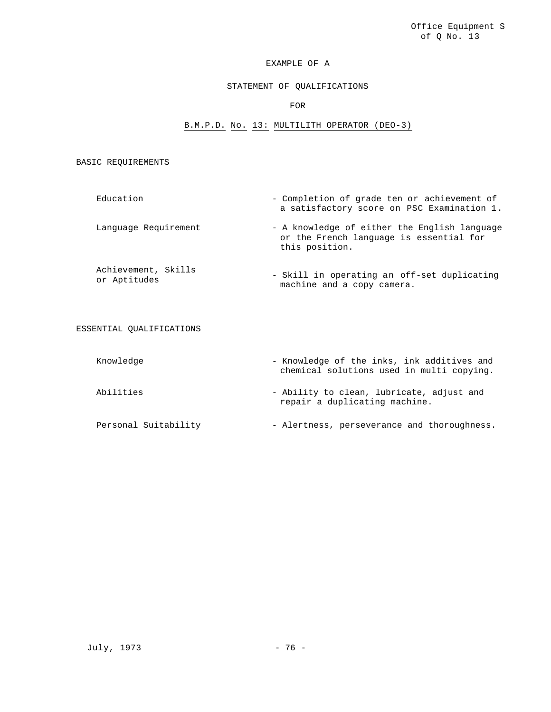#### STATEMENT OF QUALIFICATIONS

#### FOR

#### B.M.P.D. No. 13: MULTILITH OPERATOR (DEO-3)

### BASIC REQUIREMENTS

- Education Completion of grade ten or achievement of a satisfactory score on PSC Examination 1. Language Requirement - A knowledge of either the English language or the French language is essential for this position.
- Achievement, Skills Achievement, SAIIIS<br>or Aptitudes<br> machine and a copy camera.

#### ESSENTIAL QUALIFICATIONS

Knowledge  $-$  Knowledge of the inks, ink additives and chemical solutions used in multi copying. Abilities - Ability to clean, lubricate, adjust and repair a duplicating machine. Personal Suitability - Alertness, perseverance and thoroughness.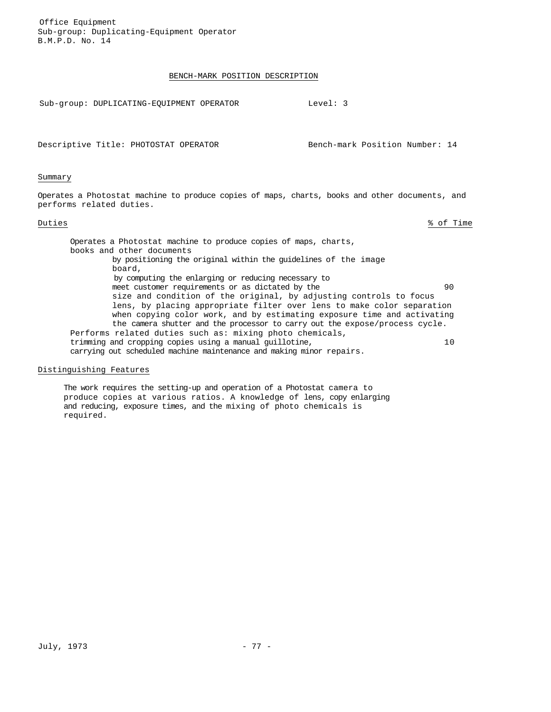Office Equipment Sub-group: Duplicating-Equipment Operator B.M.P.D. No. 14

#### BENCH-MARK POSITION DESCRIPTION

Sub-group: DUPLICATING-EQUIPMENT OPERATOR Level: 3

Descriptive Title: PHOTOSTAT OPERATOR Bench-mark Position Number: 14

#### Summary

Operates a Photostat machine to produce copies of maps, charts, books and other documents, and performs related duties.

Duties % of Time

Operates a Photostat machine to produce copies of maps, charts, books and other documents by positioning the original within the guidelines of the image board, by computing the enlarging or reducing necessary to meet customer requirements or as dictated by the 90 size and condition of the original, by adjusting controls to focus lens, by placing appropriate filter over lens to make color separation when copying color work, and by estimating exposure time and activating the camera shutter and the processor to carry out the expose/process cycle. Performs related duties such as: mixing photo chemicals, trimming and cropping copies using a manual guillotine, 10 carrying out scheduled machine maintenance and making minor repairs.

#### Distinguishing Features

The work requires the setting-up and operation of a Photostat camera to produce copies at various ratios. A knowledge of lens, copy enlarging and reducing, exposure times, and the mixing of photo chemicals is required.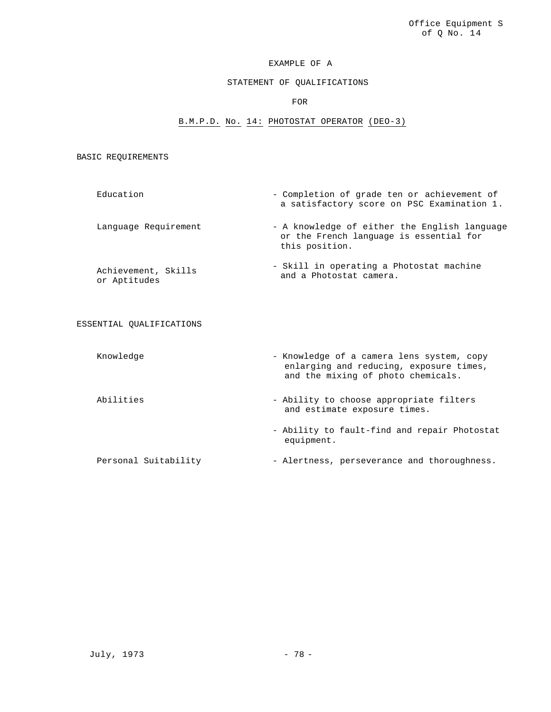#### STATEMENT OF QUALIFICATIONS

#### FOR

# B.M.P.D. No. 14: PHOTOSTAT OPERATOR (DEO-3)

#### BASIC REQUIREMENTS

- Education Completion of grade ten or achievement of a satisfactory score on PSC Examination 1. Language Requirement - A knowledge of either the English language or the French language is essential for this position.
- Achievement, Skills or Aptitudes - Skill in operating a Photostat machine and a Photostat camera.

# ESSENTIAL QUALIFICATIONS

| Knowledge            | - Knowledge of a camera lens system, copy<br>enlarging and reducing, exposure times,<br>and the mixing of photo chemicals. |
|----------------------|----------------------------------------------------------------------------------------------------------------------------|
| Abilities            | - Ability to choose appropriate filters<br>and estimate exposure times.                                                    |
|                      | - Ability to fault-find and repair Photostat<br>equipment.                                                                 |
| Personal Suitability | - Alertness, perseverance and thoroughness.                                                                                |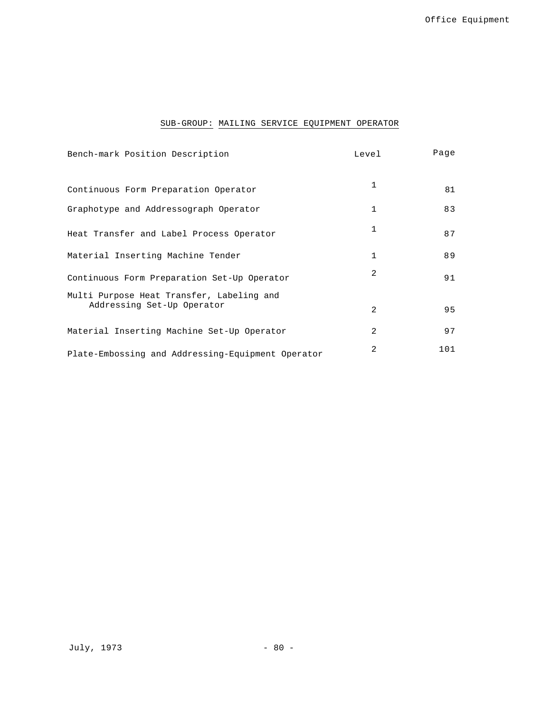# SUB-GROUP: MAILING SERVICE EQUIPMENT OPERATOR

| Bench-mark Position Description                                         | Level          | Page |
|-------------------------------------------------------------------------|----------------|------|
| Continuous Form Preparation Operator                                    | $\mathbf{1}$   | 81   |
| Graphotype and Addressograph Operator                                   | $\mathbf{1}$   | 83   |
| Heat Transfer and Label Process Operator                                | 1              | 87   |
| Material Inserting Machine Tender                                       | $\mathbf{1}$   | 89   |
| Continuous Form Preparation Set-Up Operator                             | 2              | 91   |
| Multi Purpose Heat Transfer, Labeling and<br>Addressing Set-Up Operator | $\mathfrak{D}$ | 95   |
| Material Inserting Machine Set-Up Operator                              | 2              | 97   |
| Plate-Embossing and Addressing-Equipment Operator                       | 2              | 101  |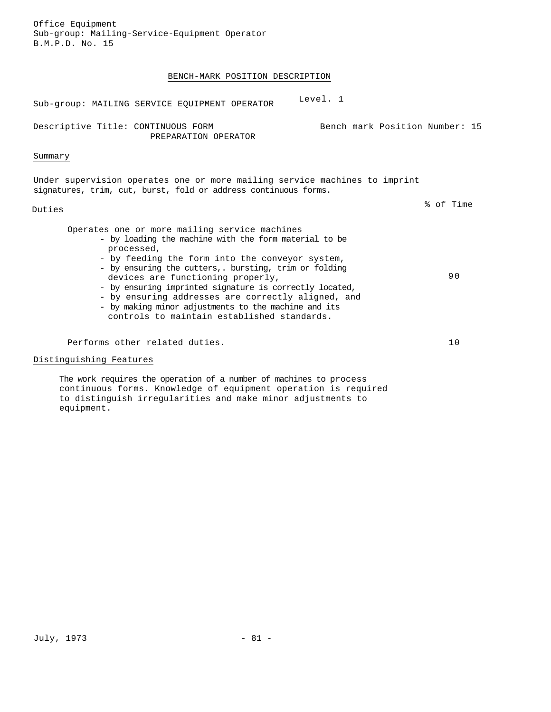Office Equipment Sub-group: Mailing-Service-Equipment Operator B.M.P.D. No. 15

# BENCH-MARK POSITION DESCRIPTION

| Level. 1<br>Sub-group: MAILING SERVICE EQUIPMENT OPERATOR                                                                                                                                                                                                                                                                                                                                                                                                                                     |           |
|-----------------------------------------------------------------------------------------------------------------------------------------------------------------------------------------------------------------------------------------------------------------------------------------------------------------------------------------------------------------------------------------------------------------------------------------------------------------------------------------------|-----------|
| Descriptive Title: CONTINUOUS FORM<br>Bench mark Position Number: 15<br>PREPARATION OPERATOR                                                                                                                                                                                                                                                                                                                                                                                                  |           |
| Summary                                                                                                                                                                                                                                                                                                                                                                                                                                                                                       |           |
| Under supervision operates one or more mailing service machines to imprint<br>signatures, trim, cut, burst, fold or address continuous forms.                                                                                                                                                                                                                                                                                                                                                 |           |
| Duties                                                                                                                                                                                                                                                                                                                                                                                                                                                                                        | % of Time |
| Operates one or more mailing service machines<br>- by loading the machine with the form material to be<br>processed,<br>- by feeding the form into the conveyor system,<br>- by ensuring the cutters,. bursting, trim or folding<br>devices are functioning properly,<br>- by ensuring imprinted signature is correctly located,<br>- by ensuring addresses are correctly aligned, and<br>- by making minor adjustments to the machine and its<br>controls to maintain established standards. |           |
| Performs other related duties.                                                                                                                                                                                                                                                                                                                                                                                                                                                                | 10        |
| Distinguishing Features                                                                                                                                                                                                                                                                                                                                                                                                                                                                       |           |
| The work requires the operation of a number of machines to process<br>continuous forms. Knowledge of equipment operation is required                                                                                                                                                                                                                                                                                                                                                          |           |

to distinguish irregularities and make minor adjustments to equipment.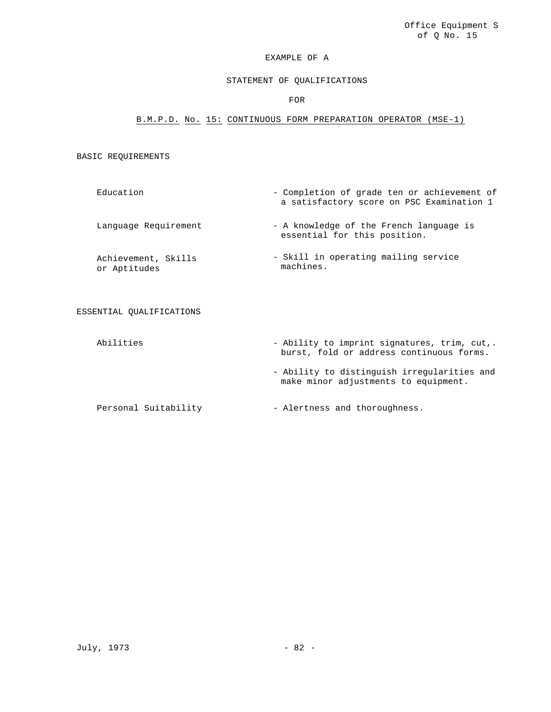# STATEMENT OF QUALIFICATIONS

FOR

# B.M.P.D. No. 15: CONTINUOUS FORM PREPARATION OPERATOR (MSE-1)

#### BASIC REQUIREMENTS

| Education                           | - Completion of grade ten or achievement of<br>a satisfactory score on PSC Examination 1 |
|-------------------------------------|------------------------------------------------------------------------------------------|
| Language Requirement                | - A knowledge of the French language is<br>essential for this position.                  |
| Achievement, Skills<br>or Aptitudes | - Skill in operating mailing service<br>machines.                                        |

ESSENTIAL QUALIFICATIONS

Abilities  $-$  Ability to imprint signatures, trim, cut,. burst, fold or address continuous forms. - Ability to distinguish irregularities and make minor adjustments to equipment.

Personal Suitability - Alertness and thoroughness.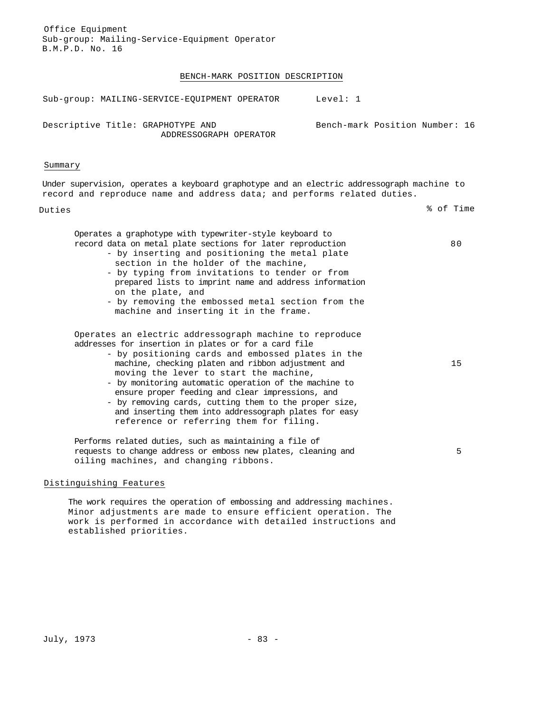Office Equipment Sub-group: Mailing-Service-Equipment Operator B.M.P.D. No. 16

#### BENCH-MARK POSITION DESCRIPTION

| Sub-group: MAILING-SERVICE-EOUIPMENT OPERATOR                                              | Level: 1                       |
|--------------------------------------------------------------------------------------------|--------------------------------|
| Descriptive Title: GRAPHOTYPE AND<br>ADDRESSOGRAPH OPERATOR                                | Bench-mark Position Number: 16 |
| Summary                                                                                    |                                |
| Under supervision, operates a keyboard graphotype and an electric addressograph machine to |                                |

Duties % of Time

80

15

5

Operates a graphotype with typewriter-style keyboard to record data on metal plate sections for later reproduction

- by inserting and positioning the metal plate section in the holder of the machine,

record and reproduce name and address data; and performs related duties.

- by typing from invitations to tender or from prepared lists to imprint name and address information on the plate, and
- by removing the embossed metal section from the machine and inserting it in the frame.

Operates an electric addressograph machine to reproduce addresses for insertion in plates or for a card file

- by positioning cards and embossed plates in the machine, checking platen and ribbon adjustment and moving the lever to start the machine,
- by monitoring automatic operation of the machine to ensure proper feeding and clear impressions, and
- by removing cards, cutting them to the proper size, and inserting them into addressograph plates for easy reference or referring them for filing.

Performs related duties, such as maintaining a file of requests to change address or emboss new plates, cleaning and oiling machines, and changing ribbons.

#### Distinguishing Features

The work requires the operation of embossing and addressing machines. Minor adjustments are made to ensure efficient operation. The work is performed in accordance with detailed instructions and established priorities.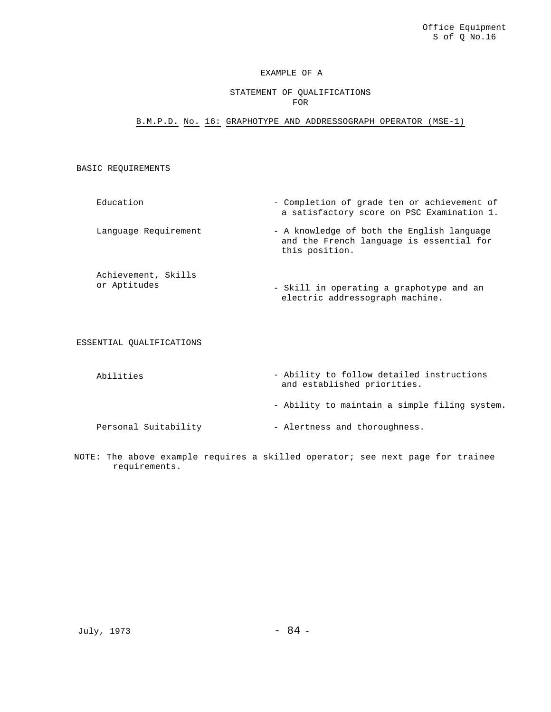### STATEMENT OF QUALIFICATIONS FOR

B.M.P.D. No. 16: GRAPHOTYPE AND ADDRESSOGRAPH OPERATOR (MSE-1)

### BASIC REQUIREMENTS

- Education Completion of grade ten or achievement of a satisfactory score on PSC Examination 1. Language Requirement - A knowledge of both the English language and the French language is essential for this position.
- Achievement, Skills or Aptitudes - Skill in operating a graphotype and an electric addressograph machine.

ESSENTIAL QUALIFICATIONS

- Abilities  **Ability to follow detailed instructions** and established priorities. - Ability to maintain a simple filing system. Personal Suitability - Alertness and thoroughness.
- NOTE: The above example requires a skilled operator; see next page for trainee requirements.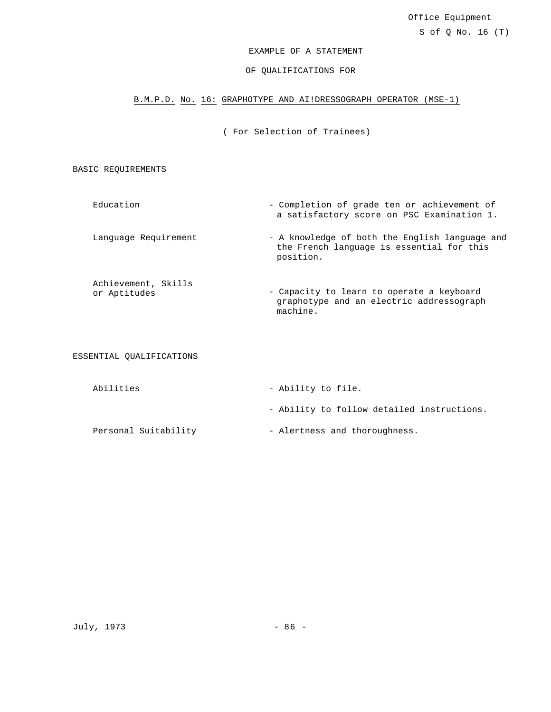# EXAMPLE OF A STATEMENT

### OF QUALIFICATIONS FOR

# B.M.P.D. No. 16: GRAPHOTYPE AND AI!DRESSOGRAPH OPERATOR (MSE-1)

( For Selection of Trainees)

BASIC REQUIREMENTS

- Education Completion of grade ten or achievement of a satisfactory score on PSC Examination 1.
- Language Requirement A knowledge of both the English language and the French language is essential for this position.
- Achievement, Skills<br>or Aptitudes - Capacity to learn to operate a keyboard graphotype and an electric addressograph machine.

ESSENTIAL QUALIFICATIONS

| Abilities            | - Ability to file.                         |
|----------------------|--------------------------------------------|
|                      | - Ability to follow detailed instructions. |
| Personal Suitability | - Alertness and thoroughness.              |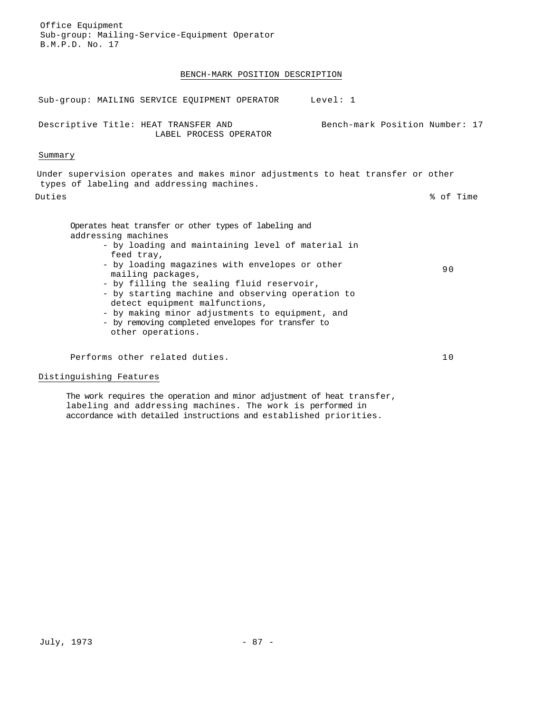Office Equipment Sub-group: Mailing-Service-Equipment Operator B.M.P.D. No. 17

# BENCH-MARK POSITION DESCRIPTION

| Sub-group: MAILING SERVICE EOUIPMENT OPERATOR<br>Level: 1                                                                                                                                                                                                                                                                                                                                                                                                                              |                                |
|----------------------------------------------------------------------------------------------------------------------------------------------------------------------------------------------------------------------------------------------------------------------------------------------------------------------------------------------------------------------------------------------------------------------------------------------------------------------------------------|--------------------------------|
| Descriptive Title: HEAT TRANSFER AND<br>LABEL PROCESS OPERATOR                                                                                                                                                                                                                                                                                                                                                                                                                         | Bench-mark Position Number: 17 |
| Summary                                                                                                                                                                                                                                                                                                                                                                                                                                                                                |                                |
| Under supervision operates and makes minor adjustments to heat transfer or other<br>types of labeling and addressing machines.                                                                                                                                                                                                                                                                                                                                                         |                                |
| Duties                                                                                                                                                                                                                                                                                                                                                                                                                                                                                 | % of Time                      |
| Operates heat transfer or other types of labeling and<br>addressing machines<br>- by loading and maintaining level of material in<br>feed tray,<br>- by loading magazines with envelopes or other<br>mailing packages,<br>- by filling the sealing fluid reservoir,<br>- by starting machine and observing operation to<br>detect equipment malfunctions,<br>- by making minor adjustments to equipment, and<br>- by removing completed envelopes for transfer to<br>other operations. | 90                             |
| Performs other related duties.                                                                                                                                                                                                                                                                                                                                                                                                                                                         | 10                             |
| Distinguishing Features                                                                                                                                                                                                                                                                                                                                                                                                                                                                |                                |

The work requires the operation and minor adjustment of heat transfer, labeling and addressing machines. The work is performed in accordance with detailed instructions and established priorities.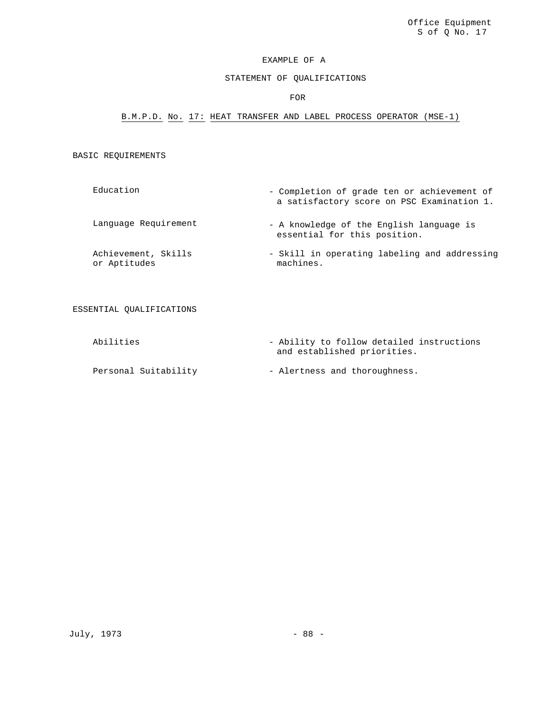# STATEMENT OF QUALIFICATIONS

### FOR

# B.M.P.D. No. 17: HEAT TRANSFER AND LABEL PROCESS OPERATOR (MSE-1)

# BASIC REQUIREMENTS

| Education                           | - Completion of grade ten or achievement of<br>a satisfactory score on PSC Examination 1. |
|-------------------------------------|-------------------------------------------------------------------------------------------|
| Language Requirement                | - A knowledge of the English language is<br>essential for this position.                  |
| Achievement, Skills<br>or Aptitudes | - Skill in operating labeling and addressing<br>machines.                                 |

ESSENTIAL QUALIFICATIONS

| Abilities            | - Ability to follow detailed instructions<br>and established priorities. |
|----------------------|--------------------------------------------------------------------------|
|                      |                                                                          |
| Personal Suitability | - Alertness and thoroughness.                                            |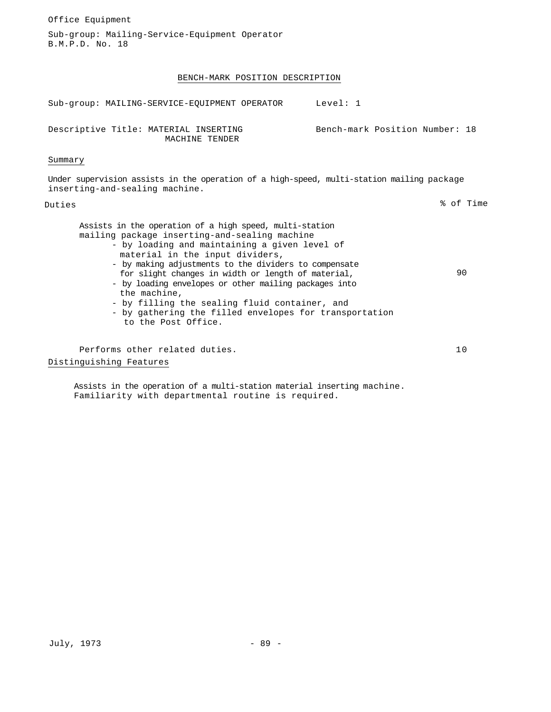Office Equipment Sub-group: Mailing-Service-Equipment Operator B.M.P.D. No. 18 BENCH-MARK POSITION DESCRIPTION Sub-group: MAILING-SERVICE-EQUIPMENT OPERATOR Level: 1 Descriptive Title: MATERIAL INSERTING MACHINE TENDER Bench-mark Position Number: 18 Summary Under supervision assists in the operation of a high-speed, multi-station mailing package inserting-and-sealing machine. Duties % of Time Assists in the operation of a high speed, multi-station mailing package inserting-and-sealing machine - by loading and maintaining a given level of material in the input dividers, - by making adjustments to the dividers to compensate for slight changes in width or length of material, - by loading envelopes or other mailing packages into the machine, - by filling the sealing fluid container, and - by gathering the filled envelopes for transportation to the Post Office. 90 Performs other related duties. 10 Distinguishing Features

Assists in the operation of a multi-station material inserting machine. Familiarity with departmental routine is required.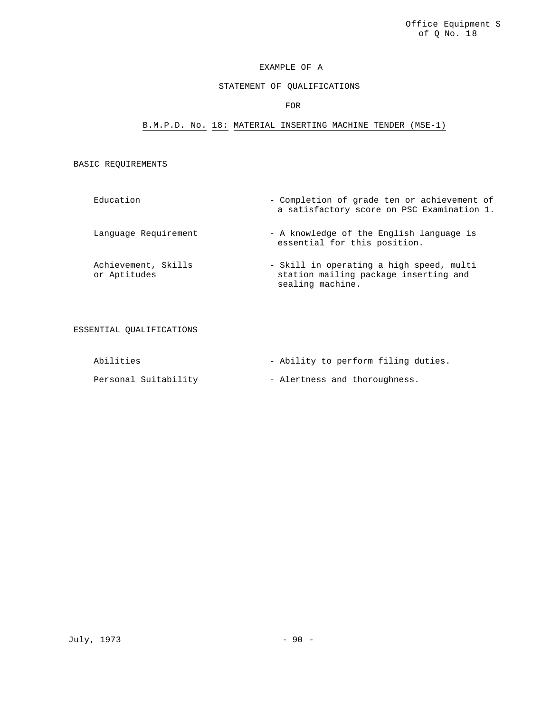# STATEMENT OF QUALIFICATIONS

# FOR

# B.M.P.D. No. 18: MATERIAL INSERTING MACHINE TENDER (MSE-1)

BASIC REQUIREMENTS

| Education                           | - Completion of grade ten or achievement of<br>a satisfactory score on PSC Examination 1.             |
|-------------------------------------|-------------------------------------------------------------------------------------------------------|
| Language Requirement                | - A knowledge of the English language is<br>essential for this position.                              |
| Achievement, Skills<br>or Aptitudes | - Skill in operating a high speed, multi<br>station mailing package inserting and<br>sealing machine. |

ESSENTIAL QUALIFICATIONS

| Abilities            | - Ability to perform filing duties. |
|----------------------|-------------------------------------|
| Personal Suitability | - Alertness and thoroughness.       |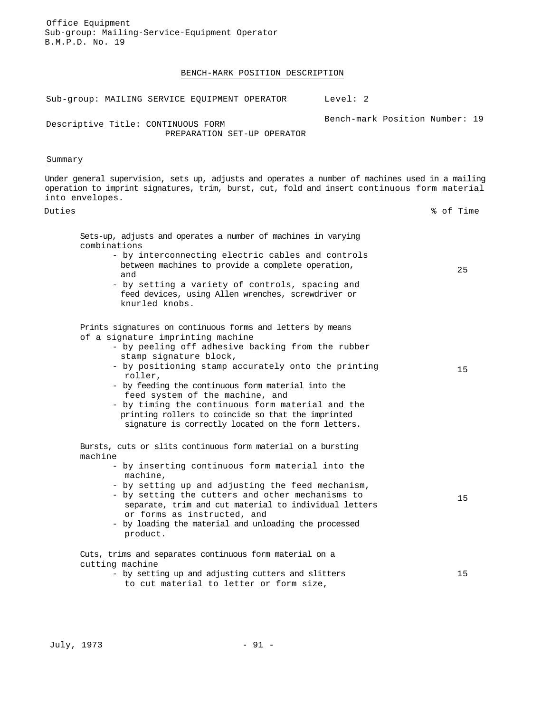Office Equipment Sub-group: Mailing-Service-Equipment Operator B.M.P.D. No. 19

#### BENCH-MARK POSITION DESCRIPTION

Sub-group: MAILING SERVICE EQUIPMENT OPERATOR Level: 2 Descriptive Title: CONTINUOUS FORM Bench-mark Position Number: 19

PREPARATION SET-UP OPERATOR

# Summary

Under general supervision, sets up, adjusts and operates a number of machines used in a mailing operation to imprint signatures, trim, burst, cut, fold and insert continuous form material into envelopes.

25

15

15

### Duties % of Time

Sets-up, adjusts and operates a number of machines in varying combinations

- by interconnecting electric cables and controls between machines to provide a complete operation, and
- by setting a variety of controls, spacing and feed devices, using Allen wrenches, screwdriver or knurled knobs.

Prints signatures on continuous forms and letters by means of a signature imprinting machine

- by peeling off adhesive backing from the rubber stamp signature block,
- by positioning stamp accurately onto the printing roller,
- by feeding the continuous form material into the feed system of the machine, and

- by timing the continuous form material and the printing rollers to coincide so that the imprinted signature is correctly located on the form letters.

Bursts, cuts or slits continuous form material on a bursting machine

- by inserting continuous form material into the machine,
- by setting up and adjusting the feed mechanism,
- by setting the cutters and other mechanisms to separate, trim and cut material to individual letters or forms as instructed, and
- by loading the material and unloading the processed product.

Cuts, trims and separates continuous form material on a cutting machine

> - by setting up and adjusting cutters and slitters to cut material to letter or form size, 15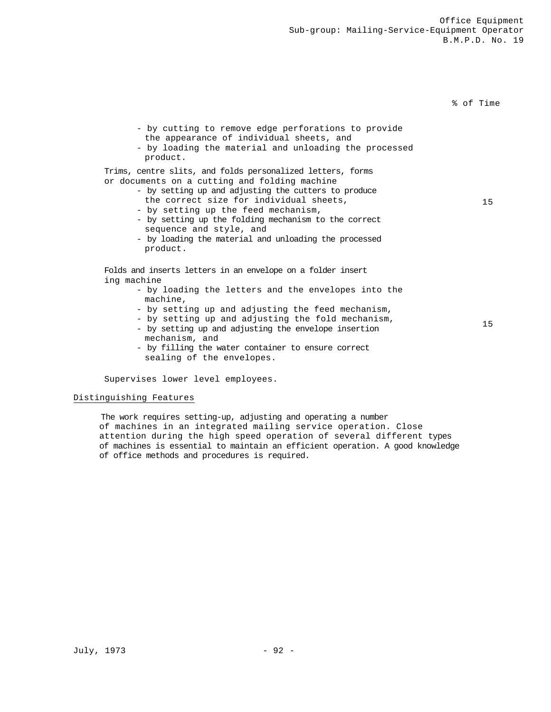% of Time

15

15

- by cutting to remove edge perforations to provide the appearance of individual sheets, and
- by loading the material and unloading the processed product.

Trims, centre slits, and folds personalized letters, forms or documents on a cutting and folding machine

- by setting up and adjusting the cutters to produce the correct size for individual sheets,
- by setting up the feed mechanism,
- by setting up the folding mechanism to the correct sequence and style, and
- by loading the material and unloading the processed product.

Folds and inserts letters in an envelope on a folder insert ing machine

- by loading the letters and the envelopes into the machine,
- by setting up and adjusting the feed mechanism,
- by setting up and adjusting the fold mechanism,
- by setting up and adjusting the envelope insertion mechanism, and
- by filling the water container to ensure correct sealing of the envelopes.

Supervises lower level employees.

#### Distinguishing Features

The work requires setting-up, adjusting and operating a number of machines in an integrated mailing service operation. Close attention during the high speed operation of several different types of machines is essential to maintain an efficient operation. A good knowledge of office methods and procedures is required.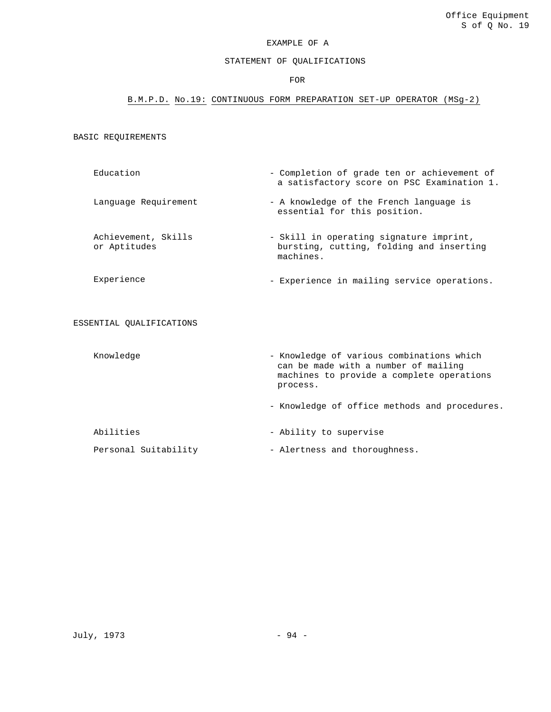# STATEMENT OF QUALIFICATIONS

#### FOR

# B.M.P.D. No.19: CONTINUOUS FORM PREPARATION SET-UP OPERATOR (MSg-2)

BASIC REQUIREMENTS

- Education Completion of grade ten or achievement of a satisfactory score on PSC Examination 1.
- Language Requirement A knowledge of the French language is essential for this position.
- Achievement, Skills or Aptitudes - Skill in operating signature imprint, bursting, cutting, folding and inserting machines.
- Experience Experience in mailing service operations.

ESSENTIAL QUALIFICATIONS

Knowledge - Knowledge of various combinations which can be made with a number of mailing machines to provide a complete operations process. - Knowledge of office methods and procedures. Abilities  $\qquad \qquad -$  Ability to supervise

Personal Suitability - Alertness and thoroughness.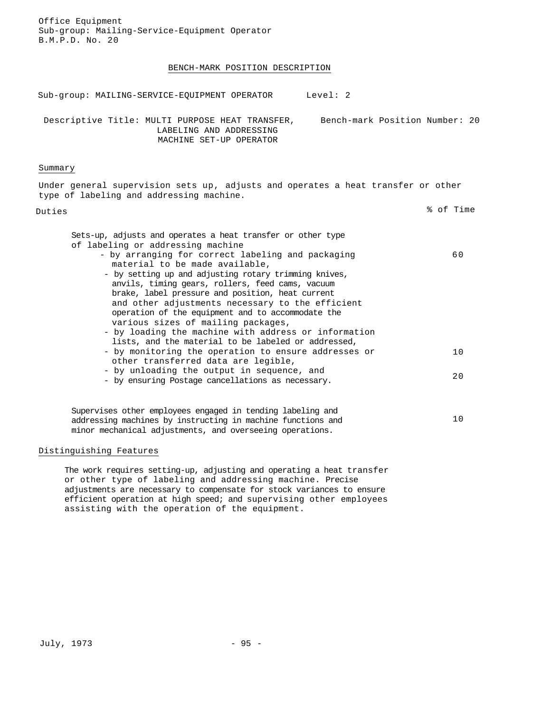| Office Equipment<br>Sub-group: Mailing-Service-Equipment Operator<br>B.M.P.D. No. 20                                                                                                                                                                                                                                                                                                                                                                                                                                                                                                                                                                                                                                                                                                                                     |                |
|--------------------------------------------------------------------------------------------------------------------------------------------------------------------------------------------------------------------------------------------------------------------------------------------------------------------------------------------------------------------------------------------------------------------------------------------------------------------------------------------------------------------------------------------------------------------------------------------------------------------------------------------------------------------------------------------------------------------------------------------------------------------------------------------------------------------------|----------------|
| BENCH-MARK POSITION DESCRIPTION                                                                                                                                                                                                                                                                                                                                                                                                                                                                                                                                                                                                                                                                                                                                                                                          |                |
| Level: 2<br>Sub-group: MAILING-SERVICE-EQUIPMENT OPERATOR                                                                                                                                                                                                                                                                                                                                                                                                                                                                                                                                                                                                                                                                                                                                                                |                |
| Bench-mark Position Number: 20<br>Descriptive Title: MULTI PURPOSE HEAT TRANSFER,<br>LABELING AND ADDRESSING<br>MACHINE SET-UP OPERATOR                                                                                                                                                                                                                                                                                                                                                                                                                                                                                                                                                                                                                                                                                  |                |
| Summary                                                                                                                                                                                                                                                                                                                                                                                                                                                                                                                                                                                                                                                                                                                                                                                                                  |                |
| Under general supervision sets up, adjusts and operates a heat transfer or other<br>type of labeling and addressing machine.                                                                                                                                                                                                                                                                                                                                                                                                                                                                                                                                                                                                                                                                                             |                |
| Duties                                                                                                                                                                                                                                                                                                                                                                                                                                                                                                                                                                                                                                                                                                                                                                                                                   | % of Time      |
| Sets-up, adjusts and operates a heat transfer or other type<br>of labeling or addressing machine<br>- by arranging for correct labeling and packaging<br>material to be made available,<br>- by setting up and adjusting rotary trimming knives,<br>anvils, timing gears, rollers, feed cams, vacuum<br>brake, label pressure and position, heat current<br>and other adjustments necessary to the efficient<br>operation of the equipment and to accommodate the<br>various sizes of mailing packages,<br>- by loading the machine with address or information<br>lists, and the material to be labeled or addressed,<br>- by monitoring the operation to ensure addresses or<br>other transferred data are legible,<br>- by unloading the output in sequence, and<br>- by ensuring Postage cancellations as necessary. | 60<br>10<br>20 |
| Supervises other employees engaged in tending labeling and<br>addressing machines by instructing in machine functions and<br>minor mechanical adjustments, and overseeing operations.                                                                                                                                                                                                                                                                                                                                                                                                                                                                                                                                                                                                                                    | 10             |
| Distinguishing Features                                                                                                                                                                                                                                                                                                                                                                                                                                                                                                                                                                                                                                                                                                                                                                                                  |                |

The work requires setting-up, adjusting and operating a heat transfer or other type of labeling and addressing machine. Precise adjustments are necessary to compensate for stock variances to ensure efficient operation at high speed; and supervising other employees assisting with the operation of the equipment.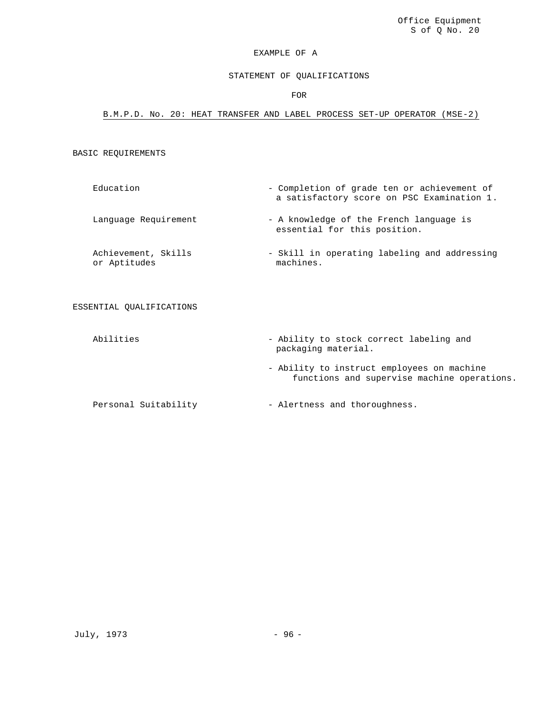# STATEMENT OF QUALIFICATIONS

### FOR

### B.M.P.D. No. 20: HEAT TRANSFER AND LABEL PROCESS SET-UP OPERATOR (MSE-2)

# BASIC REQUIREMENTS

- Education Completion of grade ten or achievement of a satisfactory score on PSC Examination 1.
- Language Requirement A knowledge of the French language is essential for this position.

Achievement, Skills or Aptitudes - Skill in operating labeling and addressing machines.

### ESSENTIAL QUALIFICATIONS

- Abilities Ability to stock correct labeling and packaging material.
	- Ability to instruct employees on machine functions and supervise machine operations.

Personal Suitability - Alertness and thoroughness.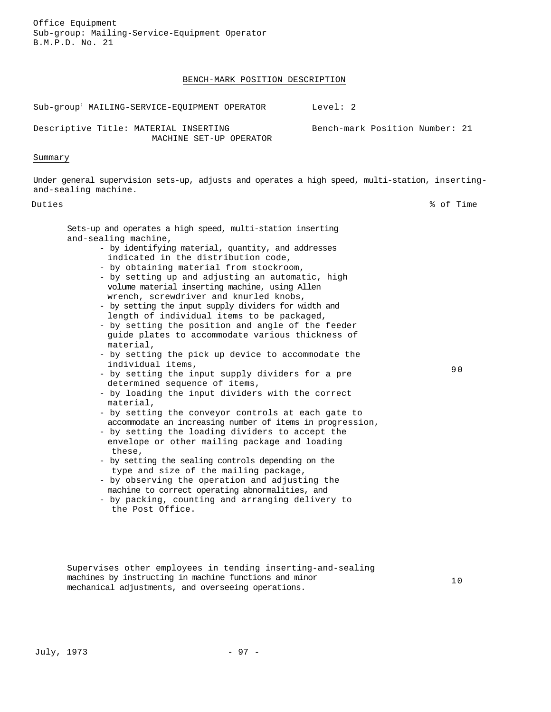### BENCH-MARK POSITION DESCRIPTION

Sub-group: MAILING-SERVICE-EQUIPMENT OPERATOR Level: 2

Descriptive Title: MATERIAL INSERTING MACHINE SET-UP OPERATOR

Summary

Under general supervision sets-up, adjusts and operates a high speed, multi-station, insertingand-sealing machine.

Duties % of Time

90

Bench-mark Position Number: 21

Sets-up and operates a high speed, multi-station inserting and-sealing machine,

- by identifying material, quantity, and addresses indicated in the distribution code,
- by obtaining material from stockroom,
- by setting up and adjusting an automatic, high volume material inserting machine, using Allen wrench, screwdriver and knurled knobs,
- by setting the input supply dividers for width and length of individual items to be packaged,
- by setting the position and angle of the feeder guide plates to accommodate various thickness of material,
- by setting the pick up device to accommodate the individual items,
- by setting the input supply dividers for a pre determined sequence of items,
- by loading the input dividers with the correct material,
- by setting the conveyor controls at each gate to accommodate an increasing number of items in progression,
- by setting the loading dividers to accept the envelope or other mailing package and loading these,
- by setting the sealing controls depending on the type and size of the mailing package,
- by observing the operation and adjusting the machine to correct operating abnormalities, and
- by packing, counting and arranging delivery to the Post Office.

Supervises other employees in tending inserting-and-sealing machines by instructing in machine functions and minor mechanical adjustments, and overseeing operations.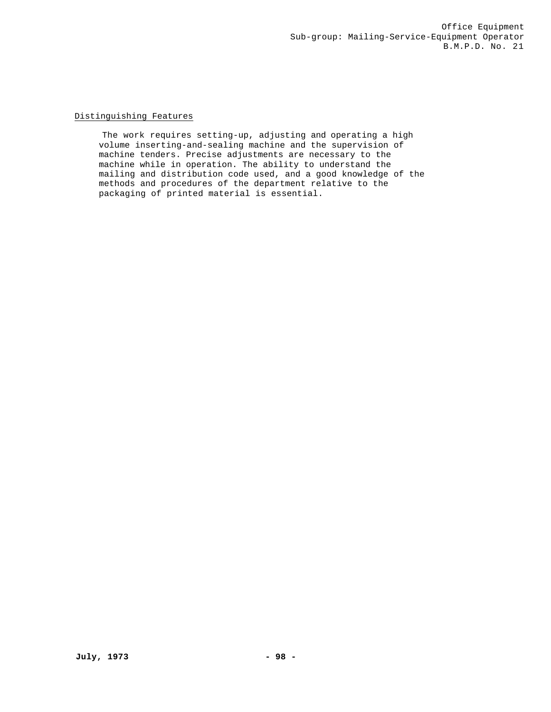Distinguishing Features

The work requires setting-up, adjusting and operating a high volume inserting-and-sealing machine and the supervision of machine tenders. Precise adjustments are necessary to the machine while in operation. The ability to understand the mailing and distribution code used, and a good knowledge of the methods and procedures of the department relative to the packaging of printed material is essential.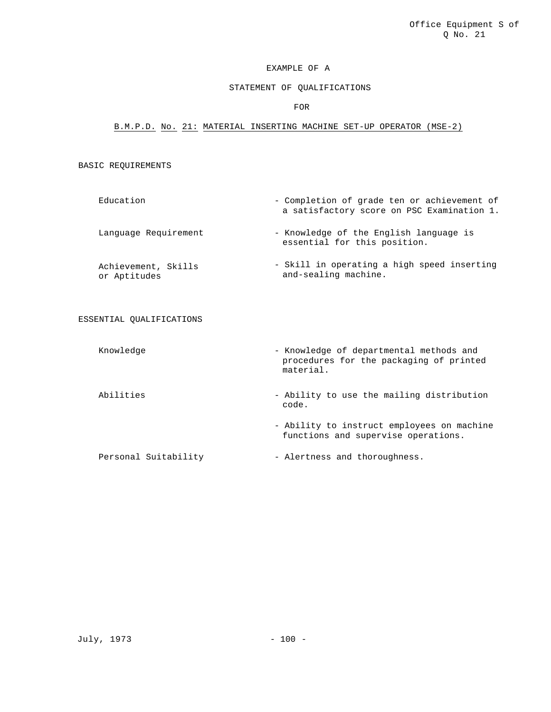### STATEMENT OF QUALIFICATIONS

# FOR

### B.M.P.D. No. 21: MATERIAL INSERTING MACHINE SET-UP OPERATOR (MSE-2)

# BASIC REQUIREMENTS

- Education Completion of grade ten or achievement of a satisfactory score on PSC Examination 1. Language Requirement - Knowledge of the English language is
- Achievement, Skills or Aptitudes - Skill in operating a high speed inserting and-sealing machine.

#### ESSENTIAL QUALIFICATIONS

- Knowledge  **Knowledge of departmental methods and** procedures for the packaging of printed material.
- Abilities Ability to use the mailing distribution code.

essential for this position.

- Ability to instruct employees on machine functions and supervise operations.

Personal Suitability  $-$  Alertness and thoroughness.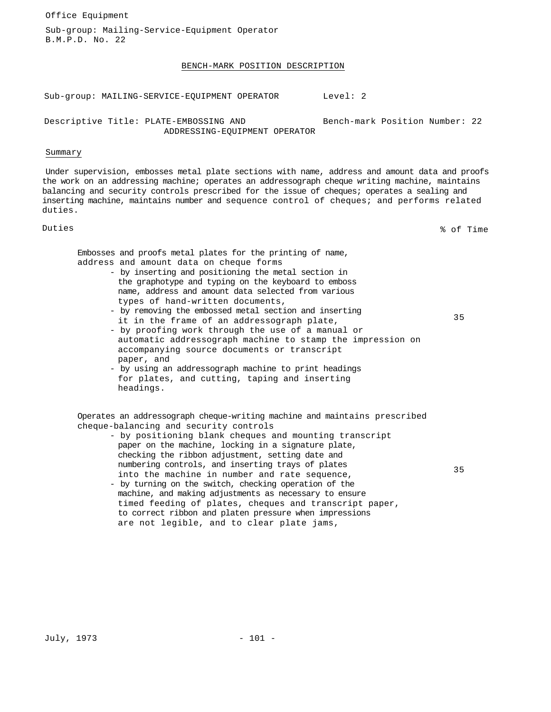Office Equipment

Sub-group: Mailing-Service-Equipment Operator B.M.P.D. No. 22

#### BENCH-MARK POSITION DESCRIPTION

Sub-group: MAILING-SERVICE-EQUIPMENT OPERATOR Level: 2

Descriptive Title: PLATE-EMBOSSING AND ADDRESSING-EQUIPMENT OPERATOR Bench-mark Position Number: 22

### Summary

Under supervision, embosses metal plate sections with name, address and amount data and proofs the work on an addressing machine; operates an addressograph cheque writing machine, maintains balancing and security controls prescribed for the issue of cheques; operates a sealing and inserting machine, maintains number and sequence control of cheques; and performs related duties.

Duties % of Time

35

Embosses and proofs metal plates for the printing of name, address and amount data on cheque forms

- by inserting and positioning the metal section in the graphotype and typing on the keyboard to emboss name, address and amount data selected from various types of hand-written documents,
- by removing the embossed metal section and inserting it in the frame of an addressograph plate,
- by proofing work through the use of a manual or automatic addressograph machine to stamp the impression on accompanying source documents or transcript paper, and
- by using an addressograph machine to print headings for plates, and cutting, taping and inserting headings.

Operates an addressograph cheque-writing machine and maintains prescribed cheque-balancing and security controls

- by positioning blank cheques and mounting transcript paper on the machine, locking in a signature plate, checking the ribbon adjustment, setting date and numbering controls, and inserting trays of plates into the machine in number and rate sequence,
- 35
- by turning on the switch, checking operation of the machine, and making adjustments as necessary to ensure timed feeding of plates, cheques and transcript paper, to correct ribbon and platen pressure when impressions are not legible, and to clear plate jams,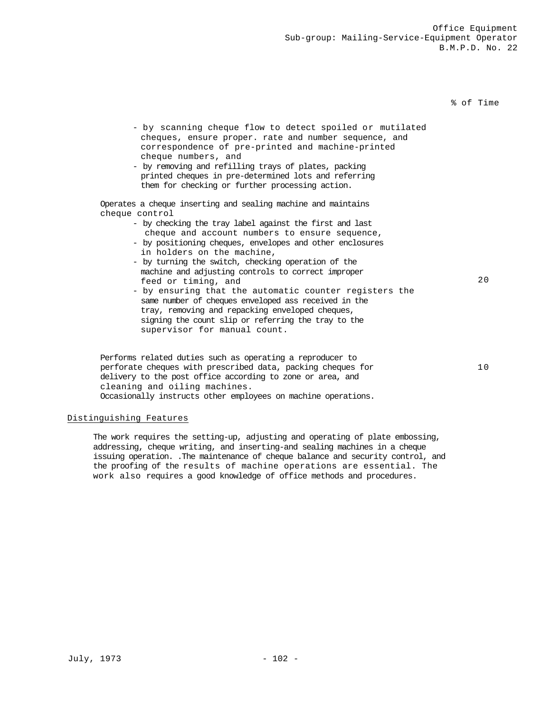### % of Time

- by scanning cheque flow to detect spoiled or mutilated cheques, ensure proper. rate and number sequence, and correspondence of pre-printed and machine-printed cheque numbers, and
- by removing and refilling trays of plates, packing printed cheques in pre-determined lots and referring them for checking or further processing action.

Operates a cheque inserting and sealing machine and maintains cheque control

- by checking the tray label against the first and last cheque and account numbers to ensure sequence,
- by positioning cheques, envelopes and other enclosures in holders on the machine,
- by turning the switch, checking operation of the machine and adjusting controls to correct improper feed or timing, and
- by ensuring that the automatic counter registers the same number of cheques enveloped ass received in the tray, removing and repacking enveloped cheques, signing the count slip or referring the tray to the supervisor for manual count.

Performs related duties such as operating a reproducer to perforate cheques with prescribed data, packing cheques for delivery to the post office according to zone or area, and cleaning and oiling machines. Occasionally instructs other employees on machine operations.

### Distinguishing Features

The work requires the setting-up, adjusting and operating of plate embossing, addressing, cheque writing, and inserting-and sealing machines in a cheque issuing operation. .The maintenance of cheque balance and security control, and the proofing of the results of machine operations are essential. The work also requires a good knowledge of office methods and procedures.

20

10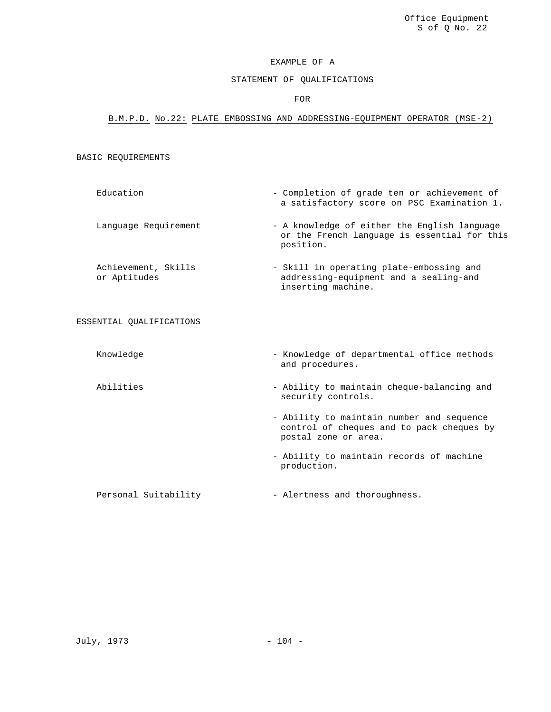# STATEMENT OF QUALIFICATIONS

### FOR

# B.M.P.D. No.22: PLATE EMBOSSING AND ADDRESSING-EQUIPMENT OPERATOR (MSE-2)

### BASIC REQUIREMENTS

- Education Completion of grade ten or achievement of a satisfactory score on PSC Examination 1.
- Language Requirement A knowledge of either the English language or the French language is essential for this position.
- Achievement, Skills or Aptitudes - Skill in operating plate-embossing and addressing-equipment and a sealing-and inserting machine.

### ESSENTIAL QUALIFICATIONS

- 
- Knowledge  $-$  Knowledge of departmental office methods and procedures.
- Abilities  **Ability to maintain cheque-balancing and** security controls.
	- Ability to maintain number and sequence control of cheques and to pack cheques by postal zone or area.
	- Ability to maintain records of machine production.

Personal Suitability - Alertness and thoroughness.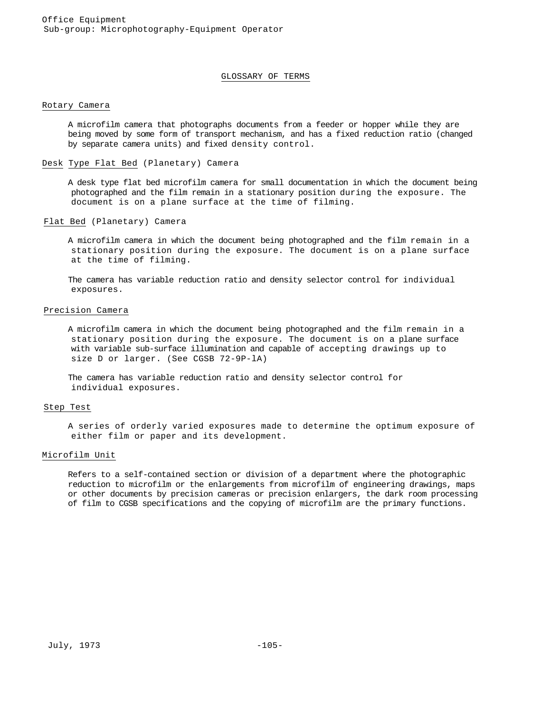#### GLOSSARY OF TERMS

#### Rotary Camera

A microfilm camera that photographs documents from a feeder or hopper while they are being moved by some form of transport mechanism, and has a fixed reduction ratio (changed by separate camera units) and fixed density control.

### Desk Type Flat Bed (Planetary) Camera

A desk type flat bed microfilm camera for small documentation in which the document being photographed and the film remain in a stationary position during the exposure. The document is on a plane surface at the time of filming.

### Flat Bed (Planetary) Camera

A microfilm camera in which the document being photographed and the film remain in a stationary position during the exposure. The document is on a plane surface at the time of filming.

The camera has variable reduction ratio and density selector control for individual exposures.

### Precision Camera

A microfilm camera in which the document being photographed and the film remain in a stationary position during the exposure. The document is on a plane surface with variable sub-surface illumination and capable of accepting drawings up to size D or larger. (See CGSB 72-9P-lA)

The camera has variable reduction ratio and density selector control for individual exposures.

#### Step Test

A series of orderly varied exposures made to determine the optimum exposure of either film or paper and its development.

### Microfilm Unit

Refers to a self-contained section or division of a department where the photographic reduction to microfilm or the enlargements from microfilm of engineering drawings, maps or other documents by precision cameras or precision enlargers, the dark room processing of film to CGSB specifications and the copying of microfilm are the primary functions.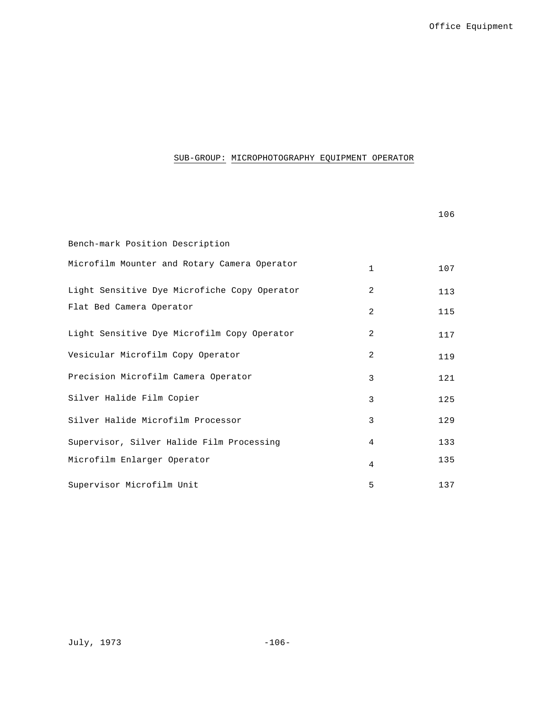# SUB-GROUP: MICROPHOTOGRAPHY EQUIPMENT OPERATOR

|                                              |                | 106 |
|----------------------------------------------|----------------|-----|
| Bench-mark Position Description              |                |     |
| Microfilm Mounter and Rotary Camera Operator | $\mathbf{1}$   | 107 |
| Light Sensitive Dye Microfiche Copy Operator | $\overline{a}$ | 113 |
| Flat Bed Camera Operator                     | $\mathfrak{D}$ | 115 |
| Light Sensitive Dye Microfilm Copy Operator  | 2              | 117 |
| Vesicular Microfilm Copy Operator            | 2              | 119 |
| Precision Microfilm Camera Operator          | 3              | 121 |
| Silver Halide Film Copier                    | 3              | 125 |
| Silver Halide Microfilm Processor            | 3              | 129 |
| Supervisor, Silver Halide Film Processing    | 4              | 133 |
| Microfilm Enlarger Operator                  | 4              | 135 |
| Supervisor Microfilm Unit                    | 5              | 137 |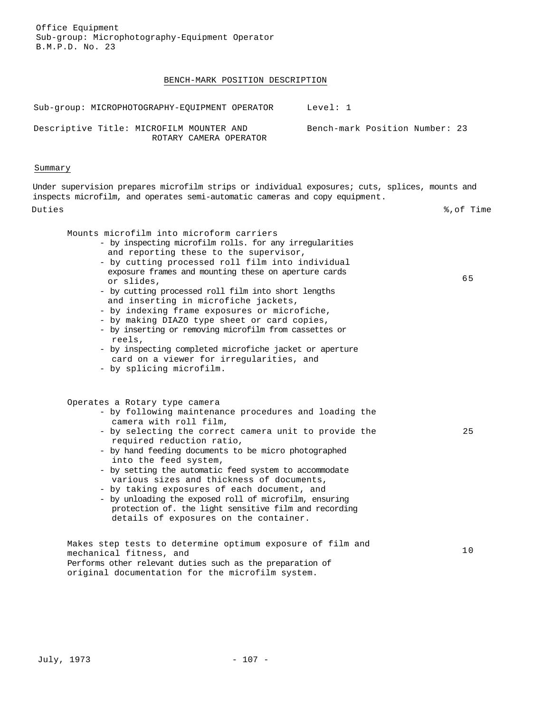#### BENCH-MARK POSITION DESCRIPTION

Sub-group: MICROPHOTOGRAPHY-EOUIPMENT OPERATOR Level: 1 Descriptive Title: MICROFILM MOUNTER AND ROTARY CAMERA OPERATOR Bench-mark Position Number: 23

### Summary

Under supervision prepares microfilm strips or individual exposures; cuts, splices, mounts and inspects microfilm, and operates semi-automatic cameras and copy equipment. Duties %,of Time

65

25

10

#### Mounts microfilm into microform carriers

- by inspecting microfilm rolls. for any irregularities and reporting these to the supervisor,
	- by cutting processed roll film into individual exposure frames and mounting these on aperture cards or slides,
	- by cutting processed roll film into short lengths and inserting in microfiche jackets,
	- by indexing frame exposures or microfiche,
	- by making DIAZO type sheet or card copies,
	- by inserting or removing microfilm from cassettes or reels,
	- by inspecting completed microfiche jacket or aperture card on a viewer for irregularities, and
	- by splicing microfilm.

#### Operates a Rotary type camera

- by following maintenance procedures and loading the camera with roll film,
- by selecting the correct camera unit to provide the required reduction ratio,
- by hand feeding documents to be micro photographed into the feed system,
- by setting the automatic feed system to accommodate various sizes and thickness of documents,
- by taking exposures of each document, and
- by unloading the exposed roll of microfilm, ensuring protection of. the light sensitive film and recording details of exposures on the container.

Makes step tests to determine optimum exposure of film and mechanical fitness, and Performs other relevant duties such as the preparation of original documentation for the microfilm system.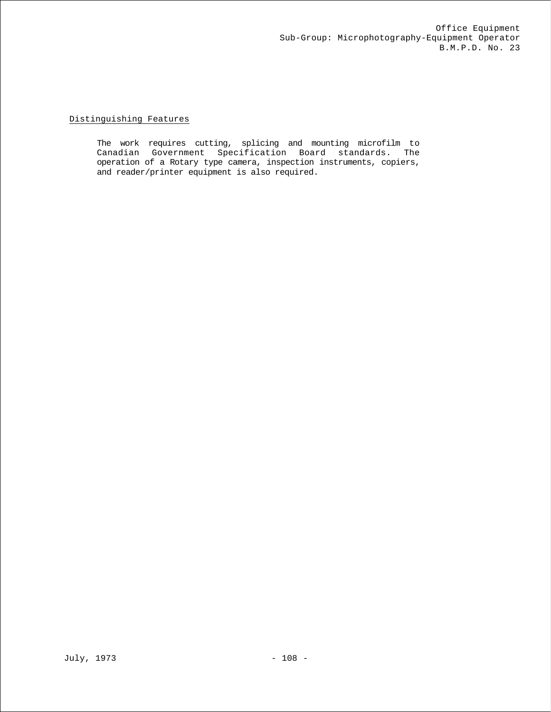# Distinguishing Features

The work requires cutting, splicing and mounting microfilm to Canadian Government Specification Board standards. The operation of a Rotary type camera, inspection instruments, copiers, and reader/printer equipment is also required.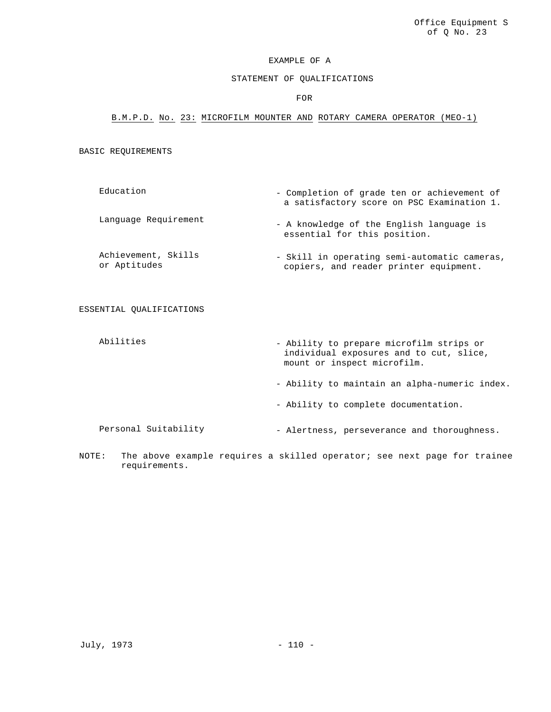# STATEMENT OF QUALIFICATIONS

#### FOR

# B.M.P.D. No. 23: MICROFILM MOUNTER AND ROTARY CAMERA OPERATOR (MEO-1)

#### BASIC REQUIREMENTS

- Education Completion of grade ten or achievement of a satisfactory score on PSC Examination 1. Language Requirement - A knowledge of the English language is essential for this position.
- Achievement, Skills or Aptitudes - Skill in operating semi-automatic cameras, copiers, and reader printer equipment.

### ESSENTIAL QUALIFICATIONS

- Abilities Ability to prepare microfilm strips or individual exposures and to cut, slice, mount or inspect microfilm.
	- Ability to maintain an alpha-numeric index.
	- Ability to complete documentation.
- Personal Suitability Alertness, perseverance and thoroughness.
- NOTE: The above example requires a skilled operator; see next page for trainee requirements.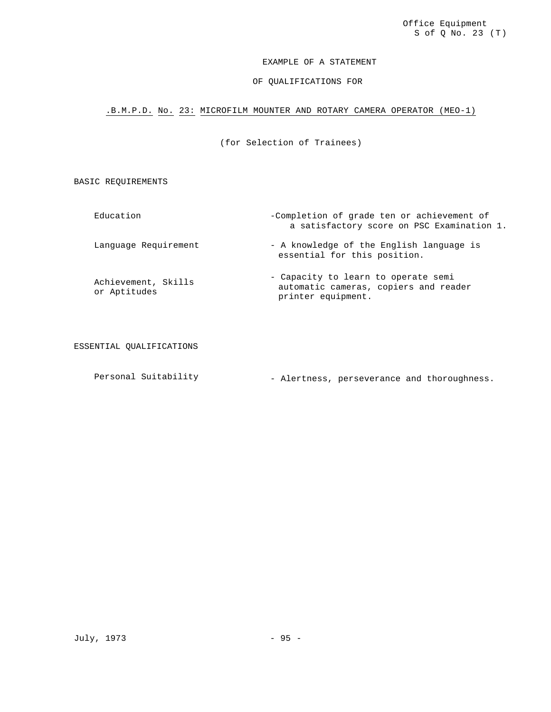### EXAMPLE OF A STATEMENT

# OF QUALIFICATIONS FOR

# .B.M.P.D. No. 23: MICROFILM MOUNTER AND ROTARY CAMERA OPERATOR (MEO-1)

(for Selection of Trainees)

BASIC REQUIREMENTS

Education -Completion of grade ten or achievement of a satisfactory score on PSC Examination 1. Language Requirement - A knowledge of the English language is essential for this position. Achievement, Skills or Aptitudes - Capacity to learn to operate semi automatic cameras, copiers and reader printer equipment.

ESSENTIAL QUALIFICATIONS

Personal Suitability - Alertness, perseverance and thoroughness.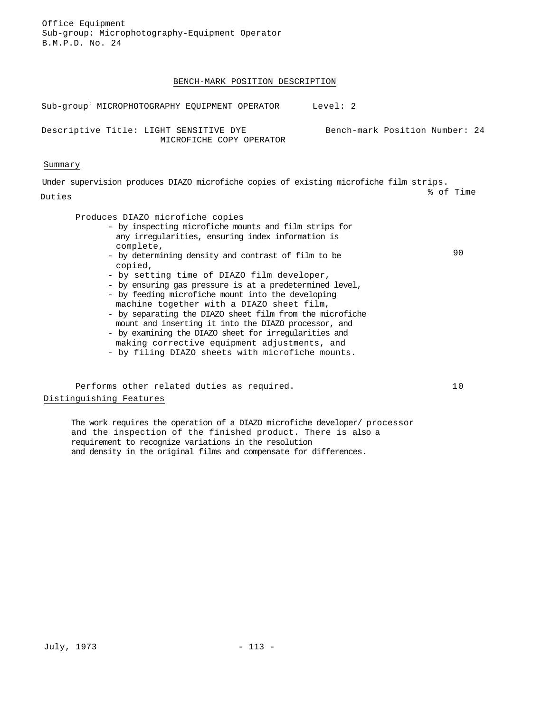### BENCH-MARK POSITION DESCRIPTION

| Sub-group MICROPHOTOGRAPHY EQUIPMENT OPERATOR                      | Level: 2                       |
|--------------------------------------------------------------------|--------------------------------|
| Descriptive Title: LIGHT SENSITIVE DYE<br>MICROFICHE COPY OPERATOR | Bench-mark Position Number: 24 |

### Summary

Under supervision produces DIAZO microfiche copies of existing microfiche film strips. Duties % of Time Produces DIAZO microfiche copies - by inspecting microfiche mounts and film strips for any irregularities, ensuring index information is complete, - by determining density and contrast of film to be copied, - by setting time of DIAZO film developer, 90

- by ensuring gas pressure is at a predetermined level, - by feeding microfiche mount into the developing
- machine together with a DIAZO sheet film,
- by separating the DIAZO sheet film from the microfiche mount and inserting it into the DIAZO processor, and
- by examining the DIAZO sheet for irregularities and making corrective equipment adjustments, and
- by filing DIAZO sheets with microfiche mounts.

Performs other related duties as required. 10 Distinguishing Features

The work requires the operation of a DIAZO microfiche developer/ processor and the inspection of the finished product. There is also a requirement to recognize variations in the resolution and density in the original films and compensate for differences.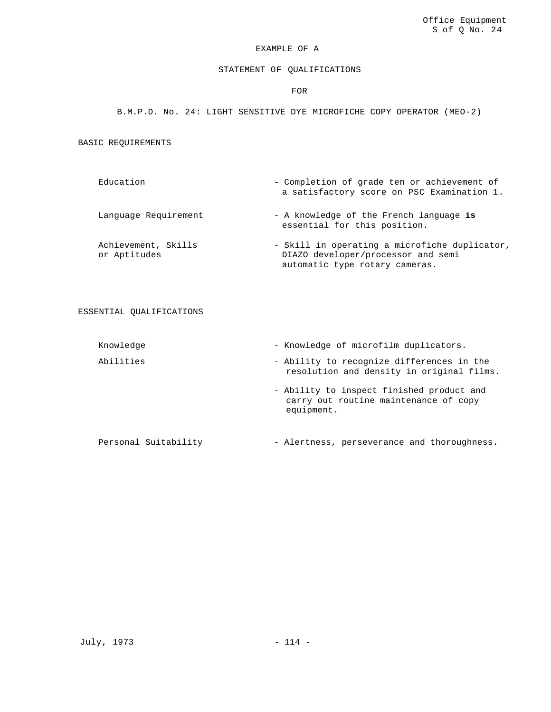# STATEMENT OF QUALIFICATIONS

FOR

# B.M.P.D. No. 24: LIGHT SENSITIVE DYE MICROFICHE COPY OPERATOR (MEO-2)

# BASIC REQUIREMENTS

Education - Completion of grade ten or achievement of a satisfactory score on PSC Examination 1.

Language Requirement - A knowledge of the French language is essential for this position.

Achievement, Skills or Aptitudes - Skill in operating a microfiche duplicator, DIAZO developer/processor and semi automatic type rotary cameras.

### ESSENTIAL QUALIFICATIONS

| Knowledge            | - Knowledge of microfilm duplicators.                                                            |
|----------------------|--------------------------------------------------------------------------------------------------|
| Abilities            | - Ability to recognize differences in the<br>resolution and density in original films.           |
|                      | - Ability to inspect finished product and<br>carry out routine maintenance of copy<br>equipment. |
| Personal Suitability | - Alertness, perseverance and thoroughness.                                                      |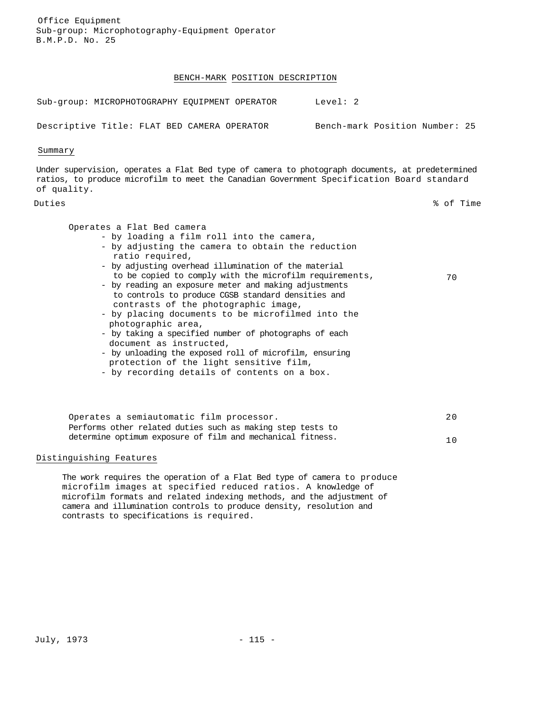### BENCH-MARK POSITION DESCRIPTION

Sub-group: MICROPHOTOGRAPHY EQUIPMENT OPERATOR Level: 2 Descriptive Title: FLAT BED CAMERA OPERATOR Bench-mark Position Number: 25

Summary

Under supervision, operates a Flat Bed type of camera to photograph documents, at predetermined ratios, to produce microfilm to meet the Canadian Government Specification Board standard of quality.

Duties % of Time

Operates a Flat Bed camera

- by loading a film roll into the camera,
- by adjusting the camera to obtain the reduction ratio required,
- by adjusting overhead illumination of the material to be copied to comply with the microfilm requirements, 70
- by reading an exposure meter and making adjustments to controls to produce CGSB standard densities and contrasts of the photographic image,
- by placing documents to be microfilmed into the photographic area,
- by taking a specified number of photographs of each document as instructed,
- by unloading the exposed roll of microfilm, ensuring protection of the light sensitive film,
- by recording details of contents on a box.

Operates a semiautomatic film processor. 20 Performs other related duties such as making step tests to determine optimum exposure of film and mechanical fitness. 10

### Distinguishing Features

The work requires the operation of a Flat Bed type of camera to produce microfilm images at specified reduced ratios. A knowledge of microfilm formats and related indexing methods, and the adjustment of camera and illumination controls to produce density, resolution and contrasts to specifications is required.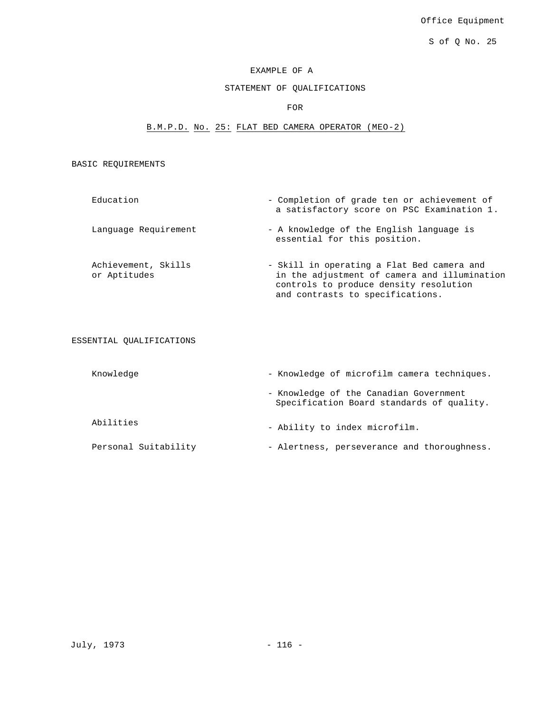Office Equipment

S of Q No. 25

# EXAMPLE OF A

# STATEMENT OF QUALIFICATIONS

# FOR

# B.M.P.D. No. 25: FLAT BED CAMERA OPERATOR (MEO-2)

BASIC REQUIREMENTS

| Education                           | - Completion of grade ten or achievement of<br>a satisfactory score on PSC Examination 1.                                                                                |
|-------------------------------------|--------------------------------------------------------------------------------------------------------------------------------------------------------------------------|
| Language Requirement                | - A knowledge of the English language is<br>essential for this position.                                                                                                 |
| Achievement, Skills<br>or Aptitudes | - Skill in operating a Flat Bed camera and<br>in the adjustment of camera and illumination<br>controls to produce density resolution<br>and contrasts to specifications. |

ESSENTIAL QUALIFICATIONS

| Knowledge            | - Knowledge of microfilm camera techniques.                                         |
|----------------------|-------------------------------------------------------------------------------------|
|                      | - Knowledge of the Canadian Government<br>Specification Board standards of quality. |
| Abilities            | - Ability to index microfilm.                                                       |
| Personal Suitability | - Alertness, perseverance and thoroughness.                                         |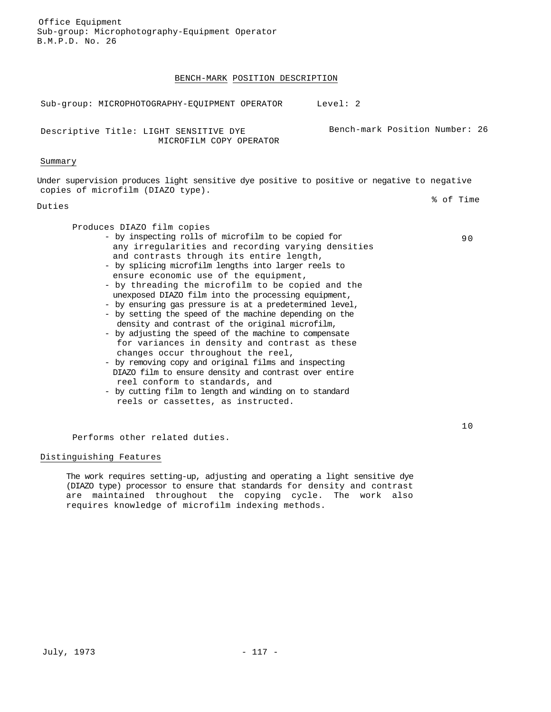### BENCH-MARK POSITION DESCRIPTION

Sub-group: MICROPHOTOGRAPHY-EQUIPMENT OPERATOR Level: 2

Descriptive Title: LIGHT SENSITIVE DYE MICROFILM COPY OPERATOR

### Summary

Under supervision produces light sensitive dye positive to positive or negative to negative copies of microfilm (DIAZO type).

### Duties

Produces DIAZO film copies

- by inspecting rolls of microfilm to be copied for any irregularities and recording varying densities and contrasts through its entire length,
- by splicing microfilm lengths into larger reels to ensure economic use of the equipment,
- by threading the microfilm to be copied and the unexposed DIAZO film into the processing equipment,
- by ensuring gas pressure is at a predetermined level,
- by setting the speed of the machine depending on the density and contrast of the original microfilm,
- by adjusting the speed of the machine to compensate for variances in density and contrast as these changes occur throughout the reel,
- by removing copy and original films and inspecting DIAZO film to ensure density and contrast over entire reel conform to standards, and
- by cutting film to length and winding on to standard reels or cassettes, as instructed.

% of Time

90

Bench-mark Position Number: 26

Performs other related duties.

# Distinguishing Features

The work requires setting-up, adjusting and operating a light sensitive dye (DIAZO type) processor to ensure that standards for density and contrast are maintained throughout the copying cycle. The work also requires knowledge of microfilm indexing methods.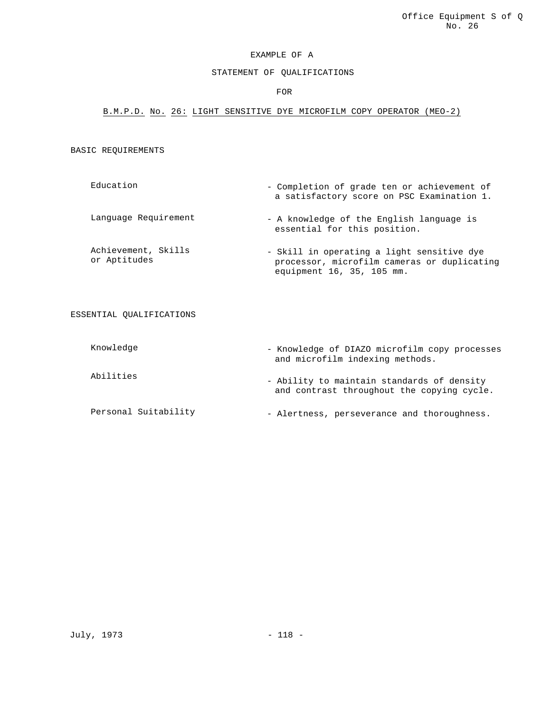### STATEMENT OF QUALIFICATIONS

### FOR

### B.M.P.D. No. 26: LIGHT SENSITIVE DYE MICROFILM COPY OPERATOR (MEO-2)

### BASIC REQUIREMENTS

- Education Completion of grade ten or achievement of a satisfactory score on PSC Examination 1.
- Language Requirement A knowledge of the English language is essential for this position.
- Achievement, Skills or Aptitudes - Skill in operating a light sensitive dye processor, microfilm cameras or duplicating equipment 16, 35, 105 mm.

#### ESSENTIAL QUALIFICATIONS

Knowledge - Knowledge of DIAZO microfilm copy processes and microfilm indexing methods. Abilities - Ability to maintain standards of density and contrast throughout the copying cycle. Personal Suitability - Alertness, perseverance and thoroughness.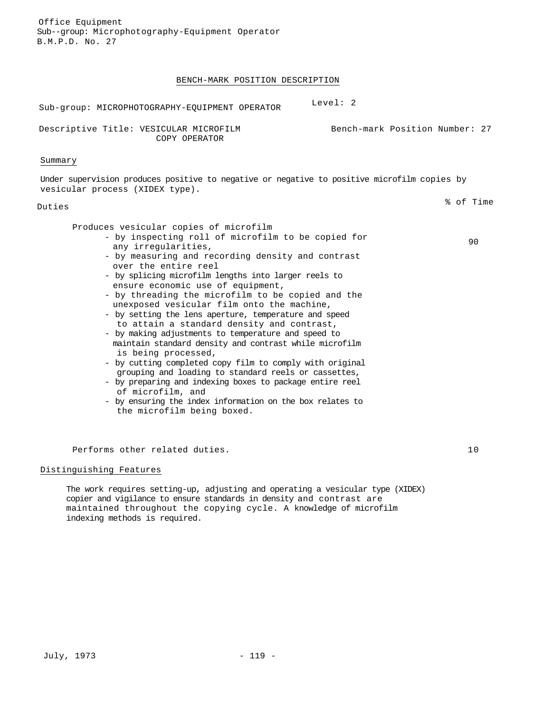### BENCH-MARK POSITION DESCRIPTION

| Sub-group: MICROPHOTOGRAPHY-EOUIPMENT OPERATOR                                                                                 | Level: 2                       |
|--------------------------------------------------------------------------------------------------------------------------------|--------------------------------|
| Descriptive Title: VESICULAR MICROFILM<br>COPY OPERATOR                                                                        | Bench-mark Position Number: 27 |
| Summary                                                                                                                        |                                |
| Under supervision produces positive to negative or negative to positive microfilm copies by<br>vesicular process (XIDEX type). |                                |
| Duties                                                                                                                         | % of Time                      |
| Produces vesicular copies of microfilm                                                                                         |                                |

90

- by inspecting roll of microfilm to be copied for any irregularities,
- by measuring and recording density and contrast over the entire reel
- by splicing microfilm lengths into larger reels to ensure economic use of equipment,
- by threading the microfilm to be copied and the unexposed vesicular film onto the machine,
- by setting the lens aperture, temperature and speed to attain a standard density and contrast,
- by making adjustments to temperature and speed to maintain standard density and contrast while microfilm is being processed,
- by cutting completed copy film to comply with original grouping and loading to standard reels or cassettes,
- by preparing and indexing boxes to package entire reel of microfilm, and
- by ensuring the index information on the box relates to the microfilm being boxed.

Performs other related duties. 10

#### Distinguishing Features

The work requires setting-up, adjusting and operating a vesicular type (XIDEX) copier and vigilance to ensure standards in density and contrast are maintained throughout the copying cycle. A knowledge of microfilm indexing methods is required.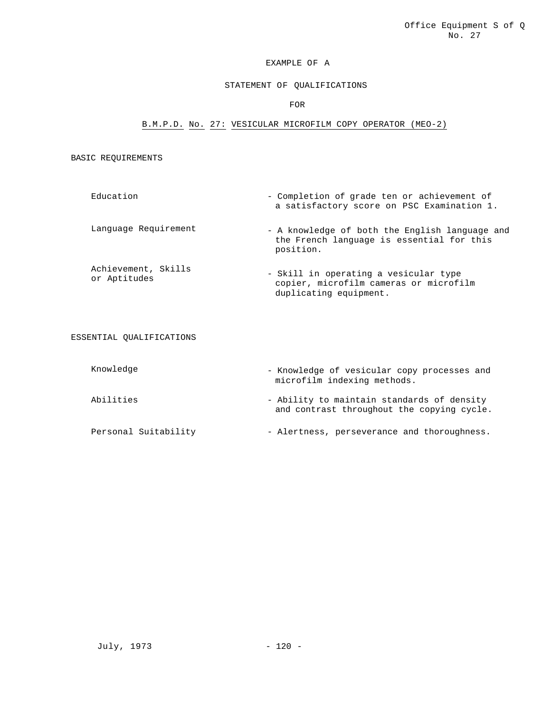# STATEMENT OF QUALIFICATIONS

# FOR

# B.M.P.D. No. 27: VESICULAR MICROFILM COPY OPERATOR (MEO-2)

### BASIC REQUIREMENTS

| Education            | - Completion of grade ten or achievement of<br>a satisfactory score on PSC Examination 1.                |
|----------------------|----------------------------------------------------------------------------------------------------------|
| Language Requirement | - A knowledge of both the English language and<br>the French language is essential for this<br>position. |
|                      |                                                                                                          |

Achievement, Skills<br>or Aptitudes - Skill in operating a vesicular type copier, microfilm cameras or microfilm duplicating equipment.

### ESSENTIAL QUALIFICATIONS

| Knowledge | - Knowledge of vesicular copy processes and<br>microfilm indexing methods.               |
|-----------|------------------------------------------------------------------------------------------|
| Abilities | - Ability to maintain standards of density<br>and contrast throughout the copying cycle. |

Personal Suitability - Alertness, perseverance and thoroughness.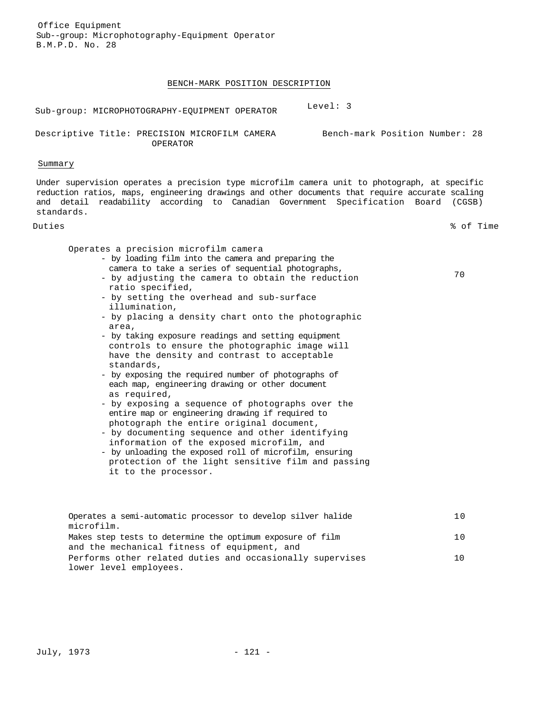### BENCH-MARK POSITION DESCRIPTION

Sub-group: MICROPHOTOGRAPHY-EQUIPMENT OPERATOR Level: 3

Descriptive Title: PRECISION MICROFILM CAMERA Bench-mark Position Number: 28 OPERATOR

#### Summary

Under supervision operates a precision type microfilm camera unit to photograph, at specific reduction ratios, maps, engineering drawings and other documents that require accurate scaling and detail readability according to Canadian Government Specification Board (CGSB) standards.

Duties % of Time

Operates a precision microfilm camera

- by loading film into the camera and preparing the camera to take a series of sequential photographs,
- by adjusting the camera to obtain the reduction ratio specified,
- by setting the overhead and sub-surface illumination,
- by placing a density chart onto the photographic area,
- by taking exposure readings and setting equipment controls to ensure the photographic image will have the density and contrast to acceptable standards,
- by exposing the required number of photographs of each map, engineering drawing or other document as required,
- by exposing a sequence of photographs over the entire map or engineering drawing if required to photograph the entire original document,
- by documenting sequence and other identifying information of the exposed microfilm, and
- by unloading the exposed roll of microfilm, ensuring protection of the light sensitive film and passing it to the processor.

| Operates a semi-automatic processor to develop silver halide | 1 O |
|--------------------------------------------------------------|-----|
| microfilm.                                                   |     |
| Makes step tests to determine the optimum exposure of film   | 1 O |
| and the mechanical fitness of equipment, and                 |     |
| Performs other related duties and occasionally supervises    | 1 O |
| lower level employees.                                       |     |

70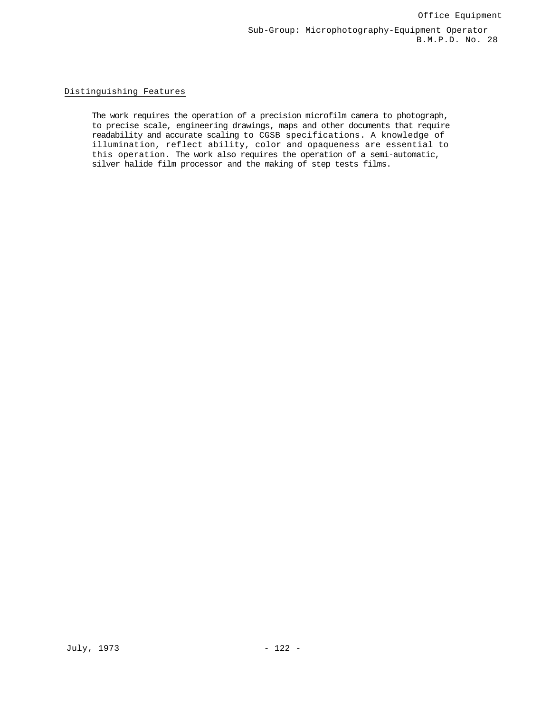### Distinguishing Features

The work requires the operation of a precision microfilm camera to photograph, to precise scale, engineering drawings, maps and other documents that require readability and accurate scaling to CGSB specifications. A knowledge of illumination, reflect ability, color and opaqueness are essential to this operation. The work also requires the operation of a semi-automatic, silver halide film processor and the making of step tests films.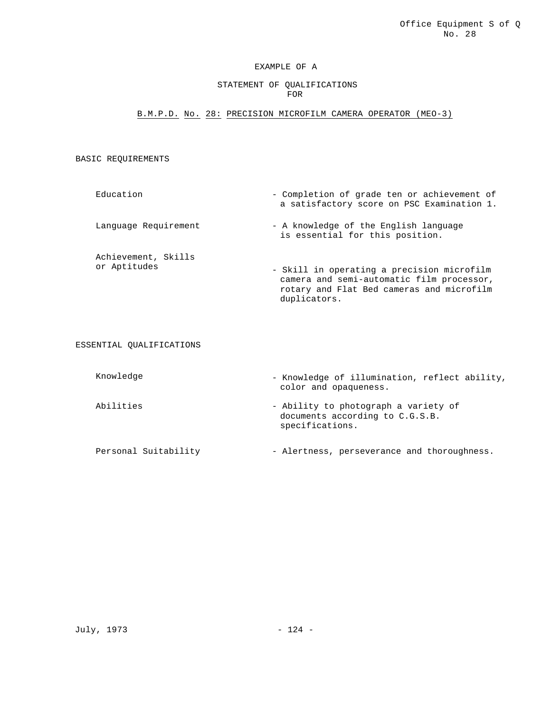### STATEMENT OF QUALIFICATIONS FOR

# B.M.P.D. No. 28: PRECISION MICROFILM CAMERA OPERATOR (MEO-3)

### BASIC REQUIREMENTS

Education - Completion of grade ten or achievement of a satisfactory score on PSC Examination 1. Language Requirement - A knowledge of the English language is essential for this position. Achievement, Skills or Aptitudes - Skill in operating a precision microfilm camera and semi-automatic film processor, rotary and Flat Bed cameras and microfilm

duplicators.

ESSENTIAL QUALIFICATIONS

| Knowledge | - Knowledge of illumination, reflect ability,<br>color and opaqueness.                     |
|-----------|--------------------------------------------------------------------------------------------|
| Abilities | - Ability to photograph a variety of<br>documents according to C.G.S.B.<br>specifications. |

Personal Suitability - Alertness, perseverance and thoroughness.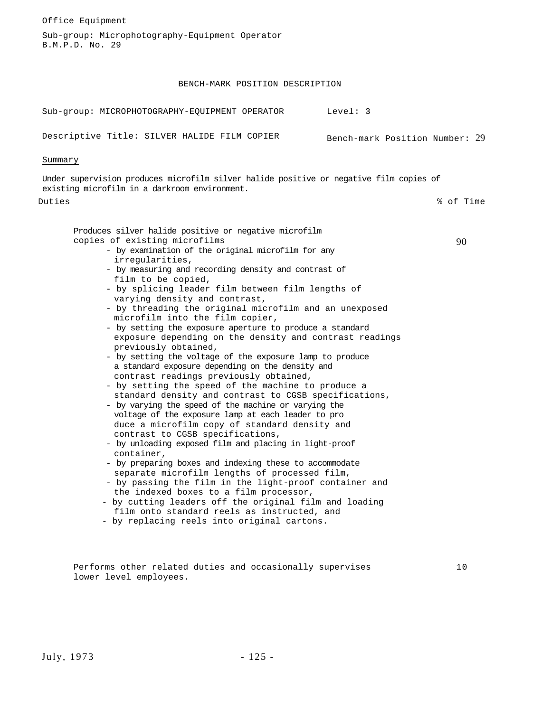Sub-group: Microphotography-Equipment Operator B.M.P.D. No. 29 BENCH-MARK POSITION DESCRIPTION Sub-group: MICROPHOTOGRAPHY-EQUIPMENT OPERATOR Level: 3 Descriptive Title: SILVER HALIDE FILM COPIER Bench-mark Position Number: 29 Summary Under supervision produces microfilm silver halide positive or negative film copies of existing microfilm in a darkroom environment. Duties % of Time Produces silver halide positive or negative microfilm copies of existing microfilms - by examination of the original microfilm for any irregularities, - by measuring and recording density and contrast of film to be copied, - by splicing leader film between film lengths of varying density and contrast, - by threading the original microfilm and an unexposed microfilm into the film copier, - by setting the exposure aperture to produce a standard exposure depending on the density and contrast readings previously obtained, - by setting the voltage of the exposure lamp to produce a standard exposure depending on the density and contrast readings previously obtained, - by setting the speed of the machine to produce a standard density and contrast to CGSB specifications, - by varying the speed of the machine or varying the voltage of the exposure lamp at each leader to pro duce a microfilm copy of standard density and contrast to CGSB specifications, - by unloading exposed film and placing in light-proof container, - by preparing boxes and indexing these to accommodate separate microfilm lengths of processed film, - by passing the film in the light-proof container and the indexed boxes to a film processor, - by cutting leaders off the original film and loading film onto standard reels as instructed, and - by replacing reels into original cartons. 90

Performs other related duties and occasionally supervises lower level employees.

Office Equipment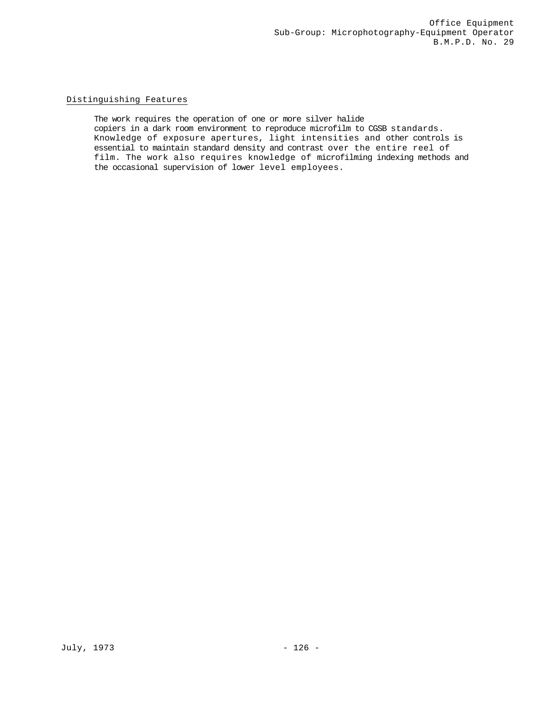# Distinguishing Features

The work requires the operation of one or more silver halide copiers in a dark room environment to reproduce microfilm to CGSB standards. Knowledge of exposure apertures, light intensities and other controls is essential to maintain standard density and contrast over the entire reel of film. The work also requires knowledge of microfilming indexing methods and the occasional supervision of lower level employees.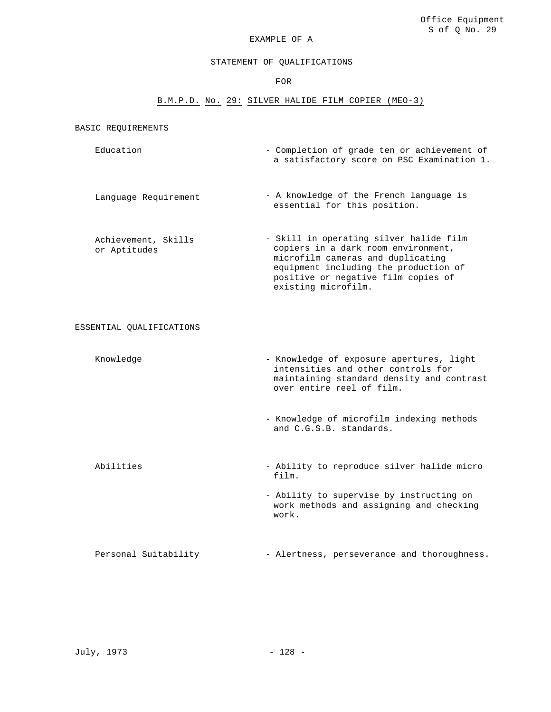#### STATEMENT OF QUALIFICATIONS

FOR

## B.M.P.D. No. 29: SILVER HALIDE FILM COPIER (MEO-3)

BASIC REQUIREMENTS

- Education Completion of grade ten or achievement of a satisfactory score on PSC Examination 1.
- Language Requirement A knowledge of the French language is essential for this position.
- Achievement, Skills or Aptitudes - Skill in operating silver halide film copiers in a dark room environment, microfilm cameras and duplicating equipment including the production of positive or negative film copies of existing microfilm.

ESSENTIAL QUALIFICATIONS

- Knowledge Knowledge Knowledge of exposure apertures, light intensities and other controls for maintaining standard density and contrast over entire reel of film.
	- Knowledge of microfilm indexing methods and C.G.S.B. standards.
- Abilities Ability to reproduce silver halide micro film.
	- Ability to supervise by instructing on work methods and assigning and checking work.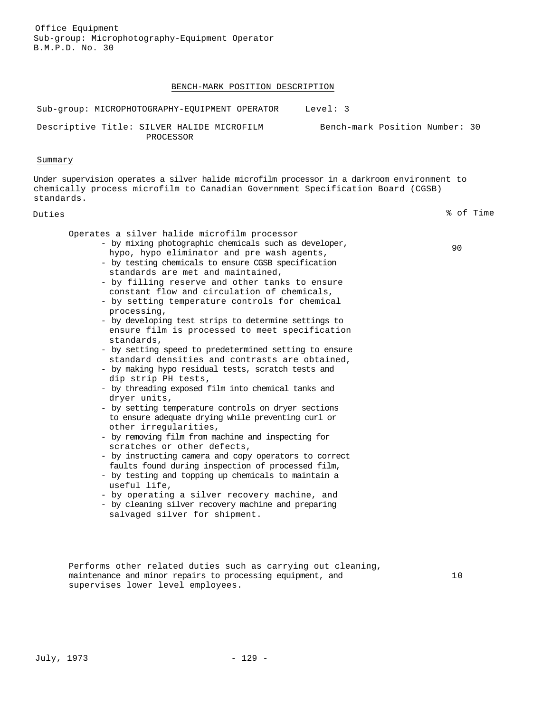## BENCH-MARK POSITION DESCRIPTION

| Sub-group: MICROPHOTOGRAPHY-EQUIPMENT OPERATOR Level: 3                                                                                                                                                                                                                                                                                                                                                                                                                                                                                                                                                                                                                                                                                                                                                                                                                                                                                                                                                                                                                                                                                                                                                                                                                                                                                                                 |  |
|-------------------------------------------------------------------------------------------------------------------------------------------------------------------------------------------------------------------------------------------------------------------------------------------------------------------------------------------------------------------------------------------------------------------------------------------------------------------------------------------------------------------------------------------------------------------------------------------------------------------------------------------------------------------------------------------------------------------------------------------------------------------------------------------------------------------------------------------------------------------------------------------------------------------------------------------------------------------------------------------------------------------------------------------------------------------------------------------------------------------------------------------------------------------------------------------------------------------------------------------------------------------------------------------------------------------------------------------------------------------------|--|
| Bench-mark Position Number: 30<br>Descriptive Title: SILVER HALIDE MICROFILM<br>PROCESSOR                                                                                                                                                                                                                                                                                                                                                                                                                                                                                                                                                                                                                                                                                                                                                                                                                                                                                                                                                                                                                                                                                                                                                                                                                                                                               |  |
| Summary                                                                                                                                                                                                                                                                                                                                                                                                                                                                                                                                                                                                                                                                                                                                                                                                                                                                                                                                                                                                                                                                                                                                                                                                                                                                                                                                                                 |  |
| Under supervision operates a silver halide microfilm processor in a darkroom environment to<br>chemically process microfilm to Canadian Government Specification Board (CGSB)<br>standards.                                                                                                                                                                                                                                                                                                                                                                                                                                                                                                                                                                                                                                                                                                                                                                                                                                                                                                                                                                                                                                                                                                                                                                             |  |
| % of Time<br>Duties                                                                                                                                                                                                                                                                                                                                                                                                                                                                                                                                                                                                                                                                                                                                                                                                                                                                                                                                                                                                                                                                                                                                                                                                                                                                                                                                                     |  |
| Operates a silver halide microfilm processor<br>- by mixing photographic chemicals such as developer,<br>90<br>hypo, hypo eliminator and pre wash agents,<br>- by testing chemicals to ensure CGSB specification<br>standards are met and maintained,<br>- by filling reserve and other tanks to ensure<br>constant flow and circulation of chemicals,<br>- by setting temperature controls for chemical<br>processing,<br>- by developing test strips to determine settings to<br>ensure film is processed to meet specification<br>standards,<br>- by setting speed to predetermined setting to ensure<br>standard densities and contrasts are obtained,<br>- by making hypo residual tests, scratch tests and<br>dip strip PH tests,<br>- by threading exposed film into chemical tanks and<br>dryer units,<br>- by setting temperature controls on dryer sections<br>to ensure adequate drying while preventing curl or<br>other irreqularities,<br>- by removing film from machine and inspecting for<br>scratches or other defects,<br>- by instructing camera and copy operators to correct<br>faults found during inspection of processed film,<br>- by testing and topping up chemicals to maintain a<br>useful life,<br>- by operating a silver recovery machine, and<br>- by cleaning silver recovery machine and preparing<br>salvaged silver for shipment. |  |

supervises lower level employees.

10

Performs other related duties such as carrying out cleaning,

maintenance and minor repairs to processing equipment, and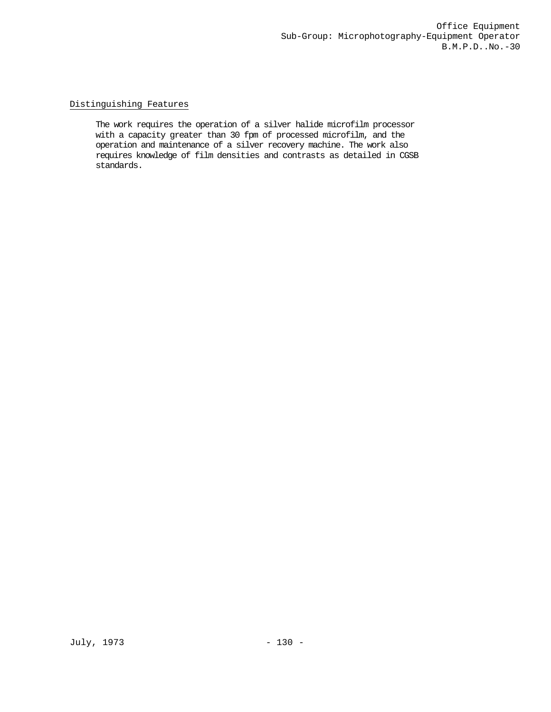## Distinguishing Features

The work requires the operation of a silver halide microfilm processor with a capacity greater than 30 fpm of processed microfilm, and the operation and maintenance of a silver recovery machine. The work also requires knowledge of film densities and contrasts as detailed in CGSB standards.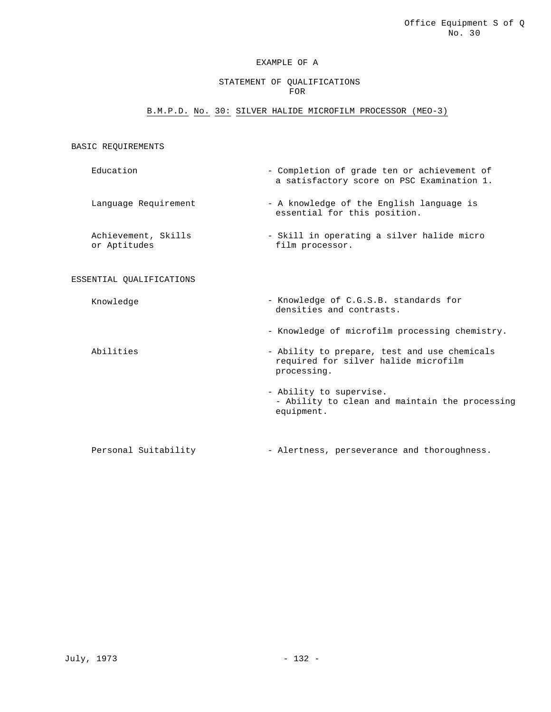#### STATEMENT OF QUALIFICATIONS FOR

## B.M.P.D. No. 30: SILVER HALIDE MICROFILM PROCESSOR (MEO-3)

## BASIC REQUIREMENTS

- Education Completion of grade ten or achievement of a satisfactory score on PSC Examination 1.
- Language Requirement A knowledge of the English language is essential for this position.
- Achievement, Skills or Aptitudes - Skill in operating a silver halide micro film processor.

#### ESSENTIAL QUALIFICATIONS

- 
- Knowledge Knowledge of C.G.S.B. standards for densities and contrasts.
	- Knowledge of microfilm processing chemistry.
- Abilities  $-$  Ability to prepare, test and use chemicals required for silver halide microfilm processing.
	- Ability to supervise. - Ability to clean and maintain the processing equipment.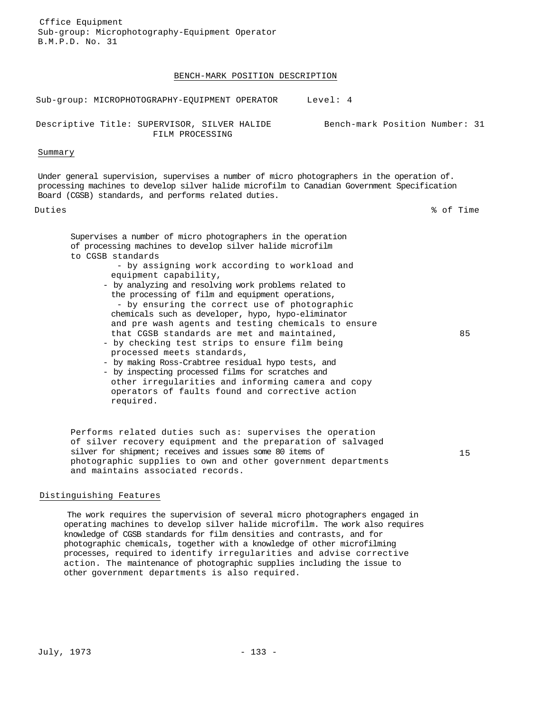#### BENCH-MARK POSITION DESCRIPTION

Sub-group: MICROPHOTOGRAPHY-EQUIPMENT OPERATOR Level: 4

Descriptive Title: SUPERVISOR, SILVER HALIDE FILM PROCESSING

#### Summary

Under general supervision, supervises a number of micro photographers in the operation of. processing machines to develop silver halide microfilm to Canadian Government Specification Board (CGSB) standards, and performs related duties.

Duties % of Time

Bench-mark Position Number: 31

Supervises a number of micro photographers in the operation of processing machines to develop silver halide microfilm to CGSB standards

- by assigning work according to workload and equipment capability,

- by analyzing and resolving work problems related to the processing of film and equipment operations, - by ensuring the correct use of photographic chemicals such as developer, hypo, hypo-eliminator and pre wash agents and testing chemicals to ensure that CGSB standards are met and maintained,
- by checking test strips to ensure film being processed meets standards,
- by making Ross-Crabtree residual hypo tests, and
- by inspecting processed films for scratches and other irregularities and informing camera and copy operators of faults found and corrective action required.

Performs related duties such as: supervises the operation of silver recovery equipment and the preparation of salvaged silver for shipment; receives and issues some 80 items of photographic supplies to own and other government departments and maintains associated records.

15

85

#### Distinguishing Features

The work requires the supervision of several micro photographers engaged in operating machines to develop silver halide microfilm. The work also requires knowledge of CGSB standards for film densities and contrasts, and for photographic chemicals, together with a knowledge of other microfilming processes, required to identify irregularities and advise corrective action. The maintenance of photographic supplies including the issue to other government departments is also required.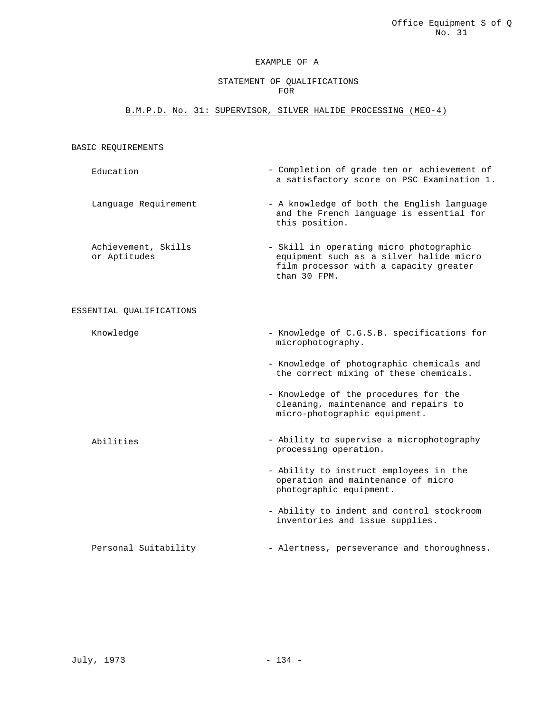## STATEMENT OF QUALIFICATIONS FOR

## B.M.P.D. No. 31: SUPERVISOR, SILVER HALIDE PROCESSING (MEO-4)

## BASIC REQUIREMENTS

- Education Completion of grade ten or achievement of a satisfactory score on PSC Examination 1.
- Language Requirement A knowledge of both the English language and the French language is essential for this position.

Achievement, Skills or Aptitudes - Skill in operating micro photographic equipment such as a silver halide micro film processor with a capacity greater than 30 FPM.

#### ESSENTIAL QUALIFICATIONS

- 
- Knowledge  $-$  Knowledge of C.G.S.B. specifications for microphotography.
	- Knowledge of photographic chemicals and the correct mixing of these chemicals.
	- Knowledge of the procedures for the cleaning, maintenance and repairs to micro-photographic equipment.
- Abilities  **Ability to supervise a microphotography** processing operation.
	- Ability to instruct employees in the operation and maintenance of micro photographic equipment.
	- Ability to indent and control stockroom inventories and issue supplies.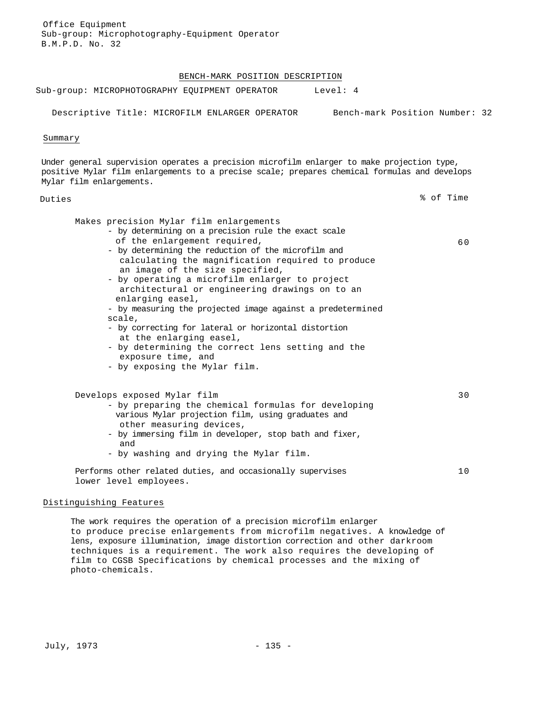#### BENCH-MARK POSITION DESCRIPTION

| Sub-group: MICROPHOTOGRAPHY EQUIPMENT OPERATOR |  | Level: 4 |  |
|------------------------------------------------|--|----------|--|
|                                                |  |          |  |

Descriptive Title: MICROFILM ENLARGER OPERATOR Bench-mark Position Number: 32

Summary

Under general supervision operates a precision microfilm enlarger to make projection type, positive Mylar film enlargements to a precise scale; prepares chemical formulas and develops Mylar film enlargements.

Duties % of Time

## Makes precision Mylar film enlargements - by determining on a precision rule the exact scale of the enlargement required, - by determining the reduction of the microfilm and calculating the magnification required to produce an image of the size specified, - by operating a microfilm enlarger to project architectural or engineering drawings on to an enlarging easel, - by measuring the projected image against a predetermined scale, - by correcting for lateral or horizontal distortion at the enlarging easel, - by determining the correct lens setting and the exposure time, and - by exposing the Mylar film. 60 Develops exposed Mylar film - by preparing the chemical formulas for developing various Mylar projection film, using graduates and other measuring devices, - by immersing film in developer, stop bath and fixer, and - by washing and drying the Mylar film. 30 Performs other related duties, and occasionally supervises lower level employees. 10

#### Distinguishing Features

The work requires the operation of a precision microfilm enlarger to produce precise enlargements from microfilm negatives. A knowledge of lens, exposure illumination, image distortion correction and other darkroom techniques is a requirement. The work also requires the developing of film to CGSB Specifications by chemical processes and the mixing of photo-chemicals.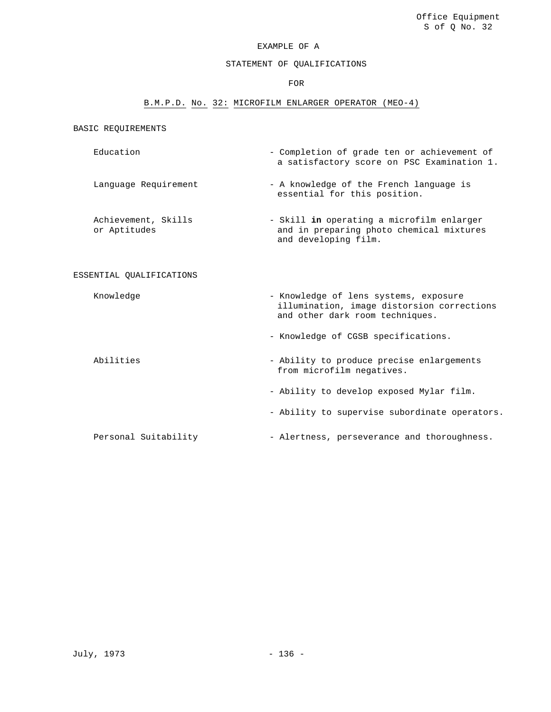#### STATEMENT OF QUALIFICATIONS

FOR

## B.M.P.D. No. 32: MICROFILM ENLARGER OPERATOR (MEO-4)

BASIC REQUIREMENTS

- Education Completion of grade ten or achievement of a satisfactory score on PSC Examination 1.
- Language Requirement A knowledge of the French language is essential for this position.
- Achievement, Skills or Aptitudes - Skill **in** operating a microfilm enlarger and in preparing photo chemical mixtures and developing film.

#### ESSENTIAL QUALIFICATIONS

Knowledge **- Knowledge of lens systems, exposure** 

and other dark room techniques.

illumination, image distorsion corrections

- Knowledge of CGSB specifications.

Abilities - Ability to produce precise enlargements from microfilm negatives. - Ability to develop exposed Mylar film.

- Ability to supervise subordinate operators.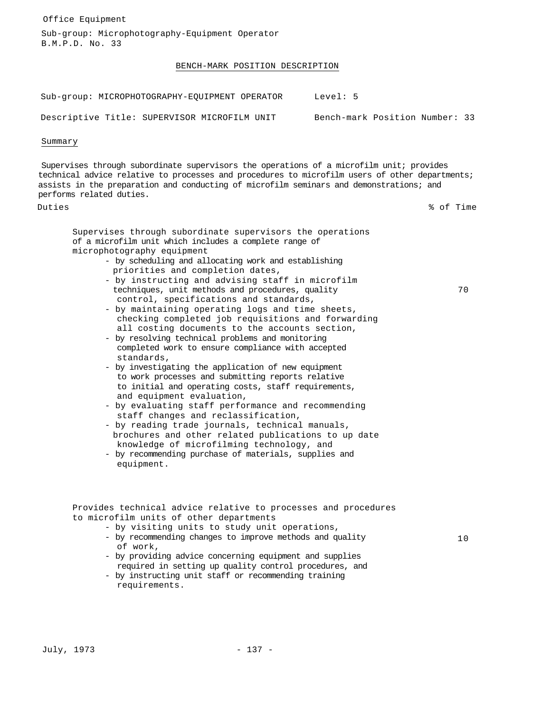| Office Equipment                                                                                                                                                                                                                                                                                                                                                                                                                                                                                                                                                                                                                                                                                                                                                                                                                                                                                                                                                                                                                                                                                                                                                                                              |                                |
|---------------------------------------------------------------------------------------------------------------------------------------------------------------------------------------------------------------------------------------------------------------------------------------------------------------------------------------------------------------------------------------------------------------------------------------------------------------------------------------------------------------------------------------------------------------------------------------------------------------------------------------------------------------------------------------------------------------------------------------------------------------------------------------------------------------------------------------------------------------------------------------------------------------------------------------------------------------------------------------------------------------------------------------------------------------------------------------------------------------------------------------------------------------------------------------------------------------|--------------------------------|
| Sub-group: Microphotography-Equipment Operator<br>B.M.P.D. No. 33                                                                                                                                                                                                                                                                                                                                                                                                                                                                                                                                                                                                                                                                                                                                                                                                                                                                                                                                                                                                                                                                                                                                             |                                |
| BENCH-MARK POSITION DESCRIPTION                                                                                                                                                                                                                                                                                                                                                                                                                                                                                                                                                                                                                                                                                                                                                                                                                                                                                                                                                                                                                                                                                                                                                                               |                                |
| Sub-group: MICROPHOTOGRAPHY-EQUIPMENT OPERATOR                                                                                                                                                                                                                                                                                                                                                                                                                                                                                                                                                                                                                                                                                                                                                                                                                                                                                                                                                                                                                                                                                                                                                                | Level: 5                       |
| Descriptive Title: SUPERVISOR MICROFILM UNIT                                                                                                                                                                                                                                                                                                                                                                                                                                                                                                                                                                                                                                                                                                                                                                                                                                                                                                                                                                                                                                                                                                                                                                  | Bench-mark Position Number: 33 |
| Summary                                                                                                                                                                                                                                                                                                                                                                                                                                                                                                                                                                                                                                                                                                                                                                                                                                                                                                                                                                                                                                                                                                                                                                                                       |                                |
| Supervises through subordinate supervisors the operations of a microfilm unit; provides<br>technical advice relative to processes and procedures to microfilm users of other departments;<br>assists in the preparation and conducting of microfilm seminars and demonstrations; and<br>performs related duties.                                                                                                                                                                                                                                                                                                                                                                                                                                                                                                                                                                                                                                                                                                                                                                                                                                                                                              |                                |
| Duties                                                                                                                                                                                                                                                                                                                                                                                                                                                                                                                                                                                                                                                                                                                                                                                                                                                                                                                                                                                                                                                                                                                                                                                                        | % of Time                      |
| Supervises through subordinate supervisors the operations<br>of a microfilm unit which includes a complete range of<br>microphotography equipment<br>- by scheduling and allocating work and establishing<br>priorities and completion dates,<br>- by instructing and advising staff in microfilm<br>techniques, unit methods and procedures, quality<br>control, specifications and standards,<br>- by maintaining operating logs and time sheets,<br>checking completed job requisitions and forwarding<br>all costing documents to the accounts section,<br>- by resolving technical problems and monitoring<br>completed work to ensure compliance with accepted<br>standards,<br>- by investigating the application of new equipment<br>to work processes and submitting reports relative<br>to initial and operating costs, staff requirements,<br>and equipment evaluation,<br>- by evaluating staff performance and recommending<br>staff changes and reclassification,<br>- by reading trade journals, technical manuals,<br>brochures and other related publications to up date<br>knowledge of microfilming technology, and<br>- by recommending purchase of materials, supplies and<br>equipment. | 70                             |
| Provides technical advice relative to processes and procedures<br>to microfilm units of other departments<br>- by visiting units to study unit operations,<br>- by recommending changes to improve methods and quality<br>of work,<br>- by providing advice concerning equipment and supplies                                                                                                                                                                                                                                                                                                                                                                                                                                                                                                                                                                                                                                                                                                                                                                                                                                                                                                                 | 10                             |

requirements.

required in setting up quality control procedures, and

- by instructing unit staff or recommending training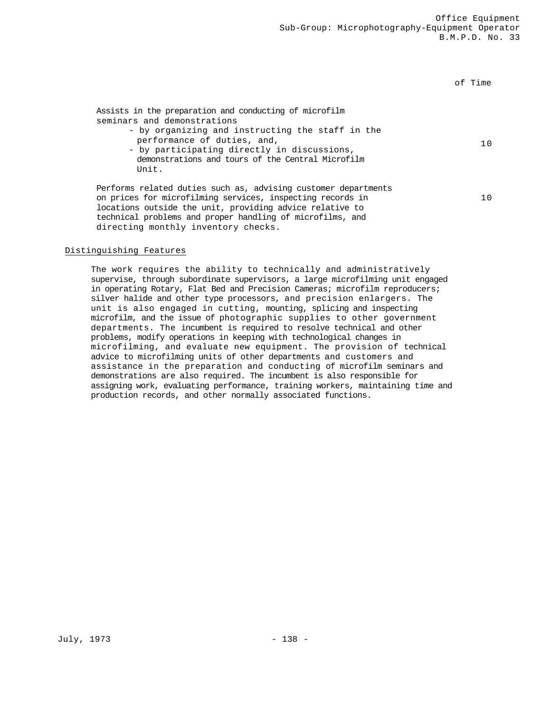of Time

| Assists in the preparation and conducting of microfilm<br>seminars and demonstrations<br>- by organizing and instructing the staff in the<br>performance of duties, and,<br>- by participating directly in discussions,<br>demonstrations and tours of the Central Microfilm<br>Unit. | 1 O            |
|---------------------------------------------------------------------------------------------------------------------------------------------------------------------------------------------------------------------------------------------------------------------------------------|----------------|
| Performs related duties such as, advising customer departments<br>on prices for microfilming services, inspecting records in<br>locations outside the unit, providing advice relative to<br>technical problems and proper handling of microfilms, and                                 | 1 <sub>0</sub> |

# directing monthly inventory checks.

## Distinguishing Features

The work requires the ability to technically and administratively supervise, through subordinate supervisors, a large microfilming unit engaged in operating Rotary, Flat Bed and Precision Cameras; microfilm reproducers; silver halide and other type processors, and precision enlargers. The unit is also engaged in cutting, mounting, splicing and inspecting microfilm, and the issue of photographic supplies to other government departments. The incumbent is required to resolve technical and other problems, modify operations in keeping with technological changes in microfilming, and evaluate new equipment. The provision of technical advice to microfilming units of other departments and customers and assistance in the preparation and conducting of microfilm seminars and demonstrations are also required. The incumbent is also responsible for assigning work, evaluating performance, training workers, maintaining time and production records, and other normally associated functions.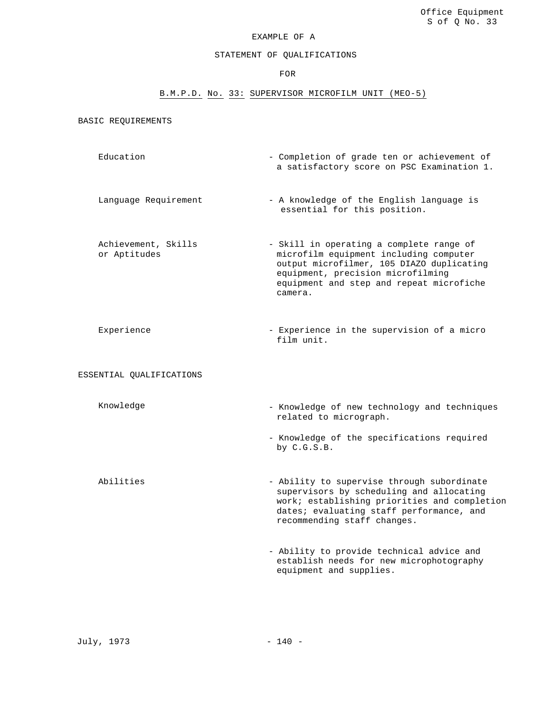## STATEMENT OF QUALIFICATIONS

FOR

## B.M.P.D. No. 33: SUPERVISOR MICROFILM UNIT (MEO-5)

BASIC REQUIREMENTS

- Education Completion of grade ten or achievement of a satisfactory score on PSC Examination 1.
- Language Requirement A knowledge of the English language is essential for this position.

Achievement, Skills or Aptitudes

- Skill in operating a complete range of microfilm equipment including computer output microfilmer, 105 DIAZO duplicating equipment, precision microfilming equipment and step and repeat microfiche camera.
- Experience Experience in the supervision of a micro film unit.

ESSENTIAL QUALIFICATIONS

- Knowledge Knowledge of new technology and techniques related to micrograph.
	- Knowledge of the specifications required by C.G.S.B.
- Abilities Ability to supervise through subordinate supervisors by scheduling and allocating work; establishing priorities and completion dates; evaluating staff performance, and recommending staff changes.
	- Ability to provide technical advice and establish needs for new microphotography equipment and supplies.